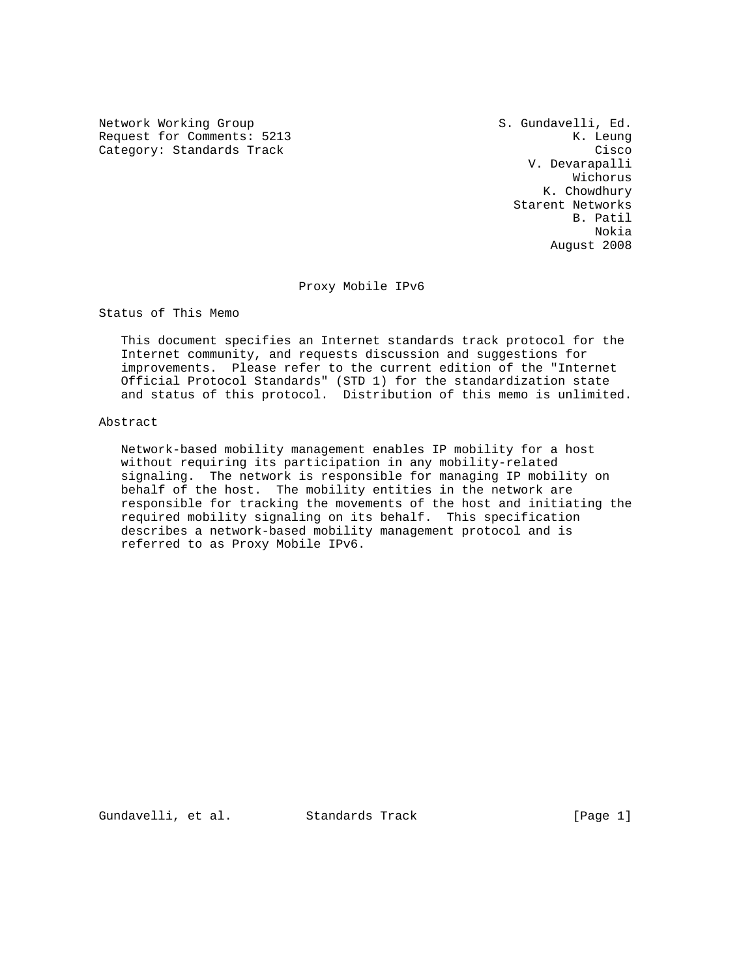Network Working Group S. Gundavelli, Ed. Request for Comments: 5213 K. Leung Category: Standards Track Cisco Cisco Cisco Cisco Cisco Cisco Cisco Cisco Cisco Cisco Cisco Cisco Cisco Cisco

 V. Devarapalli Wichorus K. Chowdhury Starent Networks B. Patil Nokia August 2008

#### Proxy Mobile IPv6

Status of This Memo

 This document specifies an Internet standards track protocol for the Internet community, and requests discussion and suggestions for improvements. Please refer to the current edition of the "Internet Official Protocol Standards" (STD 1) for the standardization state and status of this protocol. Distribution of this memo is unlimited.

## Abstract

 Network-based mobility management enables IP mobility for a host without requiring its participation in any mobility-related signaling. The network is responsible for managing IP mobility on behalf of the host. The mobility entities in the network are responsible for tracking the movements of the host and initiating the required mobility signaling on its behalf. This specification describes a network-based mobility management protocol and is referred to as Proxy Mobile IPv6.

Gundavelli, et al. Standards Track [Page 1]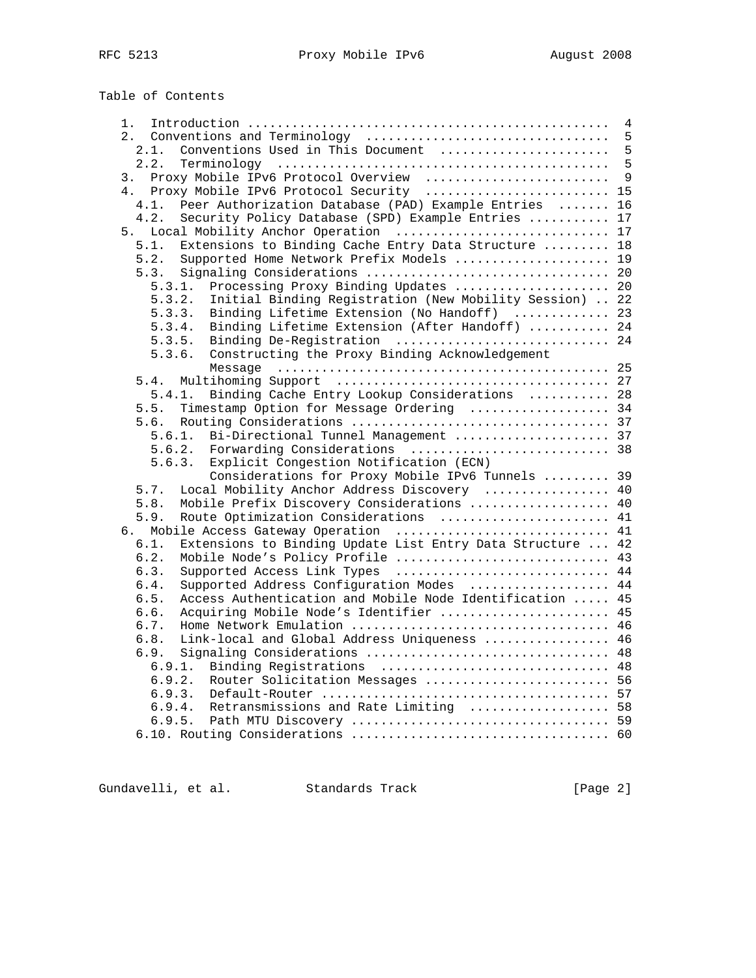Table of Contents

| 1. |                                                                    | $\overline{4}$ |
|----|--------------------------------------------------------------------|----------------|
| 2. | Conventions and Terminology                                        | 5              |
|    | Conventions Used in This Document<br>2.1.                          | 5              |
|    | 2.2.                                                               | 5              |
| 3. | Proxy Mobile IPv6 Protocol Overview                                | 9              |
|    | Proxy Mobile IPv6 Protocol Security  15<br>4.                      |                |
|    | Peer Authorization Database (PAD) Example Entries<br>4.1.          | 16             |
|    | Security Policy Database (SPD) Example Entries  17<br>4.2.         |                |
|    | 5.                                                                 |                |
|    | Extensions to Binding Cache Entry Data Structure  18<br>5.1.       |                |
|    | Supported Home Network Prefix Models  19<br>5.2.                   |                |
|    | 5.3.                                                               |                |
|    | Processing Proxy Binding Updates  20<br>5.3.1.                     |                |
|    | Initial Binding Registration (New Mobility Session)  22<br>5.3.2.  |                |
|    | Binding Lifetime Extension (No Handoff)  23<br>5.3.3.              |                |
|    | Binding Lifetime Extension (After Handoff)  24                     |                |
|    | 5.3.4.                                                             |                |
|    | 5.3.5. Binding De-Registration  24                                 |                |
|    | Constructing the Proxy Binding Acknowledgement<br>5.3.6.           |                |
|    |                                                                    |                |
|    | 5.4.                                                               |                |
|    | Binding Cache Entry Lookup Considerations  28<br>5.4.1.            |                |
|    | Timestamp Option for Message Ordering  34<br>5.5.                  |                |
|    | 5.6.                                                               |                |
|    | Bi-Directional Tunnel Management  37<br>5.6.1.                     |                |
|    | 5.6.2.<br>Forwarding Considerations  38                            |                |
|    | Explicit Congestion Notification (ECN)<br>5.6.3.                   |                |
|    | Considerations for Proxy Mobile IPv6 Tunnels  39                   |                |
|    | Local Mobility Anchor Address Discovery  40<br>5.7.                |                |
|    | Mobile Prefix Discovery Considerations  40<br>5.8.                 |                |
|    | 5.9.<br>Route Optimization Considerations  41                      |                |
|    | 6. Mobile Access Gateway Operation  41                             |                |
|    | 6.1.<br>Extensions to Binding Update List Entry Data Structure  42 |                |
|    | Mobile Node's Policy Profile  43<br>6.2.                           |                |
|    | 6.3.<br>Supported Access Link Types  44                            |                |
|    | Supported Address Configuration Modes<br>6.4.                      | 44             |
|    | Access Authentication and Mobile Node Identification  45<br>6.5.   |                |
|    | Acquiring Mobile Node's Identifier  45<br>6.6.                     |                |
|    | 6.7.                                                               |                |
|    | Link-local and Global Address Uniqueness  46<br>6.8.               |                |
|    | 6.9.                                                               |                |
|    | Binding Registrations  48<br>6.9.1.                                |                |
|    | 6.9.2.<br>Router Solicitation Messages  56                         |                |
|    | 6.9.3.                                                             |                |
|    | Retransmissions and Rate Limiting  58<br>6.9.4.                    |                |
|    |                                                                    |                |
|    |                                                                    |                |
|    |                                                                    |                |

Gundavelli, et al. Standards Track [Page 2]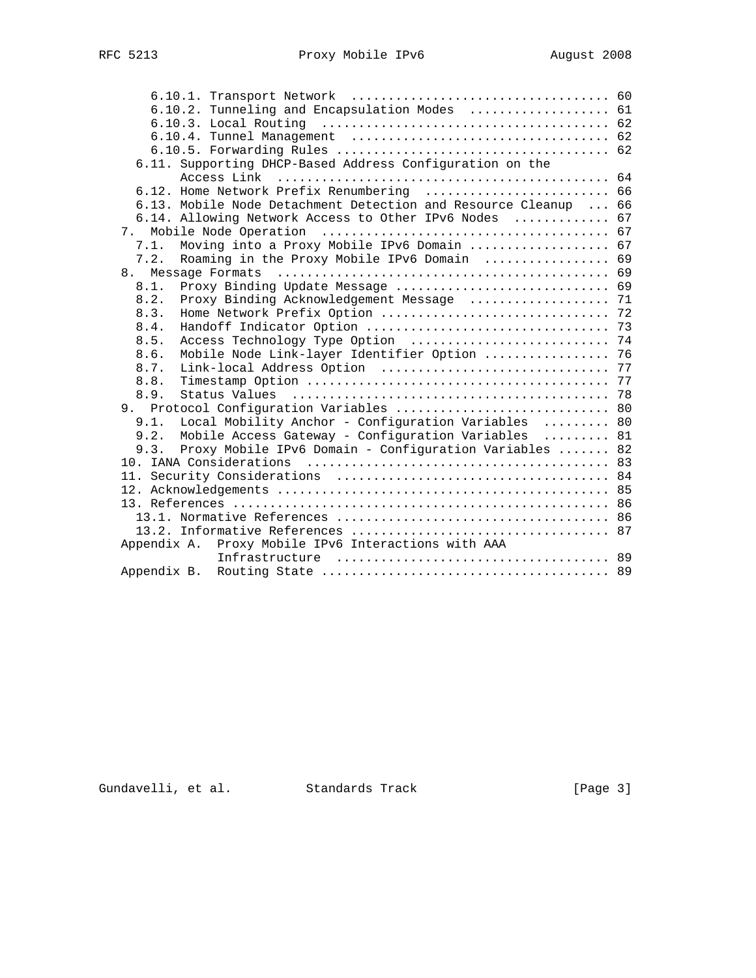|      | 6.10.2. Tunneling and Encapsulation Modes  61                   |  |
|------|-----------------------------------------------------------------|--|
|      |                                                                 |  |
|      |                                                                 |  |
|      |                                                                 |  |
|      | 6.11. Supporting DHCP-Based Address Configuration on the        |  |
|      | Access Link                                                     |  |
|      | 6.12. Home Network Prefix Renumbering  66                       |  |
|      | 6.13. Mobile Node Detachment Detection and Resource Cleanup  66 |  |
|      | 6.14. Allowing Network Access to Other IPv6 Nodes  67           |  |
|      |                                                                 |  |
| 7.1. | Moving into a Proxy Mobile IPv6 Domain  67                      |  |
| 7.2. | Roaming in the Proxy Mobile IPv6 Domain  69                     |  |
|      |                                                                 |  |
| 8.1. | Proxy Binding Update Message  69                                |  |
| 8.2. | Proxy Binding Acknowledgement Message  71                       |  |
| 8.3. |                                                                 |  |
| 8.4. |                                                                 |  |
| 8.5. |                                                                 |  |
| 8.6. | Mobile Node Link-layer Identifier Option  76                    |  |
| 8.7. |                                                                 |  |
| 8.8. |                                                                 |  |
| 8.9. |                                                                 |  |
|      | 9. Protocol Configuration Variables  80                         |  |
| 9.1. | Local Mobility Anchor - Configuration Variables  80             |  |
| 9.2. | Mobile Access Gateway - Configuration Variables  81             |  |
| 9.3. | Proxy Mobile IPv6 Domain - Configuration Variables  82          |  |
|      |                                                                 |  |
|      |                                                                 |  |
|      |                                                                 |  |
|      |                                                                 |  |
|      |                                                                 |  |
|      |                                                                 |  |
|      | Appendix A. Proxy Mobile IPv6 Interactions with AAA             |  |
|      |                                                                 |  |
|      |                                                                 |  |

Gundavelli, et al. Standards Track [Page 3]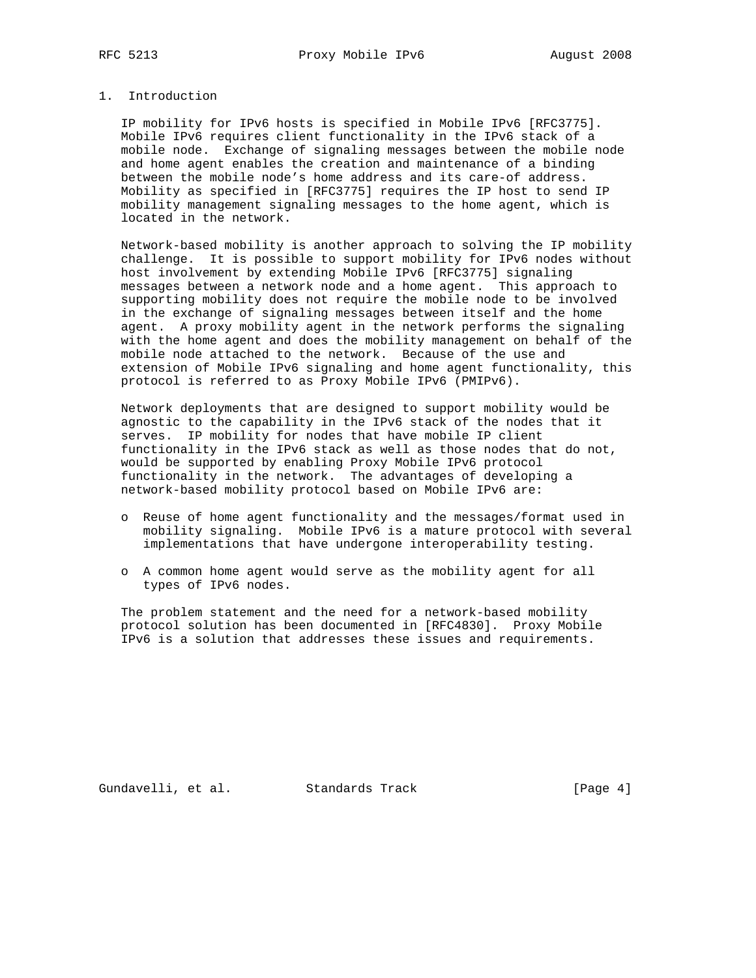## 1. Introduction

 IP mobility for IPv6 hosts is specified in Mobile IPv6 [RFC3775]. Mobile IPv6 requires client functionality in the IPv6 stack of a mobile node. Exchange of signaling messages between the mobile node and home agent enables the creation and maintenance of a binding between the mobile node's home address and its care-of address. Mobility as specified in [RFC3775] requires the IP host to send IP mobility management signaling messages to the home agent, which is located in the network.

 Network-based mobility is another approach to solving the IP mobility challenge. It is possible to support mobility for IPv6 nodes without host involvement by extending Mobile IPv6 [RFC3775] signaling messages between a network node and a home agent. This approach to supporting mobility does not require the mobile node to be involved in the exchange of signaling messages between itself and the home agent. A proxy mobility agent in the network performs the signaling with the home agent and does the mobility management on behalf of the mobile node attached to the network. Because of the use and extension of Mobile IPv6 signaling and home agent functionality, this protocol is referred to as Proxy Mobile IPv6 (PMIPv6).

 Network deployments that are designed to support mobility would be agnostic to the capability in the IPv6 stack of the nodes that it serves. IP mobility for nodes that have mobile IP client functionality in the IPv6 stack as well as those nodes that do not, would be supported by enabling Proxy Mobile IPv6 protocol functionality in the network. The advantages of developing a network-based mobility protocol based on Mobile IPv6 are:

- o Reuse of home agent functionality and the messages/format used in mobility signaling. Mobile IPv6 is a mature protocol with several implementations that have undergone interoperability testing.
- o A common home agent would serve as the mobility agent for all types of IPv6 nodes.

 The problem statement and the need for a network-based mobility protocol solution has been documented in [RFC4830]. Proxy Mobile IPv6 is a solution that addresses these issues and requirements.

Gundavelli, et al. Standards Track [Page 4]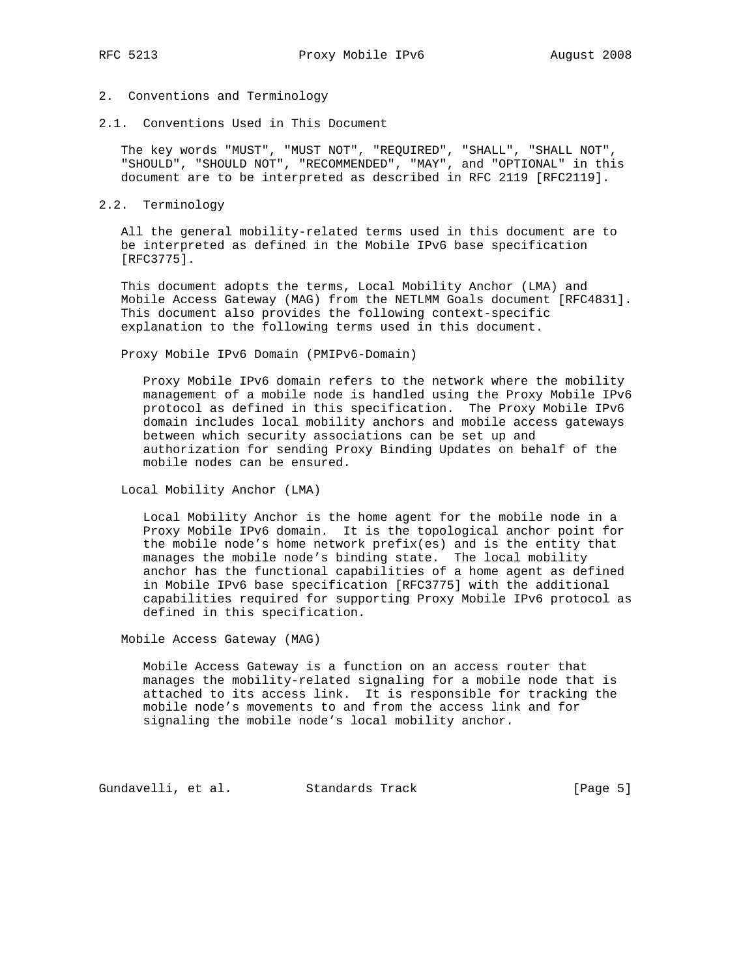# 2. Conventions and Terminology

2.1. Conventions Used in This Document

 The key words "MUST", "MUST NOT", "REQUIRED", "SHALL", "SHALL NOT", "SHOULD", "SHOULD NOT", "RECOMMENDED", "MAY", and "OPTIONAL" in this document are to be interpreted as described in RFC 2119 [RFC2119].

## 2.2. Terminology

 All the general mobility-related terms used in this document are to be interpreted as defined in the Mobile IPv6 base specification [RFC3775].

 This document adopts the terms, Local Mobility Anchor (LMA) and Mobile Access Gateway (MAG) from the NETLMM Goals document [RFC4831]. This document also provides the following context-specific explanation to the following terms used in this document.

Proxy Mobile IPv6 Domain (PMIPv6-Domain)

 Proxy Mobile IPv6 domain refers to the network where the mobility management of a mobile node is handled using the Proxy Mobile IPv6 protocol as defined in this specification. The Proxy Mobile IPv6 domain includes local mobility anchors and mobile access gateways between which security associations can be set up and authorization for sending Proxy Binding Updates on behalf of the mobile nodes can be ensured.

Local Mobility Anchor (LMA)

 Local Mobility Anchor is the home agent for the mobile node in a Proxy Mobile IPv6 domain. It is the topological anchor point for the mobile node's home network prefix(es) and is the entity that manages the mobile node's binding state. The local mobility anchor has the functional capabilities of a home agent as defined in Mobile IPv6 base specification [RFC3775] with the additional capabilities required for supporting Proxy Mobile IPv6 protocol as defined in this specification.

Mobile Access Gateway (MAG)

 Mobile Access Gateway is a function on an access router that manages the mobility-related signaling for a mobile node that is attached to its access link. It is responsible for tracking the mobile node's movements to and from the access link and for signaling the mobile node's local mobility anchor.

Gundavelli, et al. Standards Track [Page 5]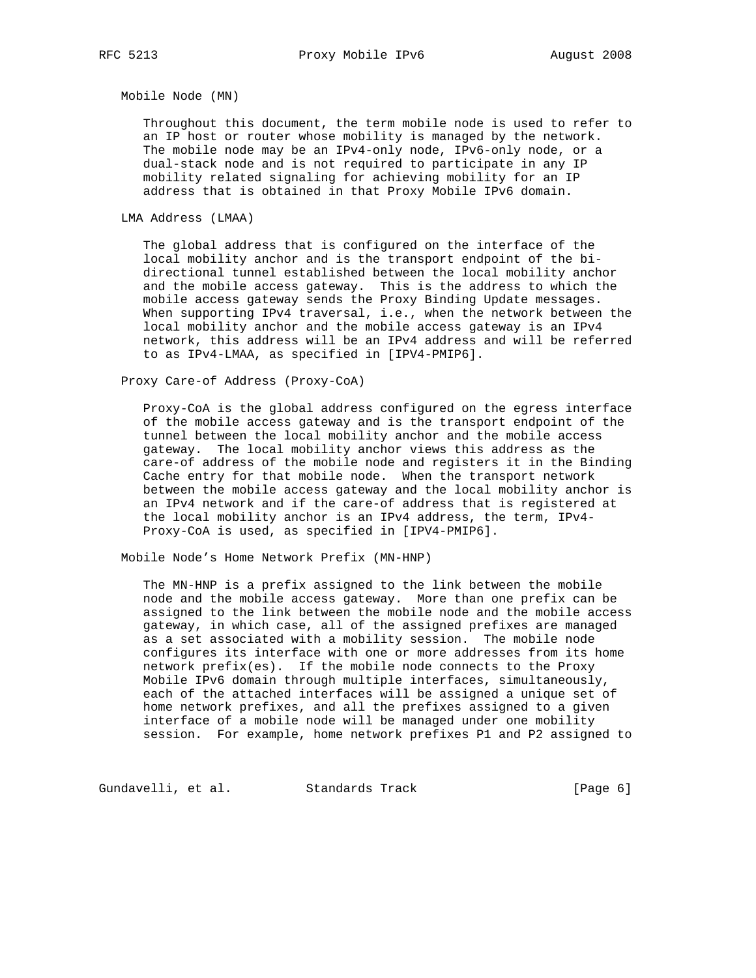Mobile Node (MN)

 Throughout this document, the term mobile node is used to refer to an IP host or router whose mobility is managed by the network. The mobile node may be an IPv4-only node, IPv6-only node, or a dual-stack node and is not required to participate in any IP mobility related signaling for achieving mobility for an IP address that is obtained in that Proxy Mobile IPv6 domain.

LMA Address (LMAA)

 The global address that is configured on the interface of the local mobility anchor and is the transport endpoint of the bi directional tunnel established between the local mobility anchor and the mobile access gateway. This is the address to which the mobile access gateway sends the Proxy Binding Update messages. When supporting IPv4 traversal, i.e., when the network between the local mobility anchor and the mobile access gateway is an IPv4 network, this address will be an IPv4 address and will be referred to as IPv4-LMAA, as specified in [IPV4-PMIP6].

Proxy Care-of Address (Proxy-CoA)

 Proxy-CoA is the global address configured on the egress interface of the mobile access gateway and is the transport endpoint of the tunnel between the local mobility anchor and the mobile access gateway. The local mobility anchor views this address as the care-of address of the mobile node and registers it in the Binding Cache entry for that mobile node. When the transport network between the mobile access gateway and the local mobility anchor is an IPv4 network and if the care-of address that is registered at the local mobility anchor is an IPv4 address, the term, IPv4- Proxy-CoA is used, as specified in [IPV4-PMIP6].

Mobile Node's Home Network Prefix (MN-HNP)

 The MN-HNP is a prefix assigned to the link between the mobile node and the mobile access gateway. More than one prefix can be assigned to the link between the mobile node and the mobile access gateway, in which case, all of the assigned prefixes are managed as a set associated with a mobility session. The mobile node configures its interface with one or more addresses from its home network prefix(es). If the mobile node connects to the Proxy Mobile IPv6 domain through multiple interfaces, simultaneously, each of the attached interfaces will be assigned a unique set of home network prefixes, and all the prefixes assigned to a given interface of a mobile node will be managed under one mobility session. For example, home network prefixes P1 and P2 assigned to

Gundavelli, et al. Standards Track [Page 6]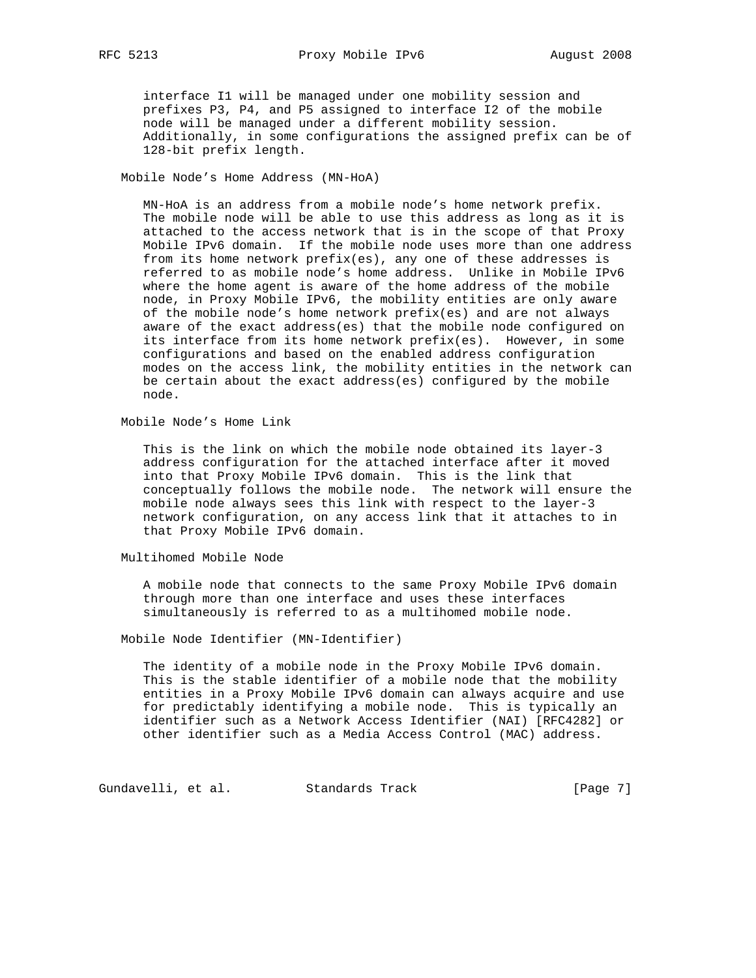interface I1 will be managed under one mobility session and prefixes P3, P4, and P5 assigned to interface I2 of the mobile node will be managed under a different mobility session. Additionally, in some configurations the assigned prefix can be of 128-bit prefix length.

### Mobile Node's Home Address (MN-HoA)

 MN-HoA is an address from a mobile node's home network prefix. The mobile node will be able to use this address as long as it is attached to the access network that is in the scope of that Proxy Mobile IPv6 domain. If the mobile node uses more than one address from its home network prefix(es), any one of these addresses is referred to as mobile node's home address. Unlike in Mobile IPv6 where the home agent is aware of the home address of the mobile node, in Proxy Mobile IPv6, the mobility entities are only aware of the mobile node's home network prefix(es) and are not always aware of the exact address(es) that the mobile node configured on its interface from its home network prefix(es). However, in some configurations and based on the enabled address configuration modes on the access link, the mobility entities in the network can be certain about the exact address(es) configured by the mobile node.

Mobile Node's Home Link

 This is the link on which the mobile node obtained its layer-3 address configuration for the attached interface after it moved into that Proxy Mobile IPv6 domain. This is the link that conceptually follows the mobile node. The network will ensure the mobile node always sees this link with respect to the layer-3 network configuration, on any access link that it attaches to in that Proxy Mobile IPv6 domain.

Multihomed Mobile Node

 A mobile node that connects to the same Proxy Mobile IPv6 domain through more than one interface and uses these interfaces simultaneously is referred to as a multihomed mobile node.

Mobile Node Identifier (MN-Identifier)

 The identity of a mobile node in the Proxy Mobile IPv6 domain. This is the stable identifier of a mobile node that the mobility entities in a Proxy Mobile IPv6 domain can always acquire and use for predictably identifying a mobile node. This is typically an identifier such as a Network Access Identifier (NAI) [RFC4282] or other identifier such as a Media Access Control (MAC) address.

Gundavelli, et al. Standards Track [Page 7]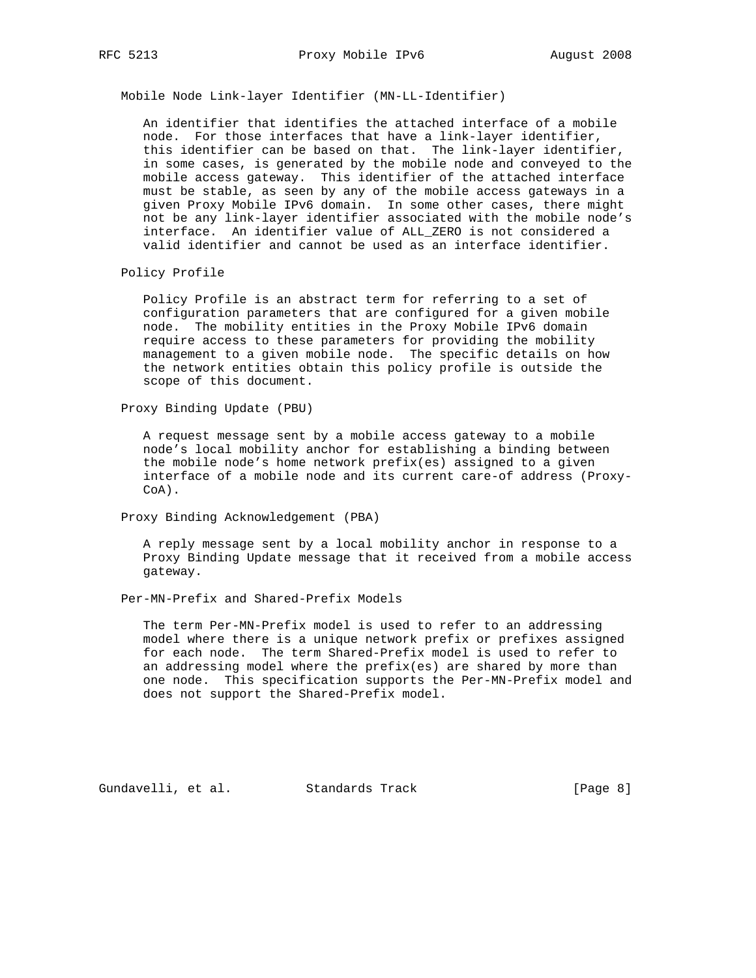Mobile Node Link-layer Identifier (MN-LL-Identifier)

 An identifier that identifies the attached interface of a mobile node. For those interfaces that have a link-layer identifier, this identifier can be based on that. The link-layer identifier, in some cases, is generated by the mobile node and conveyed to the mobile access gateway. This identifier of the attached interface must be stable, as seen by any of the mobile access gateways in a given Proxy Mobile IPv6 domain. In some other cases, there might not be any link-layer identifier associated with the mobile node's interface. An identifier value of ALL\_ZERO is not considered a valid identifier and cannot be used as an interface identifier.

Policy Profile

 Policy Profile is an abstract term for referring to a set of configuration parameters that are configured for a given mobile node. The mobility entities in the Proxy Mobile IPv6 domain require access to these parameters for providing the mobility management to a given mobile node. The specific details on how the network entities obtain this policy profile is outside the scope of this document.

Proxy Binding Update (PBU)

 A request message sent by a mobile access gateway to a mobile node's local mobility anchor for establishing a binding between the mobile node's home network prefix(es) assigned to a given interface of a mobile node and its current care-of address (Proxy- CoA).

Proxy Binding Acknowledgement (PBA)

 A reply message sent by a local mobility anchor in response to a Proxy Binding Update message that it received from a mobile access gateway.

Per-MN-Prefix and Shared-Prefix Models

 The term Per-MN-Prefix model is used to refer to an addressing model where there is a unique network prefix or prefixes assigned for each node. The term Shared-Prefix model is used to refer to an addressing model where the prefix(es) are shared by more than one node. This specification supports the Per-MN-Prefix model and does not support the Shared-Prefix model.

Gundavelli, et al. Standards Track [Page 8]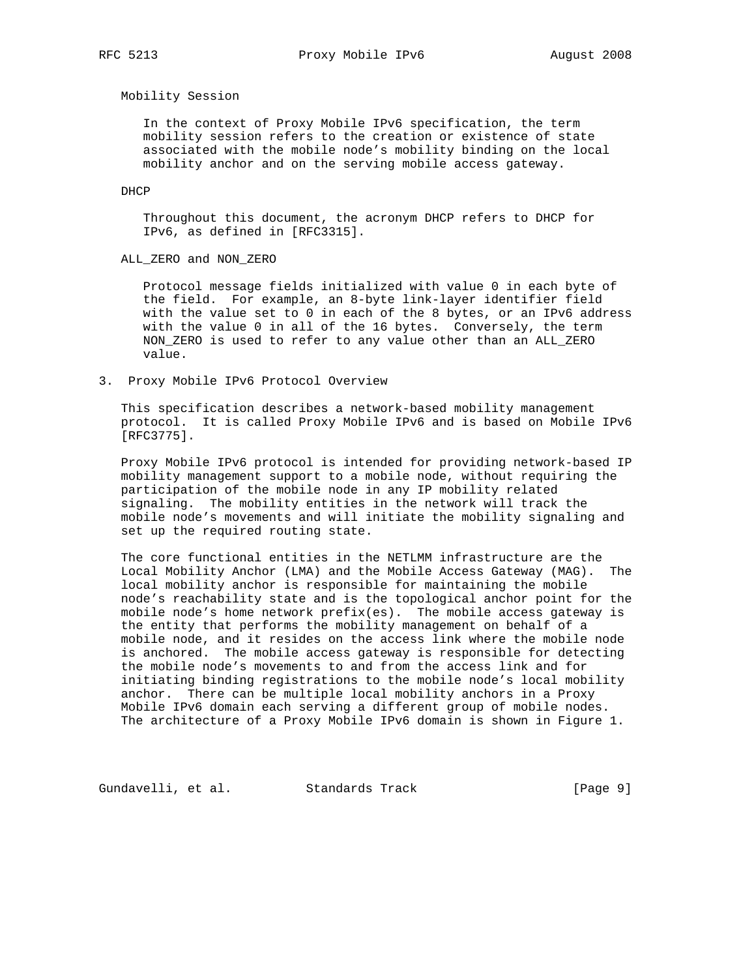Mobility Session

 In the context of Proxy Mobile IPv6 specification, the term mobility session refers to the creation or existence of state associated with the mobile node's mobility binding on the local mobility anchor and on the serving mobile access gateway.

DHCP

 Throughout this document, the acronym DHCP refers to DHCP for IPv6, as defined in [RFC3315].

ALL\_ZERO and NON\_ZERO

 Protocol message fields initialized with value 0 in each byte of the field. For example, an 8-byte link-layer identifier field with the value set to 0 in each of the 8 bytes, or an IPv6 address with the value 0 in all of the 16 bytes. Conversely, the term NON\_ZERO is used to refer to any value other than an ALL\_ZERO value.

3. Proxy Mobile IPv6 Protocol Overview

 This specification describes a network-based mobility management protocol. It is called Proxy Mobile IPv6 and is based on Mobile IPv6 [RFC3775].

 Proxy Mobile IPv6 protocol is intended for providing network-based IP mobility management support to a mobile node, without requiring the participation of the mobile node in any IP mobility related signaling. The mobility entities in the network will track the mobile node's movements and will initiate the mobility signaling and set up the required routing state.

 The core functional entities in the NETLMM infrastructure are the Local Mobility Anchor (LMA) and the Mobile Access Gateway (MAG). The local mobility anchor is responsible for maintaining the mobile node's reachability state and is the topological anchor point for the mobile node's home network prefix(es). The mobile access gateway is the entity that performs the mobility management on behalf of a mobile node, and it resides on the access link where the mobile node is anchored. The mobile access gateway is responsible for detecting the mobile node's movements to and from the access link and for initiating binding registrations to the mobile node's local mobility anchor. There can be multiple local mobility anchors in a Proxy Mobile IPv6 domain each serving a different group of mobile nodes. The architecture of a Proxy Mobile IPv6 domain is shown in Figure 1.

Gundavelli, et al. Standards Track [Page 9]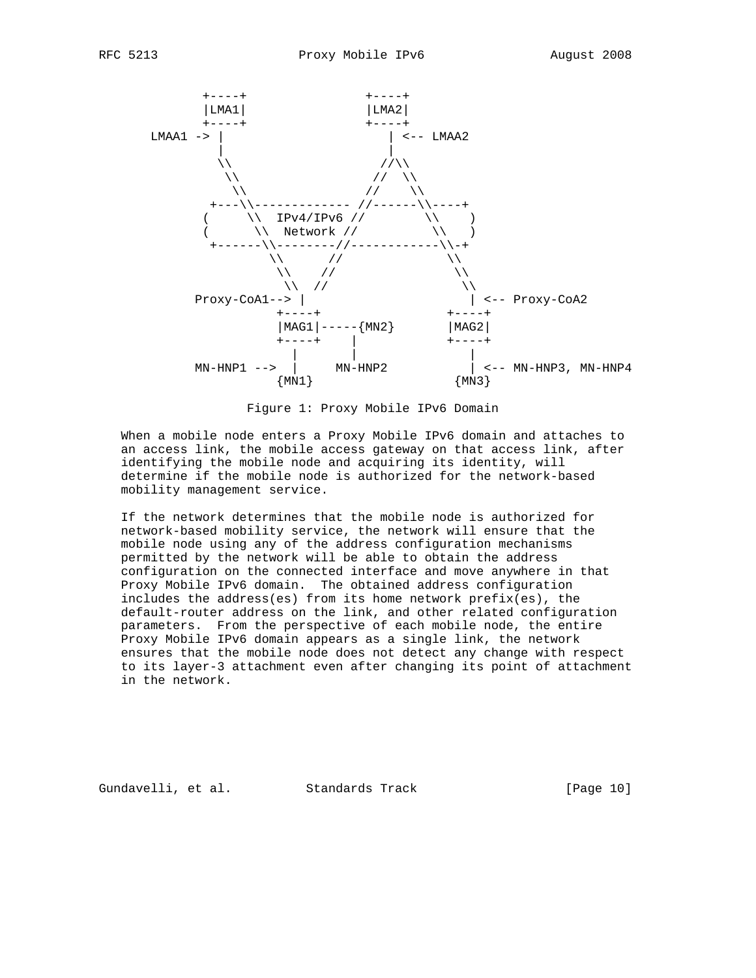

Figure 1: Proxy Mobile IPv6 Domain

 When a mobile node enters a Proxy Mobile IPv6 domain and attaches to an access link, the mobile access gateway on that access link, after identifying the mobile node and acquiring its identity, will determine if the mobile node is authorized for the network-based mobility management service.

 If the network determines that the mobile node is authorized for network-based mobility service, the network will ensure that the mobile node using any of the address configuration mechanisms permitted by the network will be able to obtain the address configuration on the connected interface and move anywhere in that Proxy Mobile IPv6 domain. The obtained address configuration includes the address(es) from its home network prefix(es), the default-router address on the link, and other related configuration parameters. From the perspective of each mobile node, the entire Proxy Mobile IPv6 domain appears as a single link, the network ensures that the mobile node does not detect any change with respect to its layer-3 attachment even after changing its point of attachment in the network.

Gundavelli, et al. Standards Track [Page 10]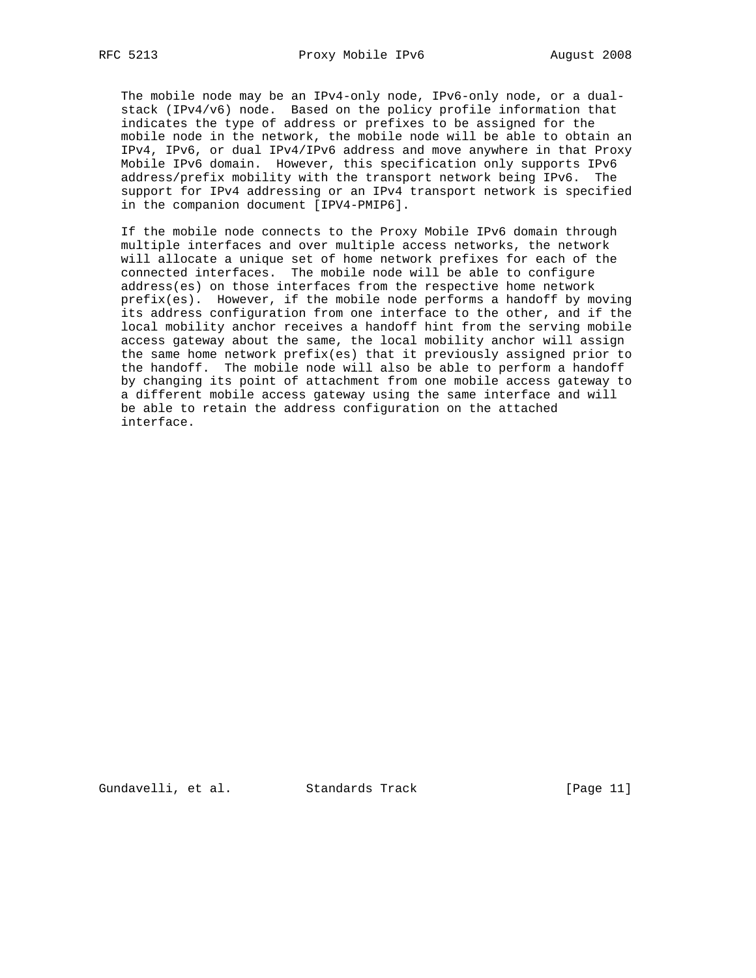The mobile node may be an IPv4-only node, IPv6-only node, or a dual stack (IPv4/v6) node. Based on the policy profile information that indicates the type of address or prefixes to be assigned for the mobile node in the network, the mobile node will be able to obtain an IPv4, IPv6, or dual IPv4/IPv6 address and move anywhere in that Proxy Mobile IPv6 domain. However, this specification only supports IPv6 address/prefix mobility with the transport network being IPv6. The support for IPv4 addressing or an IPv4 transport network is specified in the companion document [IPV4-PMIP6].

 If the mobile node connects to the Proxy Mobile IPv6 domain through multiple interfaces and over multiple access networks, the network will allocate a unique set of home network prefixes for each of the connected interfaces. The mobile node will be able to configure address(es) on those interfaces from the respective home network prefix(es). However, if the mobile node performs a handoff by moving its address configuration from one interface to the other, and if the local mobility anchor receives a handoff hint from the serving mobile access gateway about the same, the local mobility anchor will assign the same home network prefix(es) that it previously assigned prior to the handoff. The mobile node will also be able to perform a handoff by changing its point of attachment from one mobile access gateway to a different mobile access gateway using the same interface and will be able to retain the address configuration on the attached interface.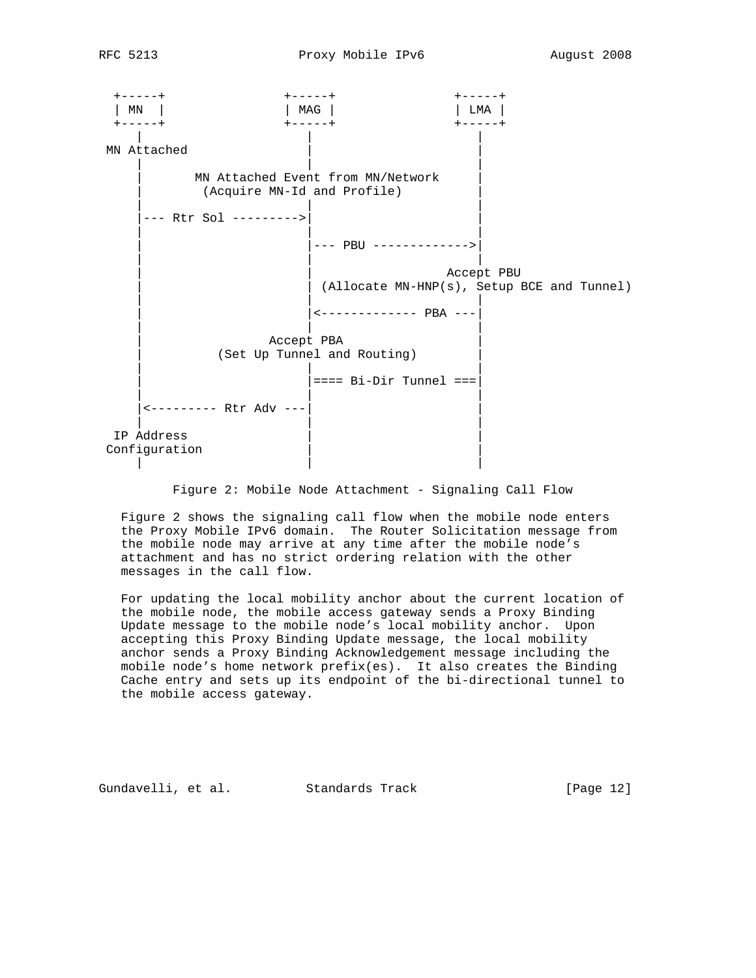

Figure 2: Mobile Node Attachment - Signaling Call Flow

 Figure 2 shows the signaling call flow when the mobile node enters the Proxy Mobile IPv6 domain. The Router Solicitation message from the mobile node may arrive at any time after the mobile node's attachment and has no strict ordering relation with the other messages in the call flow.

 For updating the local mobility anchor about the current location of the mobile node, the mobile access gateway sends a Proxy Binding Update message to the mobile node's local mobility anchor. Upon accepting this Proxy Binding Update message, the local mobility anchor sends a Proxy Binding Acknowledgement message including the mobile node's home network prefix(es). It also creates the Binding Cache entry and sets up its endpoint of the bi-directional tunnel to the mobile access gateway.

Gundavelli, et al. Standards Track [Page 12]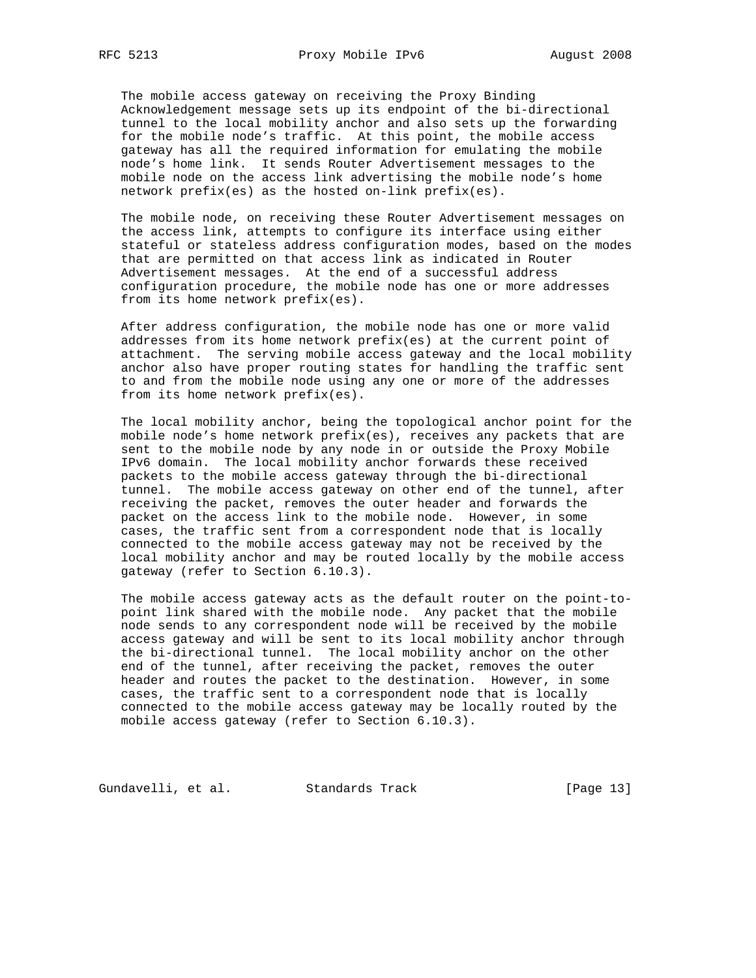The mobile access gateway on receiving the Proxy Binding Acknowledgement message sets up its endpoint of the bi-directional tunnel to the local mobility anchor and also sets up the forwarding for the mobile node's traffic. At this point, the mobile access gateway has all the required information for emulating the mobile node's home link. It sends Router Advertisement messages to the mobile node on the access link advertising the mobile node's home network prefix(es) as the hosted on-link prefix(es).

 The mobile node, on receiving these Router Advertisement messages on the access link, attempts to configure its interface using either stateful or stateless address configuration modes, based on the modes that are permitted on that access link as indicated in Router Advertisement messages. At the end of a successful address configuration procedure, the mobile node has one or more addresses from its home network prefix(es).

 After address configuration, the mobile node has one or more valid addresses from its home network prefix(es) at the current point of attachment. The serving mobile access gateway and the local mobility anchor also have proper routing states for handling the traffic sent to and from the mobile node using any one or more of the addresses from its home network prefix(es).

 The local mobility anchor, being the topological anchor point for the mobile node's home network prefix(es), receives any packets that are sent to the mobile node by any node in or outside the Proxy Mobile IPv6 domain. The local mobility anchor forwards these received packets to the mobile access gateway through the bi-directional tunnel. The mobile access gateway on other end of the tunnel, after receiving the packet, removes the outer header and forwards the packet on the access link to the mobile node. However, in some cases, the traffic sent from a correspondent node that is locally connected to the mobile access gateway may not be received by the local mobility anchor and may be routed locally by the mobile access gateway (refer to Section 6.10.3).

 The mobile access gateway acts as the default router on the point-to point link shared with the mobile node. Any packet that the mobile node sends to any correspondent node will be received by the mobile access gateway and will be sent to its local mobility anchor through the bi-directional tunnel. The local mobility anchor on the other end of the tunnel, after receiving the packet, removes the outer header and routes the packet to the destination. However, in some cases, the traffic sent to a correspondent node that is locally connected to the mobile access gateway may be locally routed by the mobile access gateway (refer to Section 6.10.3).

Gundavelli, et al. Standards Track [Page 13]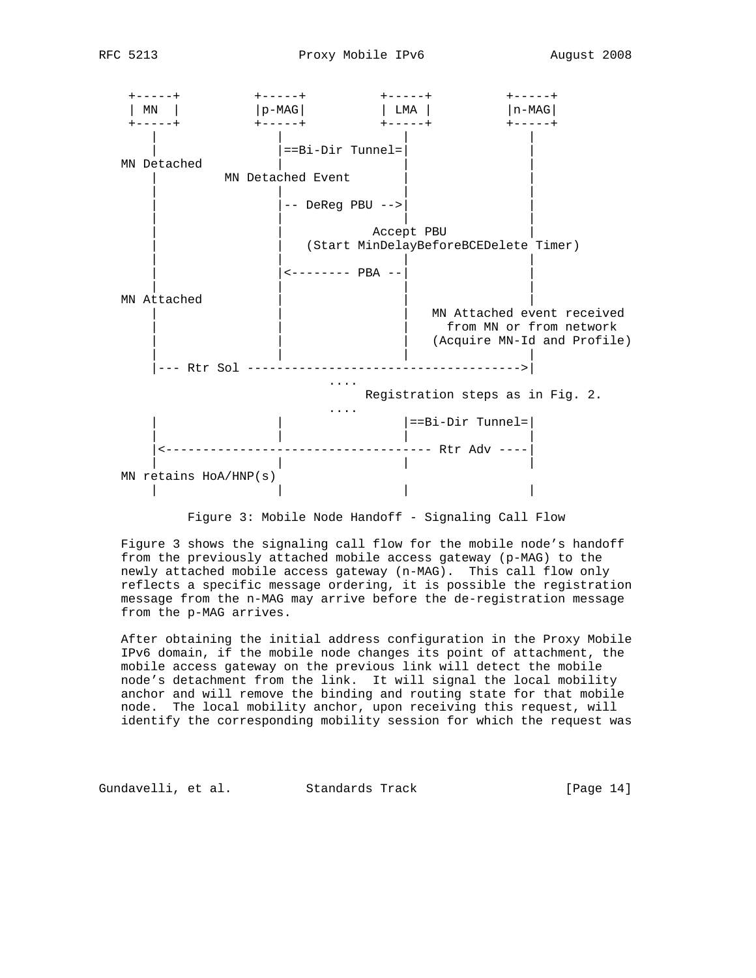

Figure 3: Mobile Node Handoff - Signaling Call Flow

 Figure 3 shows the signaling call flow for the mobile node's handoff from the previously attached mobile access gateway (p-MAG) to the newly attached mobile access gateway (n-MAG). This call flow only reflects a specific message ordering, it is possible the registration message from the n-MAG may arrive before the de-registration message from the p-MAG arrives.

 After obtaining the initial address configuration in the Proxy Mobile IPv6 domain, if the mobile node changes its point of attachment, the mobile access gateway on the previous link will detect the mobile node's detachment from the link. It will signal the local mobility anchor and will remove the binding and routing state for that mobile node. The local mobility anchor, upon receiving this request, will identify the corresponding mobility session for which the request was

Gundavelli, et al. Standards Track [Page 14]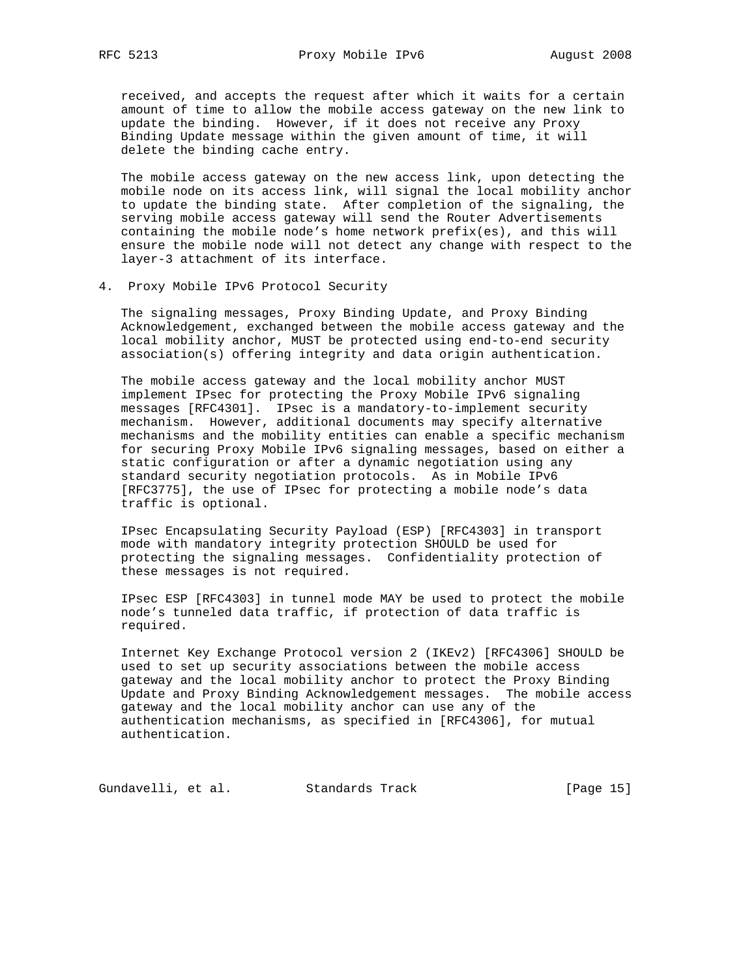received, and accepts the request after which it waits for a certain amount of time to allow the mobile access gateway on the new link to update the binding. However, if it does not receive any Proxy Binding Update message within the given amount of time, it will delete the binding cache entry.

 The mobile access gateway on the new access link, upon detecting the mobile node on its access link, will signal the local mobility anchor to update the binding state. After completion of the signaling, the serving mobile access gateway will send the Router Advertisements containing the mobile node's home network prefix(es), and this will ensure the mobile node will not detect any change with respect to the layer-3 attachment of its interface.

4. Proxy Mobile IPv6 Protocol Security

 The signaling messages, Proxy Binding Update, and Proxy Binding Acknowledgement, exchanged between the mobile access gateway and the local mobility anchor, MUST be protected using end-to-end security association(s) offering integrity and data origin authentication.

 The mobile access gateway and the local mobility anchor MUST implement IPsec for protecting the Proxy Mobile IPv6 signaling messages [RFC4301]. IPsec is a mandatory-to-implement security mechanism. However, additional documents may specify alternative mechanisms and the mobility entities can enable a specific mechanism for securing Proxy Mobile IPv6 signaling messages, based on either a static configuration or after a dynamic negotiation using any standard security negotiation protocols. As in Mobile IPv6 [RFC3775], the use of IPsec for protecting a mobile node's data traffic is optional.

 IPsec Encapsulating Security Payload (ESP) [RFC4303] in transport mode with mandatory integrity protection SHOULD be used for protecting the signaling messages. Confidentiality protection of these messages is not required.

 IPsec ESP [RFC4303] in tunnel mode MAY be used to protect the mobile node's tunneled data traffic, if protection of data traffic is required.

 Internet Key Exchange Protocol version 2 (IKEv2) [RFC4306] SHOULD be used to set up security associations between the mobile access gateway and the local mobility anchor to protect the Proxy Binding Update and Proxy Binding Acknowledgement messages. The mobile access gateway and the local mobility anchor can use any of the authentication mechanisms, as specified in [RFC4306], for mutual authentication.

Gundavelli, et al. Standards Track [Page 15]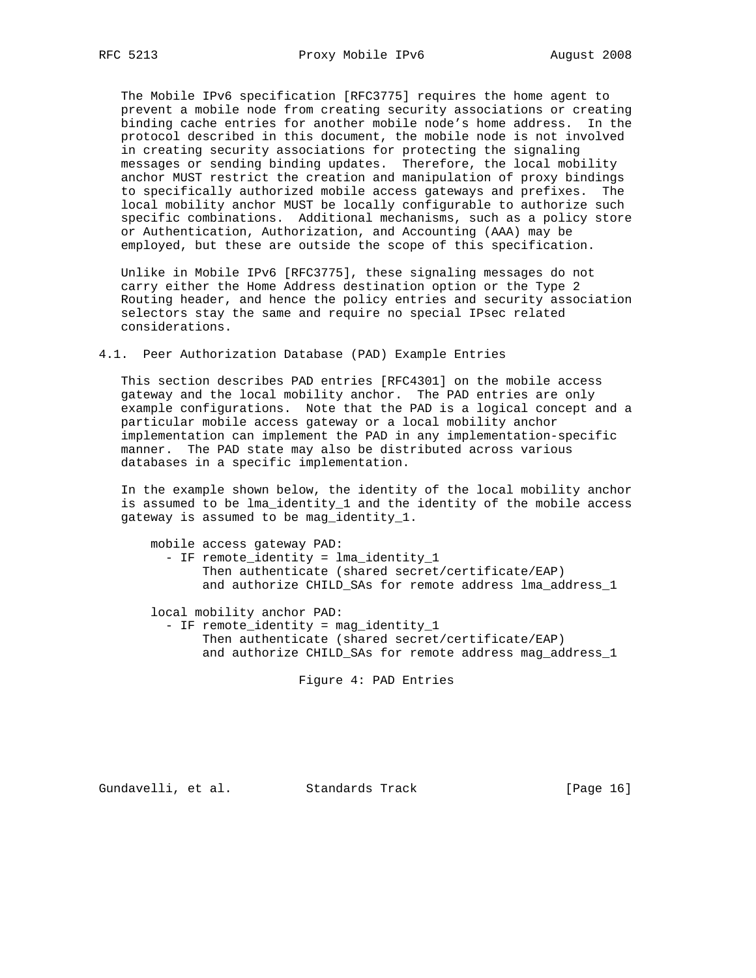The Mobile IPv6 specification [RFC3775] requires the home agent to prevent a mobile node from creating security associations or creating binding cache entries for another mobile node's home address. In the protocol described in this document, the mobile node is not involved in creating security associations for protecting the signaling messages or sending binding updates. Therefore, the local mobility anchor MUST restrict the creation and manipulation of proxy bindings to specifically authorized mobile access gateways and prefixes. The local mobility anchor MUST be locally configurable to authorize such specific combinations. Additional mechanisms, such as a policy store or Authentication, Authorization, and Accounting (AAA) may be employed, but these are outside the scope of this specification.

 Unlike in Mobile IPv6 [RFC3775], these signaling messages do not carry either the Home Address destination option or the Type 2 Routing header, and hence the policy entries and security association selectors stay the same and require no special IPsec related considerations.

4.1. Peer Authorization Database (PAD) Example Entries

 This section describes PAD entries [RFC4301] on the mobile access gateway and the local mobility anchor. The PAD entries are only example configurations. Note that the PAD is a logical concept and a particular mobile access gateway or a local mobility anchor implementation can implement the PAD in any implementation-specific manner. The PAD state may also be distributed across various databases in a specific implementation.

 In the example shown below, the identity of the local mobility anchor is assumed to be lma\_identity\_1 and the identity of the mobile access gateway is assumed to be mag\_identity\_1.

```
 mobile access gateway PAD:
 - IF remote_identity = lma_identity_1
       Then authenticate (shared secret/certificate/EAP)
       and authorize CHILD_SAs for remote address lma_address_1
local mobility anchor PAD:
```
- IF remote identity = mag\_identity 1 Then authenticate (shared secret/certificate/EAP) and authorize CHILD\_SAs for remote address mag\_address\_1

Figure 4: PAD Entries

Gundavelli, et al. Standards Track [Page 16]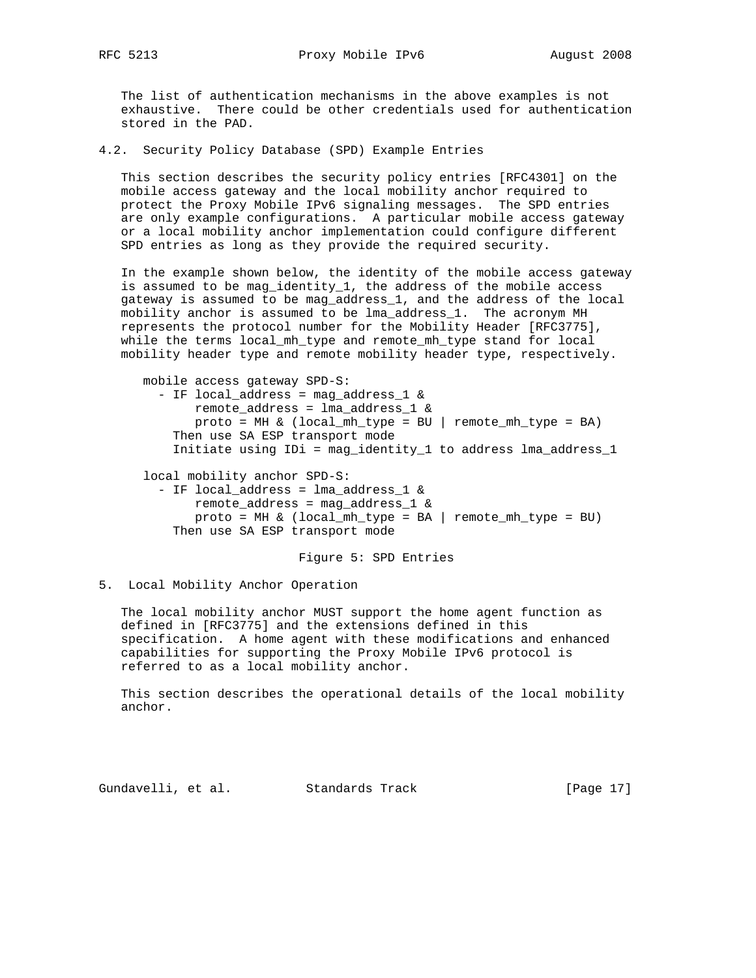The list of authentication mechanisms in the above examples is not exhaustive. There could be other credentials used for authentication stored in the PAD.

4.2. Security Policy Database (SPD) Example Entries

 This section describes the security policy entries [RFC4301] on the mobile access gateway and the local mobility anchor required to protect the Proxy Mobile IPv6 signaling messages. The SPD entries are only example configurations. A particular mobile access gateway or a local mobility anchor implementation could configure different SPD entries as long as they provide the required security.

 In the example shown below, the identity of the mobile access gateway is assumed to be mag\_identity\_1, the address of the mobile access gateway is assumed to be mag\_address\_1, and the address of the local mobility anchor is assumed to be lma\_address\_1. The acronym MH represents the protocol number for the Mobility Header [RFC3775], while the terms local\_mh\_type and remote\_mh\_type stand for local mobility header type and remote mobility header type, respectively.

 mobile access gateway SPD-S: - IF local\_address = mag\_address\_1 & remote\_address = lma\_address\_1 &  $proto = MH & (local_mh_type = BU | remote_mh_type = BA)$  Then use SA ESP transport mode Initiate using IDi = mag\_identity\_1 to address lma\_address\_1 local mobility anchor SPD-S: - IF local\_address = lma\_address\_1 & remote address = mag\_address  $1 \&$ proto = MH  $\&$  (local\_mh\_type = BA | remote\_mh\_type = BU) Then use SA ESP transport mode

Figure 5: SPD Entries

5. Local Mobility Anchor Operation

 The local mobility anchor MUST support the home agent function as defined in [RFC3775] and the extensions defined in this specification. A home agent with these modifications and enhanced capabilities for supporting the Proxy Mobile IPv6 protocol is referred to as a local mobility anchor.

 This section describes the operational details of the local mobility anchor.

Gundavelli, et al. Standards Track [Page 17]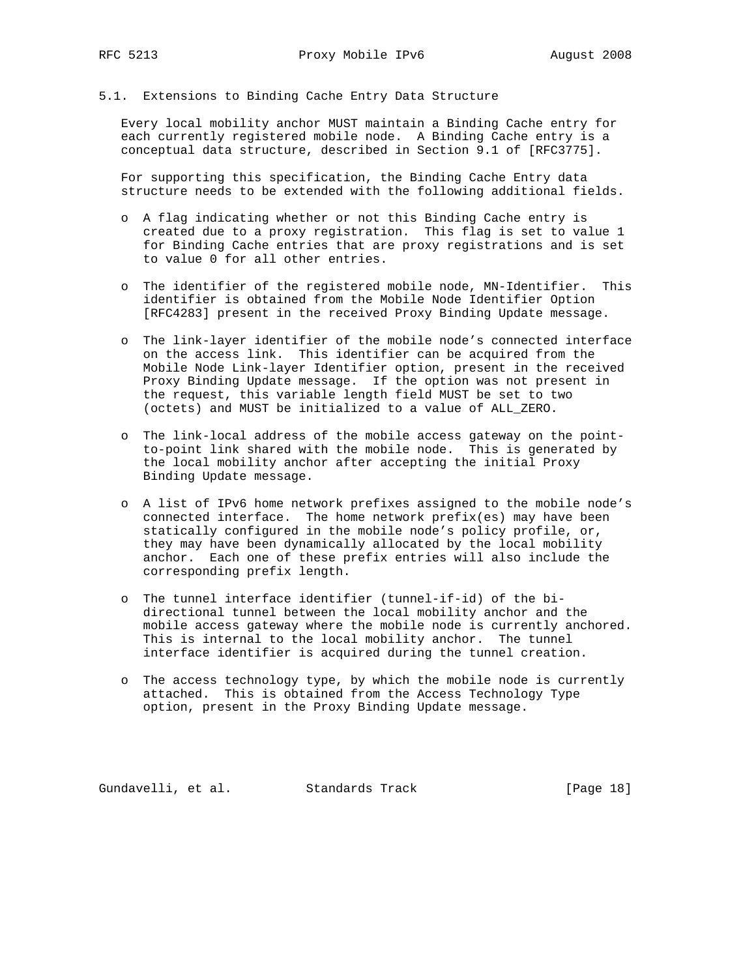### 5.1. Extensions to Binding Cache Entry Data Structure

 Every local mobility anchor MUST maintain a Binding Cache entry for each currently registered mobile node. A Binding Cache entry is a conceptual data structure, described in Section 9.1 of [RFC3775].

 For supporting this specification, the Binding Cache Entry data structure needs to be extended with the following additional fields.

- o A flag indicating whether or not this Binding Cache entry is created due to a proxy registration. This flag is set to value 1 for Binding Cache entries that are proxy registrations and is set to value 0 for all other entries.
- o The identifier of the registered mobile node, MN-Identifier. This identifier is obtained from the Mobile Node Identifier Option [RFC4283] present in the received Proxy Binding Update message.
- o The link-layer identifier of the mobile node's connected interface on the access link. This identifier can be acquired from the Mobile Node Link-layer Identifier option, present in the received Proxy Binding Update message. If the option was not present in the request, this variable length field MUST be set to two (octets) and MUST be initialized to a value of ALL\_ZERO.
- o The link-local address of the mobile access gateway on the point to-point link shared with the mobile node. This is generated by the local mobility anchor after accepting the initial Proxy Binding Update message.
- o A list of IPv6 home network prefixes assigned to the mobile node's connected interface. The home network prefix(es) may have been statically configured in the mobile node's policy profile, or, they may have been dynamically allocated by the local mobility anchor. Each one of these prefix entries will also include the corresponding prefix length.
- o The tunnel interface identifier (tunnel-if-id) of the bi directional tunnel between the local mobility anchor and the mobile access gateway where the mobile node is currently anchored. This is internal to the local mobility anchor. The tunnel interface identifier is acquired during the tunnel creation.
- o The access technology type, by which the mobile node is currently attached. This is obtained from the Access Technology Type option, present in the Proxy Binding Update message.

Gundavelli, et al. Standards Track [Page 18]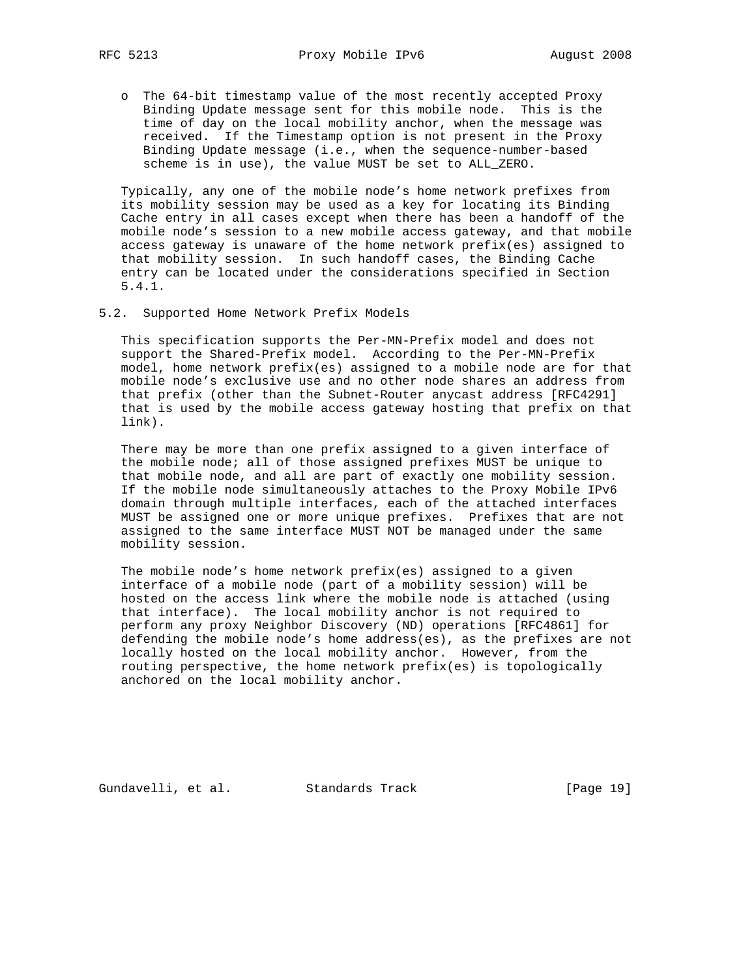o The 64-bit timestamp value of the most recently accepted Proxy Binding Update message sent for this mobile node. This is the time of day on the local mobility anchor, when the message was received. If the Timestamp option is not present in the Proxy Binding Update message (i.e., when the sequence-number-based scheme is in use), the value MUST be set to ALL\_ZERO.

 Typically, any one of the mobile node's home network prefixes from its mobility session may be used as a key for locating its Binding Cache entry in all cases except when there has been a handoff of the mobile node's session to a new mobile access gateway, and that mobile access gateway is unaware of the home network prefix(es) assigned to that mobility session. In such handoff cases, the Binding Cache entry can be located under the considerations specified in Section 5.4.1.

5.2. Supported Home Network Prefix Models

 This specification supports the Per-MN-Prefix model and does not support the Shared-Prefix model. According to the Per-MN-Prefix model, home network prefix(es) assigned to a mobile node are for that mobile node's exclusive use and no other node shares an address from that prefix (other than the Subnet-Router anycast address [RFC4291] that is used by the mobile access gateway hosting that prefix on that link).

 There may be more than one prefix assigned to a given interface of the mobile node; all of those assigned prefixes MUST be unique to that mobile node, and all are part of exactly one mobility session. If the mobile node simultaneously attaches to the Proxy Mobile IPv6 domain through multiple interfaces, each of the attached interfaces MUST be assigned one or more unique prefixes. Prefixes that are not assigned to the same interface MUST NOT be managed under the same mobility session.

 The mobile node's home network prefix(es) assigned to a given interface of a mobile node (part of a mobility session) will be hosted on the access link where the mobile node is attached (using that interface). The local mobility anchor is not required to perform any proxy Neighbor Discovery (ND) operations [RFC4861] for defending the mobile node's home address(es), as the prefixes are not locally hosted on the local mobility anchor. However, from the routing perspective, the home network prefix(es) is topologically anchored on the local mobility anchor.

Gundavelli, et al. Standards Track [Page 19]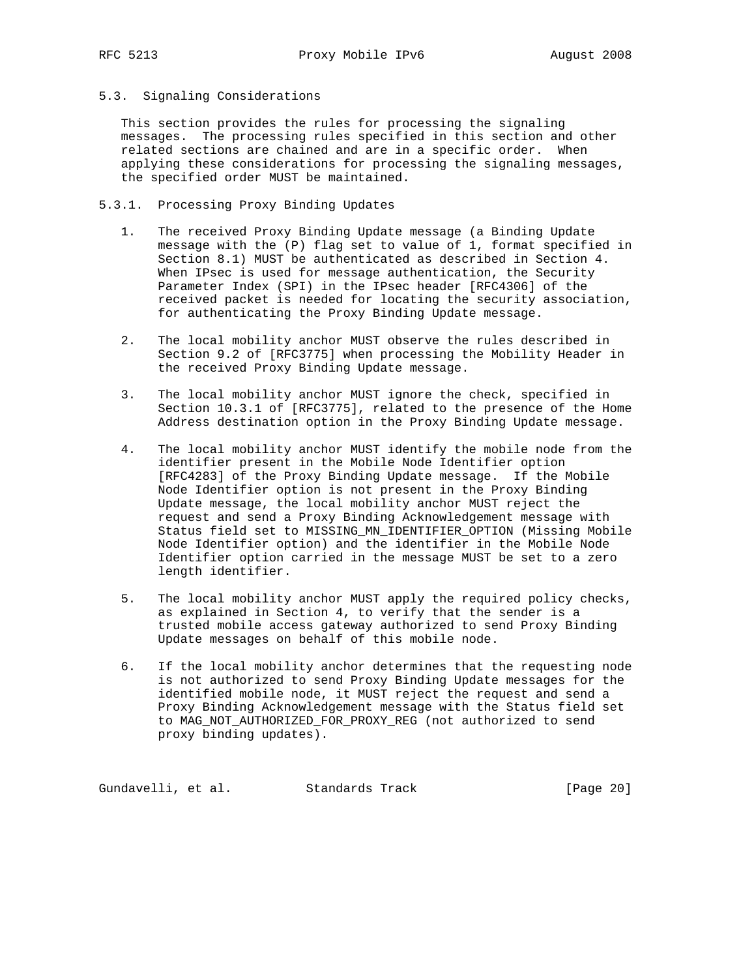5.3. Signaling Considerations

 This section provides the rules for processing the signaling messages. The processing rules specified in this section and other related sections are chained and are in a specific order. When applying these considerations for processing the signaling messages, the specified order MUST be maintained.

- 5.3.1. Processing Proxy Binding Updates
	- 1. The received Proxy Binding Update message (a Binding Update message with the (P) flag set to value of 1, format specified in Section 8.1) MUST be authenticated as described in Section 4. When IPsec is used for message authentication, the Security Parameter Index (SPI) in the IPsec header [RFC4306] of the received packet is needed for locating the security association, for authenticating the Proxy Binding Update message.
	- 2. The local mobility anchor MUST observe the rules described in Section 9.2 of [RFC3775] when processing the Mobility Header in the received Proxy Binding Update message.
	- 3. The local mobility anchor MUST ignore the check, specified in Section 10.3.1 of [RFC3775], related to the presence of the Home Address destination option in the Proxy Binding Update message.
	- 4. The local mobility anchor MUST identify the mobile node from the identifier present in the Mobile Node Identifier option [RFC4283] of the Proxy Binding Update message. If the Mobile Node Identifier option is not present in the Proxy Binding Update message, the local mobility anchor MUST reject the request and send a Proxy Binding Acknowledgement message with Status field set to MISSING\_MN\_IDENTIFIER\_OPTION (Missing Mobile Node Identifier option) and the identifier in the Mobile Node Identifier option carried in the message MUST be set to a zero length identifier.
	- 5. The local mobility anchor MUST apply the required policy checks, as explained in Section 4, to verify that the sender is a trusted mobile access gateway authorized to send Proxy Binding Update messages on behalf of this mobile node.
	- 6. If the local mobility anchor determines that the requesting node is not authorized to send Proxy Binding Update messages for the identified mobile node, it MUST reject the request and send a Proxy Binding Acknowledgement message with the Status field set to MAG\_NOT\_AUTHORIZED\_FOR\_PROXY\_REG (not authorized to send proxy binding updates).

Gundavelli, et al. Standards Track [Page 20]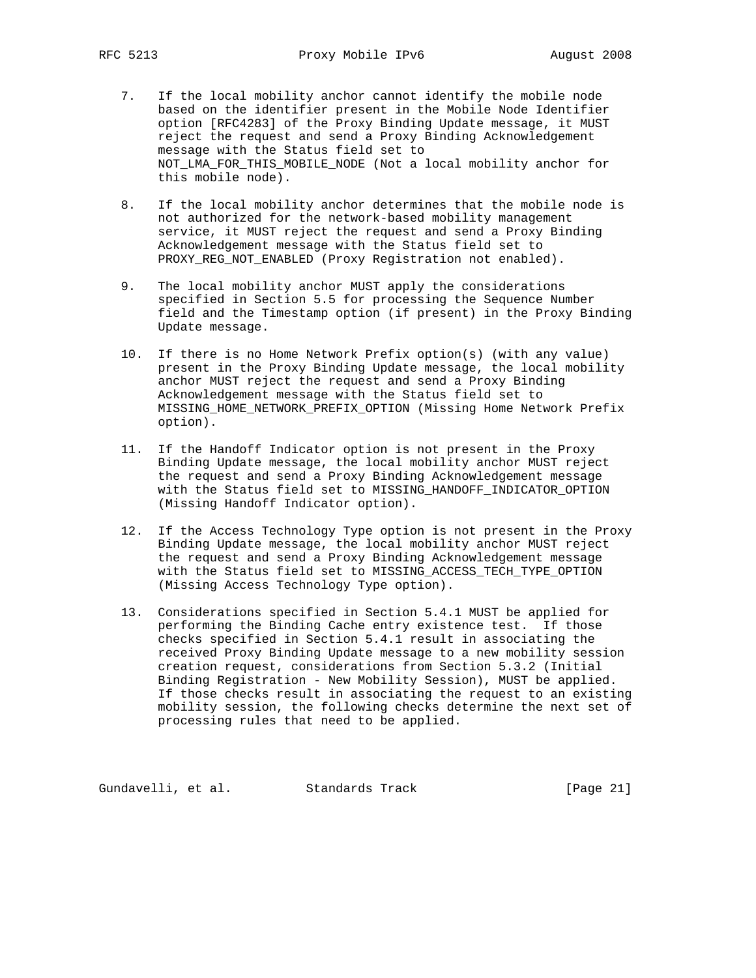- 7. If the local mobility anchor cannot identify the mobile node based on the identifier present in the Mobile Node Identifier option [RFC4283] of the Proxy Binding Update message, it MUST reject the request and send a Proxy Binding Acknowledgement message with the Status field set to NOT\_LMA\_FOR\_THIS\_MOBILE\_NODE (Not a local mobility anchor for this mobile node).
- 8. If the local mobility anchor determines that the mobile node is not authorized for the network-based mobility management service, it MUST reject the request and send a Proxy Binding Acknowledgement message with the Status field set to PROXY\_REG\_NOT\_ENABLED (Proxy Registration not enabled).
- 9. The local mobility anchor MUST apply the considerations specified in Section 5.5 for processing the Sequence Number field and the Timestamp option (if present) in the Proxy Binding Update message.
- 10. If there is no Home Network Prefix option(s) (with any value) present in the Proxy Binding Update message, the local mobility anchor MUST reject the request and send a Proxy Binding Acknowledgement message with the Status field set to MISSING\_HOME\_NETWORK\_PREFIX\_OPTION (Missing Home Network Prefix option).
- 11. If the Handoff Indicator option is not present in the Proxy Binding Update message, the local mobility anchor MUST reject the request and send a Proxy Binding Acknowledgement message with the Status field set to MISSING\_HANDOFF\_INDICATOR\_OPTION (Missing Handoff Indicator option).
- 12. If the Access Technology Type option is not present in the Proxy Binding Update message, the local mobility anchor MUST reject the request and send a Proxy Binding Acknowledgement message with the Status field set to MISSING\_ACCESS\_TECH\_TYPE\_OPTION (Missing Access Technology Type option).
- 13. Considerations specified in Section 5.4.1 MUST be applied for performing the Binding Cache entry existence test. If those checks specified in Section 5.4.1 result in associating the received Proxy Binding Update message to a new mobility session creation request, considerations from Section 5.3.2 (Initial Binding Registration - New Mobility Session), MUST be applied. If those checks result in associating the request to an existing mobility session, the following checks determine the next set of processing rules that need to be applied.

Gundavelli, et al. Standards Track [Page 21]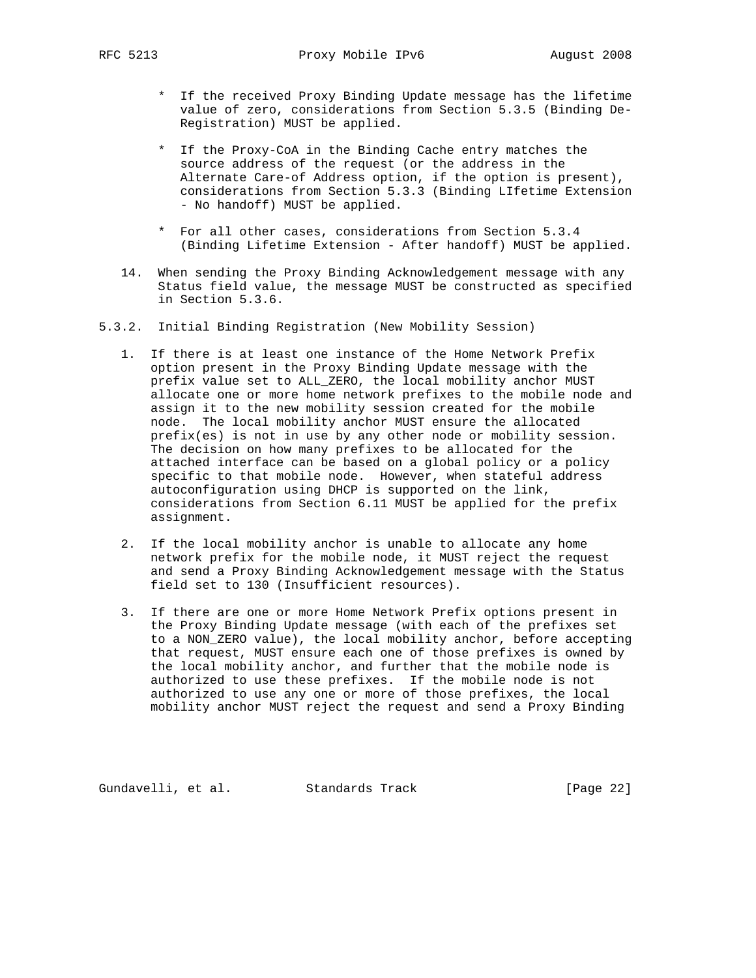- \* If the received Proxy Binding Update message has the lifetime value of zero, considerations from Section 5.3.5 (Binding De- Registration) MUST be applied.
- \* If the Proxy-CoA in the Binding Cache entry matches the source address of the request (or the address in the Alternate Care-of Address option, if the option is present), considerations from Section 5.3.3 (Binding LIfetime Extension - No handoff) MUST be applied.
- \* For all other cases, considerations from Section 5.3.4 (Binding Lifetime Extension - After handoff) MUST be applied.
- 14. When sending the Proxy Binding Acknowledgement message with any Status field value, the message MUST be constructed as specified in Section 5.3.6.
- 5.3.2. Initial Binding Registration (New Mobility Session)
	- 1. If there is at least one instance of the Home Network Prefix option present in the Proxy Binding Update message with the prefix value set to ALL\_ZERO, the local mobility anchor MUST allocate one or more home network prefixes to the mobile node and assign it to the new mobility session created for the mobile node. The local mobility anchor MUST ensure the allocated prefix(es) is not in use by any other node or mobility session. The decision on how many prefixes to be allocated for the attached interface can be based on a global policy or a policy specific to that mobile node. However, when stateful address autoconfiguration using DHCP is supported on the link, considerations from Section 6.11 MUST be applied for the prefix assignment.
	- 2. If the local mobility anchor is unable to allocate any home network prefix for the mobile node, it MUST reject the request and send a Proxy Binding Acknowledgement message with the Status field set to 130 (Insufficient resources).
	- 3. If there are one or more Home Network Prefix options present in the Proxy Binding Update message (with each of the prefixes set to a NON\_ZERO value), the local mobility anchor, before accepting that request, MUST ensure each one of those prefixes is owned by the local mobility anchor, and further that the mobile node is authorized to use these prefixes. If the mobile node is not authorized to use any one or more of those prefixes, the local mobility anchor MUST reject the request and send a Proxy Binding

Gundavelli, et al. Standards Track [Page 22]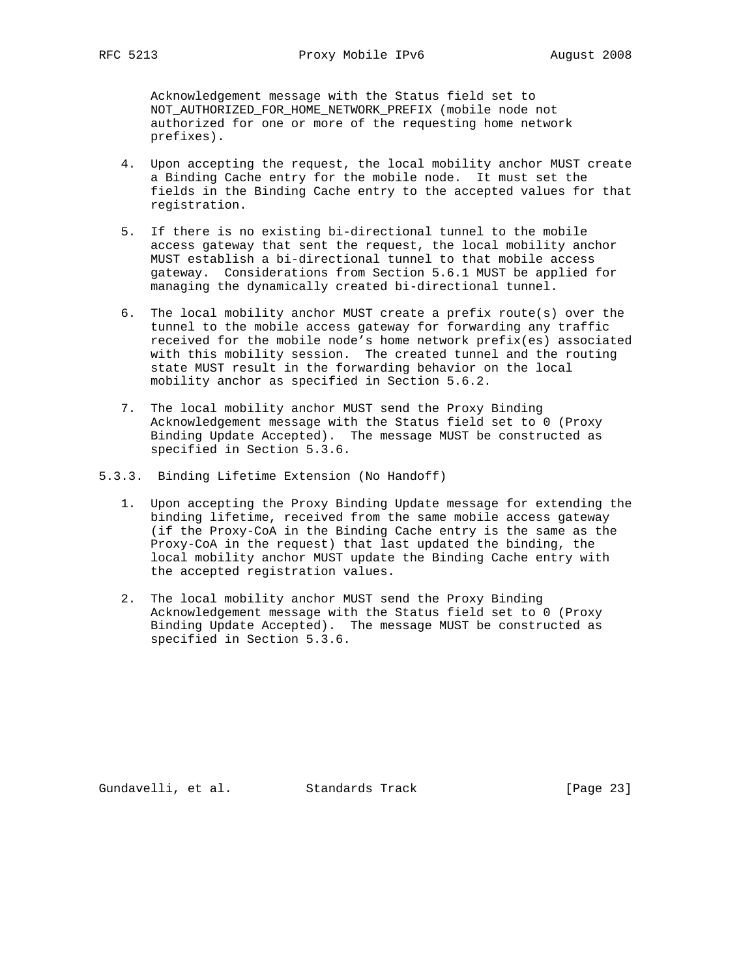Acknowledgement message with the Status field set to NOT\_AUTHORIZED\_FOR\_HOME\_NETWORK\_PREFIX (mobile node not authorized for one or more of the requesting home network prefixes).

- 4. Upon accepting the request, the local mobility anchor MUST create a Binding Cache entry for the mobile node. It must set the fields in the Binding Cache entry to the accepted values for that registration.
- 5. If there is no existing bi-directional tunnel to the mobile access gateway that sent the request, the local mobility anchor MUST establish a bi-directional tunnel to that mobile access gateway. Considerations from Section 5.6.1 MUST be applied for managing the dynamically created bi-directional tunnel.
- 6. The local mobility anchor MUST create a prefix route(s) over the tunnel to the mobile access gateway for forwarding any traffic received for the mobile node's home network prefix(es) associated with this mobility session. The created tunnel and the routing state MUST result in the forwarding behavior on the local mobility anchor as specified in Section 5.6.2.
- 7. The local mobility anchor MUST send the Proxy Binding Acknowledgement message with the Status field set to 0 (Proxy Binding Update Accepted). The message MUST be constructed as specified in Section 5.3.6.
- 5.3.3. Binding Lifetime Extension (No Handoff)
	- 1. Upon accepting the Proxy Binding Update message for extending the binding lifetime, received from the same mobile access gateway (if the Proxy-CoA in the Binding Cache entry is the same as the Proxy-CoA in the request) that last updated the binding, the local mobility anchor MUST update the Binding Cache entry with the accepted registration values.
	- 2. The local mobility anchor MUST send the Proxy Binding Acknowledgement message with the Status field set to 0 (Proxy Binding Update Accepted). The message MUST be constructed as specified in Section 5.3.6.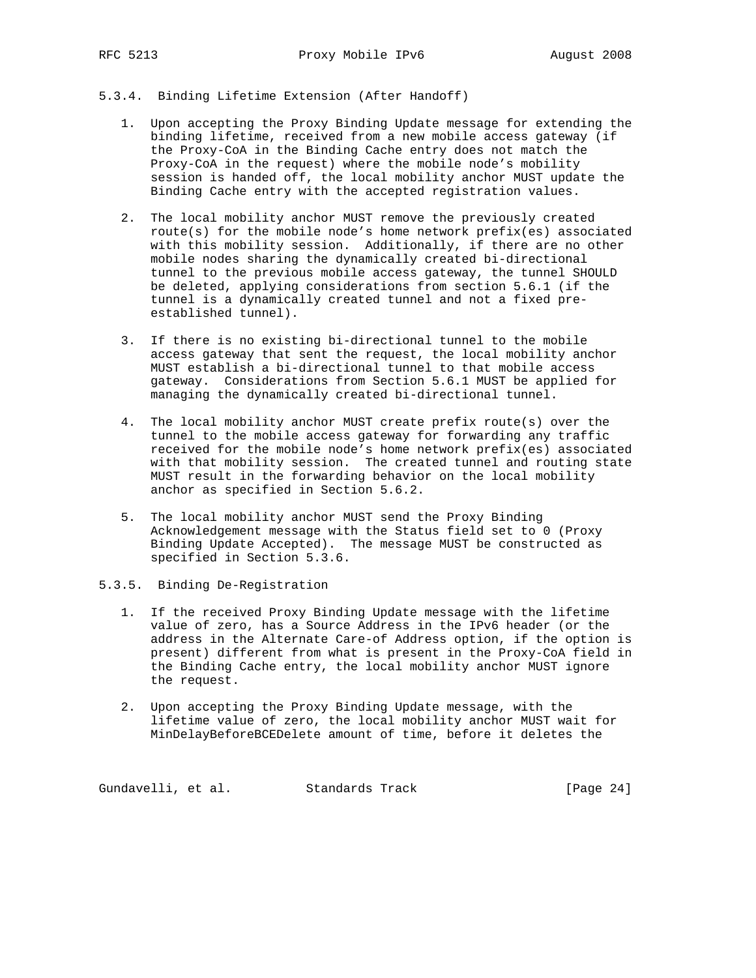# 5.3.4. Binding Lifetime Extension (After Handoff)

- 1. Upon accepting the Proxy Binding Update message for extending the binding lifetime, received from a new mobile access gateway (if the Proxy-CoA in the Binding Cache entry does not match the Proxy-CoA in the request) where the mobile node's mobility session is handed off, the local mobility anchor MUST update the Binding Cache entry with the accepted registration values.
- 2. The local mobility anchor MUST remove the previously created route(s) for the mobile node's home network prefix(es) associated with this mobility session. Additionally, if there are no other mobile nodes sharing the dynamically created bi-directional tunnel to the previous mobile access gateway, the tunnel SHOULD be deleted, applying considerations from section 5.6.1 (if the tunnel is a dynamically created tunnel and not a fixed pre established tunnel).
- 3. If there is no existing bi-directional tunnel to the mobile access gateway that sent the request, the local mobility anchor MUST establish a bi-directional tunnel to that mobile access gateway. Considerations from Section 5.6.1 MUST be applied for managing the dynamically created bi-directional tunnel.
- 4. The local mobility anchor MUST create prefix route(s) over the tunnel to the mobile access gateway for forwarding any traffic received for the mobile node's home network prefix(es) associated with that mobility session. The created tunnel and routing state MUST result in the forwarding behavior on the local mobility anchor as specified in Section 5.6.2.
- 5. The local mobility anchor MUST send the Proxy Binding Acknowledgement message with the Status field set to 0 (Proxy Binding Update Accepted). The message MUST be constructed as specified in Section 5.3.6.
- 5.3.5. Binding De-Registration
	- 1. If the received Proxy Binding Update message with the lifetime value of zero, has a Source Address in the IPv6 header (or the address in the Alternate Care-of Address option, if the option is present) different from what is present in the Proxy-CoA field in the Binding Cache entry, the local mobility anchor MUST ignore the request.
	- 2. Upon accepting the Proxy Binding Update message, with the lifetime value of zero, the local mobility anchor MUST wait for MinDelayBeforeBCEDelete amount of time, before it deletes the

Gundavelli, et al. Standards Track [Page 24]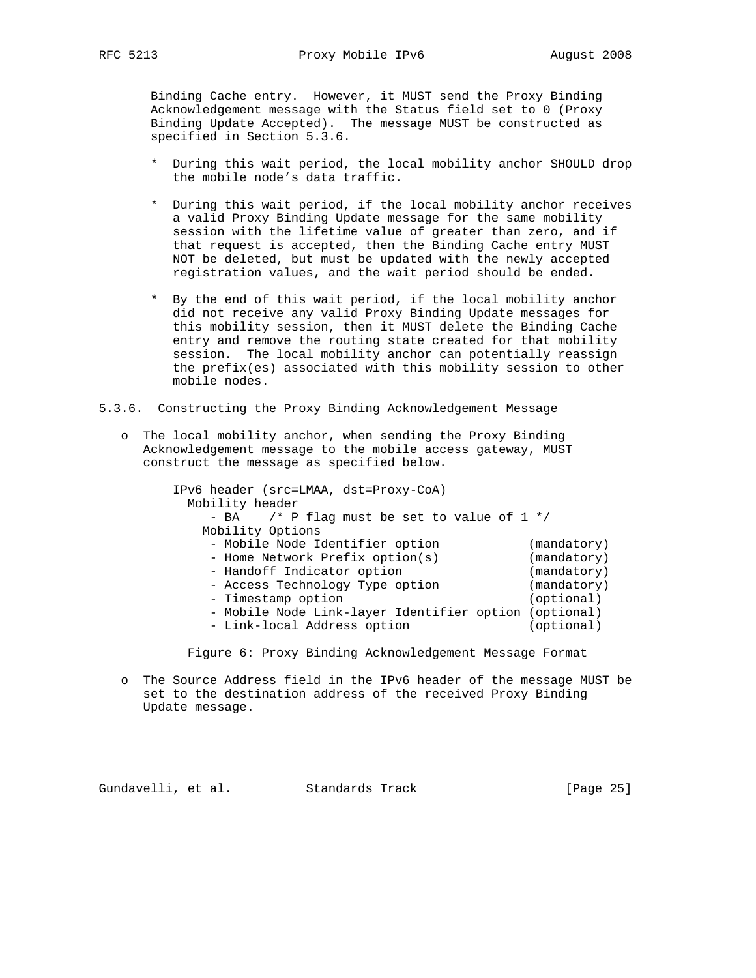Binding Cache entry. However, it MUST send the Proxy Binding Acknowledgement message with the Status field set to 0 (Proxy Binding Update Accepted). The message MUST be constructed as specified in Section 5.3.6.

- \* During this wait period, the local mobility anchor SHOULD drop the mobile node's data traffic.
- \* During this wait period, if the local mobility anchor receives a valid Proxy Binding Update message for the same mobility session with the lifetime value of greater than zero, and if that request is accepted, then the Binding Cache entry MUST NOT be deleted, but must be updated with the newly accepted registration values, and the wait period should be ended.
- \* By the end of this wait period, if the local mobility anchor did not receive any valid Proxy Binding Update messages for this mobility session, then it MUST delete the Binding Cache entry and remove the routing state created for that mobility session. The local mobility anchor can potentially reassign the prefix(es) associated with this mobility session to other mobile nodes.
- 5.3.6. Constructing the Proxy Binding Acknowledgement Message
	- o The local mobility anchor, when sending the Proxy Binding Acknowledgement message to the mobile access gateway, MUST construct the message as specified below.

 IPv6 header (src=LMAA, dst=Proxy-CoA) Mobility header - BA  $/$ \* P flag must be set to value of 1 \*/ Mobility Options - Mobile Node Identifier option (mandatory) - Home Network Prefix option(s) (mandatory) - Handoff Indicator option (mandatory) - Access Technology Type option (mandatory) - Timestamp option (optional) - Mobile Node Link-layer Identifier option (optional) - Link-local Address option (optional)

Figure 6: Proxy Binding Acknowledgement Message Format

 o The Source Address field in the IPv6 header of the message MUST be set to the destination address of the received Proxy Binding Update message.

Gundavelli, et al. Standards Track [Page 25]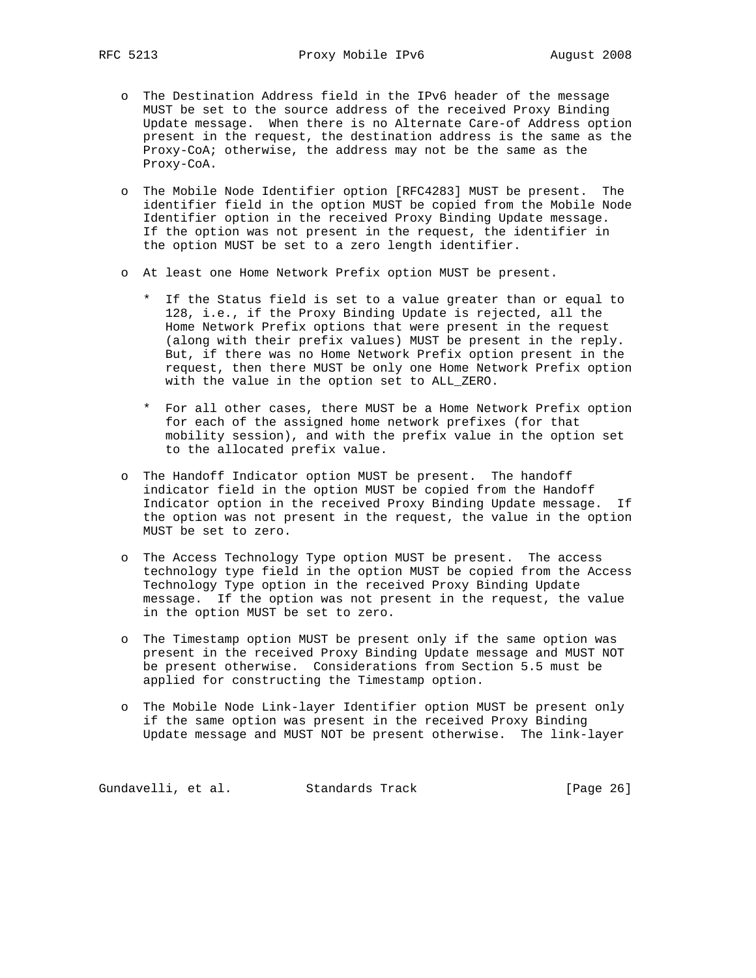- o The Destination Address field in the IPv6 header of the message MUST be set to the source address of the received Proxy Binding Update message. When there is no Alternate Care-of Address option present in the request, the destination address is the same as the Proxy-CoA; otherwise, the address may not be the same as the Proxy-CoA.
- o The Mobile Node Identifier option [RFC4283] MUST be present. The identifier field in the option MUST be copied from the Mobile Node Identifier option in the received Proxy Binding Update message. If the option was not present in the request, the identifier in the option MUST be set to a zero length identifier.
- o At least one Home Network Prefix option MUST be present.
	- \* If the Status field is set to a value greater than or equal to 128, i.e., if the Proxy Binding Update is rejected, all the Home Network Prefix options that were present in the request (along with their prefix values) MUST be present in the reply. But, if there was no Home Network Prefix option present in the request, then there MUST be only one Home Network Prefix option with the value in the option set to ALL\_ZERO.
	- \* For all other cases, there MUST be a Home Network Prefix option for each of the assigned home network prefixes (for that mobility session), and with the prefix value in the option set to the allocated prefix value.
- o The Handoff Indicator option MUST be present. The handoff indicator field in the option MUST be copied from the Handoff Indicator option in the received Proxy Binding Update message. If the option was not present in the request, the value in the option MUST be set to zero.
- o The Access Technology Type option MUST be present. The access technology type field in the option MUST be copied from the Access Technology Type option in the received Proxy Binding Update message. If the option was not present in the request, the value in the option MUST be set to zero.
- o The Timestamp option MUST be present only if the same option was present in the received Proxy Binding Update message and MUST NOT be present otherwise. Considerations from Section 5.5 must be applied for constructing the Timestamp option.
- o The Mobile Node Link-layer Identifier option MUST be present only if the same option was present in the received Proxy Binding Update message and MUST NOT be present otherwise. The link-layer

Gundavelli, et al. Standards Track [Page 26]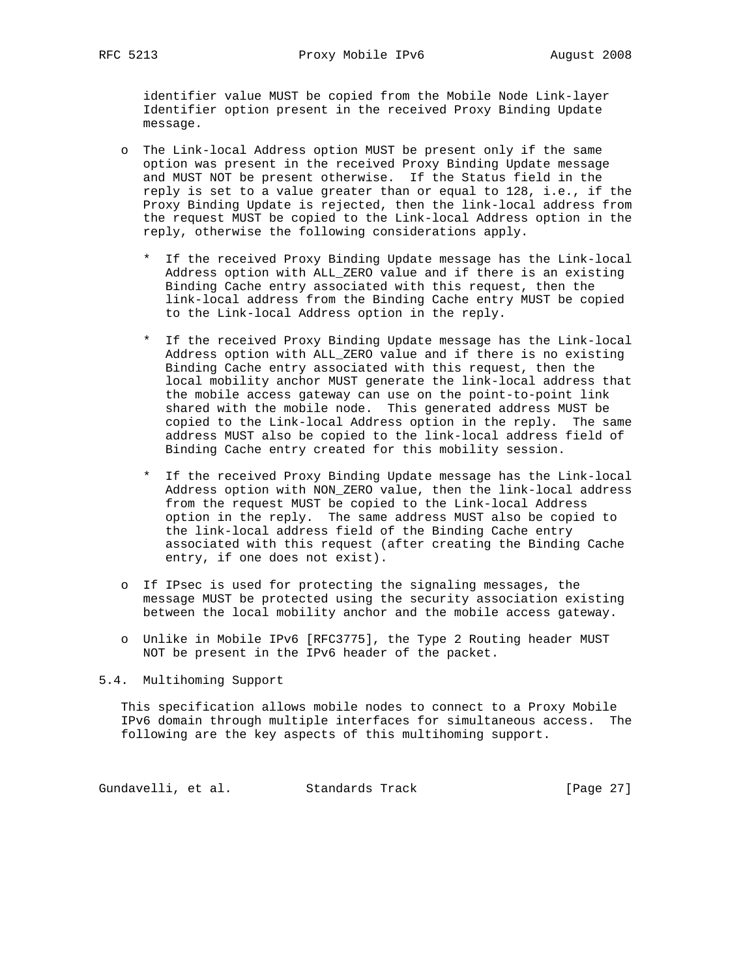identifier value MUST be copied from the Mobile Node Link-layer Identifier option present in the received Proxy Binding Update message.

- o The Link-local Address option MUST be present only if the same option was present in the received Proxy Binding Update message and MUST NOT be present otherwise. If the Status field in the reply is set to a value greater than or equal to 128, i.e., if the Proxy Binding Update is rejected, then the link-local address from the request MUST be copied to the Link-local Address option in the reply, otherwise the following considerations apply.
	- \* If the received Proxy Binding Update message has the Link-local Address option with ALL\_ZERO value and if there is an existing Binding Cache entry associated with this request, then the link-local address from the Binding Cache entry MUST be copied to the Link-local Address option in the reply.
	- \* If the received Proxy Binding Update message has the Link-local Address option with ALL\_ZERO value and if there is no existing Binding Cache entry associated with this request, then the local mobility anchor MUST generate the link-local address that the mobile access gateway can use on the point-to-point link shared with the mobile node. This generated address MUST be copied to the Link-local Address option in the reply. The same address MUST also be copied to the link-local address field of Binding Cache entry created for this mobility session.
	- \* If the received Proxy Binding Update message has the Link-local Address option with NON\_ZERO value, then the link-local address from the request MUST be copied to the Link-local Address option in the reply. The same address MUST also be copied to the link-local address field of the Binding Cache entry associated with this request (after creating the Binding Cache entry, if one does not exist).
- o If IPsec is used for protecting the signaling messages, the message MUST be protected using the security association existing between the local mobility anchor and the mobile access gateway.
- o Unlike in Mobile IPv6 [RFC3775], the Type 2 Routing header MUST NOT be present in the IPv6 header of the packet.

5.4. Multihoming Support

 This specification allows mobile nodes to connect to a Proxy Mobile IPv6 domain through multiple interfaces for simultaneous access. The following are the key aspects of this multihoming support.

Gundavelli, et al. Standards Track [Page 27]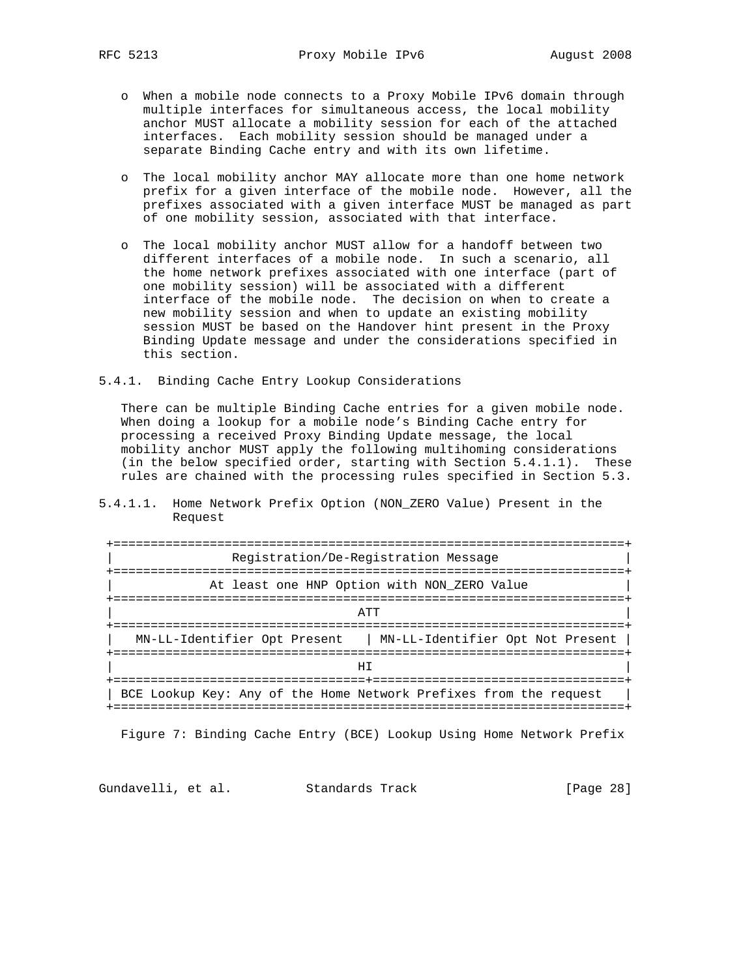- o When a mobile node connects to a Proxy Mobile IPv6 domain through multiple interfaces for simultaneous access, the local mobility anchor MUST allocate a mobility session for each of the attached interfaces. Each mobility session should be managed under a separate Binding Cache entry and with its own lifetime.
- o The local mobility anchor MAY allocate more than one home network prefix for a given interface of the mobile node. However, all the prefixes associated with a given interface MUST be managed as part of one mobility session, associated with that interface.
- o The local mobility anchor MUST allow for a handoff between two different interfaces of a mobile node. In such a scenario, all the home network prefixes associated with one interface (part of one mobility session) will be associated with a different interface of the mobile node. The decision on when to create a new mobility session and when to update an existing mobility session MUST be based on the Handover hint present in the Proxy Binding Update message and under the considerations specified in this section.
- 5.4.1. Binding Cache Entry Lookup Considerations

 There can be multiple Binding Cache entries for a given mobile node. When doing a lookup for a mobile node's Binding Cache entry for processing a received Proxy Binding Update message, the local mobility anchor MUST apply the following multihoming considerations (in the below specified order, starting with Section 5.4.1.1). These rules are chained with the processing rules specified in Section 5.3.

5.4.1.1. Home Network Prefix Option (NON\_ZERO Value) Present in the Request

| Registration/De-Registration Message                               |
|--------------------------------------------------------------------|
| __________________                                                 |
| At least one HNP Option with NON ZERO Value                        |
|                                                                    |
| ΆTT                                                                |
|                                                                    |
| MN-LL-Identifier Opt Present<br>  MN-LL-Identifier Opt Not Present |
|                                                                    |
| HТ                                                                 |
|                                                                    |
| BCE Lookup Key: Any of the Home Network Prefixes from the request  |
| ======================================                             |

Figure 7: Binding Cache Entry (BCE) Lookup Using Home Network Prefix

Gundavelli, et al. Standards Track [Page 28]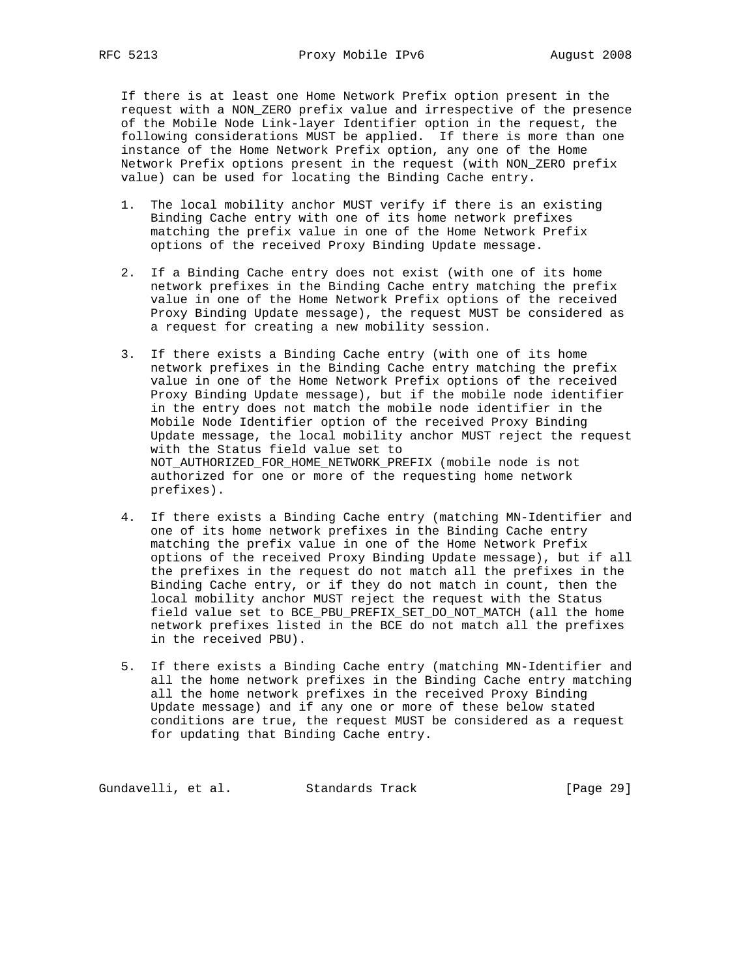If there is at least one Home Network Prefix option present in the request with a NON\_ZERO prefix value and irrespective of the presence of the Mobile Node Link-layer Identifier option in the request, the following considerations MUST be applied. If there is more than one instance of the Home Network Prefix option, any one of the Home Network Prefix options present in the request (with NON\_ZERO prefix value) can be used for locating the Binding Cache entry.

- 1. The local mobility anchor MUST verify if there is an existing Binding Cache entry with one of its home network prefixes matching the prefix value in one of the Home Network Prefix options of the received Proxy Binding Update message.
- 2. If a Binding Cache entry does not exist (with one of its home network prefixes in the Binding Cache entry matching the prefix value in one of the Home Network Prefix options of the received Proxy Binding Update message), the request MUST be considered as a request for creating a new mobility session.
- 3. If there exists a Binding Cache entry (with one of its home network prefixes in the Binding Cache entry matching the prefix value in one of the Home Network Prefix options of the received Proxy Binding Update message), but if the mobile node identifier in the entry does not match the mobile node identifier in the Mobile Node Identifier option of the received Proxy Binding Update message, the local mobility anchor MUST reject the request with the Status field value set to NOT\_AUTHORIZED\_FOR\_HOME\_NETWORK\_PREFIX (mobile node is not authorized for one or more of the requesting home network prefixes).
- 4. If there exists a Binding Cache entry (matching MN-Identifier and one of its home network prefixes in the Binding Cache entry matching the prefix value in one of the Home Network Prefix options of the received Proxy Binding Update message), but if all the prefixes in the request do not match all the prefixes in the Binding Cache entry, or if they do not match in count, then the local mobility anchor MUST reject the request with the Status field value set to BCE\_PBU\_PREFIX\_SET\_DO\_NOT\_MATCH (all the home network prefixes listed in the BCE do not match all the prefixes in the received PBU).
- 5. If there exists a Binding Cache entry (matching MN-Identifier and all the home network prefixes in the Binding Cache entry matching all the home network prefixes in the received Proxy Binding Update message) and if any one or more of these below stated conditions are true, the request MUST be considered as a request for updating that Binding Cache entry.

Gundavelli, et al. Standards Track [Page 29]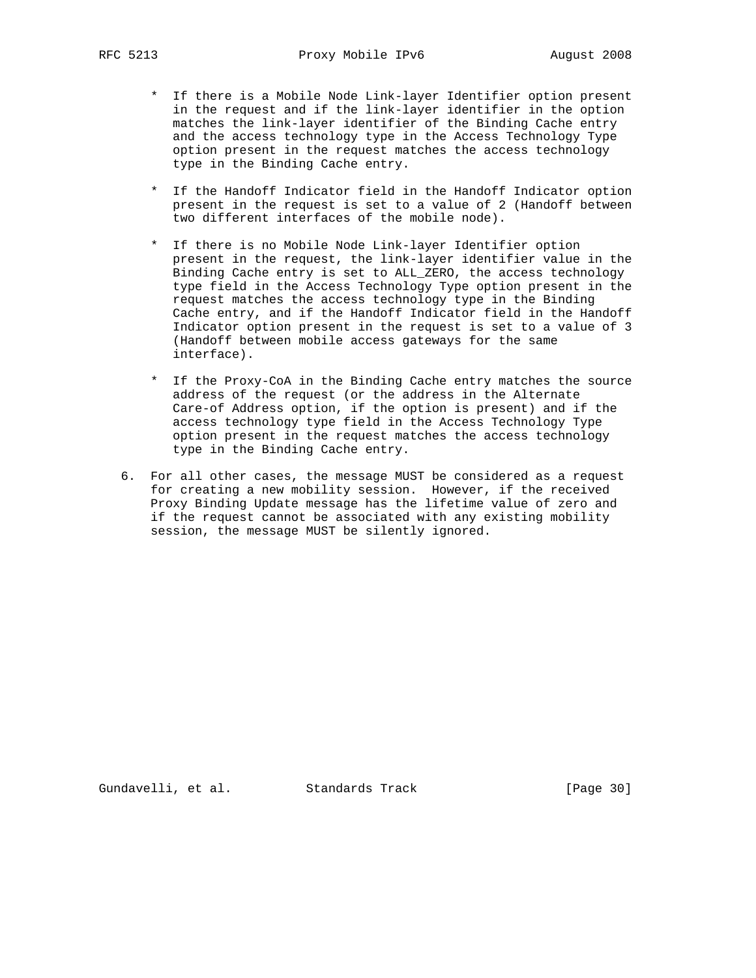- \* If there is a Mobile Node Link-layer Identifier option present in the request and if the link-layer identifier in the option matches the link-layer identifier of the Binding Cache entry and the access technology type in the Access Technology Type option present in the request matches the access technology type in the Binding Cache entry.
- \* If the Handoff Indicator field in the Handoff Indicator option present in the request is set to a value of 2 (Handoff between two different interfaces of the mobile node).
- \* If there is no Mobile Node Link-layer Identifier option present in the request, the link-layer identifier value in the Binding Cache entry is set to ALL\_ZERO, the access technology type field in the Access Technology Type option present in the request matches the access technology type in the Binding Cache entry, and if the Handoff Indicator field in the Handoff Indicator option present in the request is set to a value of 3 (Handoff between mobile access gateways for the same interface).
- \* If the Proxy-CoA in the Binding Cache entry matches the source address of the request (or the address in the Alternate Care-of Address option, if the option is present) and if the access technology type field in the Access Technology Type option present in the request matches the access technology type in the Binding Cache entry.
- 6. For all other cases, the message MUST be considered as a request for creating a new mobility session. However, if the received Proxy Binding Update message has the lifetime value of zero and if the request cannot be associated with any existing mobility session, the message MUST be silently ignored.

Gundavelli, et al. Standards Track [Page 30]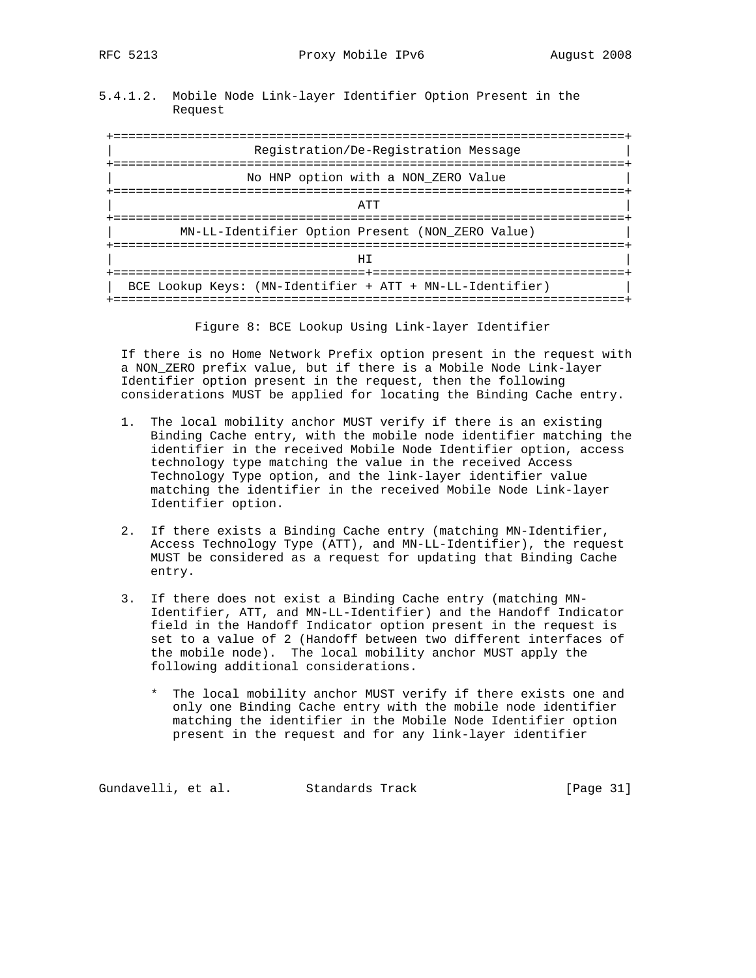5.4.1.2. Mobile Node Link-layer Identifier Option Present in the Request

 +=====================================================================+ Registration/De-Registration Message +=====================================================================+ No HNP option with a NON\_ZERO Value +=====================================================================+ | ATT | +=====================================================================+ | MN-LL-Identifier Option Present (NON\_ZERO Value) | +=====================================================================+ | HI | +==================================+==================================+ | BCE Lookup Keys: (MN-Identifier + ATT + MN-LL-Identifier) | +=====================================================================+

Figure 8: BCE Lookup Using Link-layer Identifier

 If there is no Home Network Prefix option present in the request with a NON\_ZERO prefix value, but if there is a Mobile Node Link-layer Identifier option present in the request, then the following considerations MUST be applied for locating the Binding Cache entry.

- 1. The local mobility anchor MUST verify if there is an existing Binding Cache entry, with the mobile node identifier matching the identifier in the received Mobile Node Identifier option, access technology type matching the value in the received Access Technology Type option, and the link-layer identifier value matching the identifier in the received Mobile Node Link-layer Identifier option.
- 2. If there exists a Binding Cache entry (matching MN-Identifier, Access Technology Type (ATT), and MN-LL-Identifier), the request MUST be considered as a request for updating that Binding Cache entry.
- 3. If there does not exist a Binding Cache entry (matching MN- Identifier, ATT, and MN-LL-Identifier) and the Handoff Indicator field in the Handoff Indicator option present in the request is set to a value of 2 (Handoff between two different interfaces of the mobile node). The local mobility anchor MUST apply the following additional considerations.
	- \* The local mobility anchor MUST verify if there exists one and only one Binding Cache entry with the mobile node identifier matching the identifier in the Mobile Node Identifier option present in the request and for any link-layer identifier

Gundavelli, et al. Standards Track [Page 31]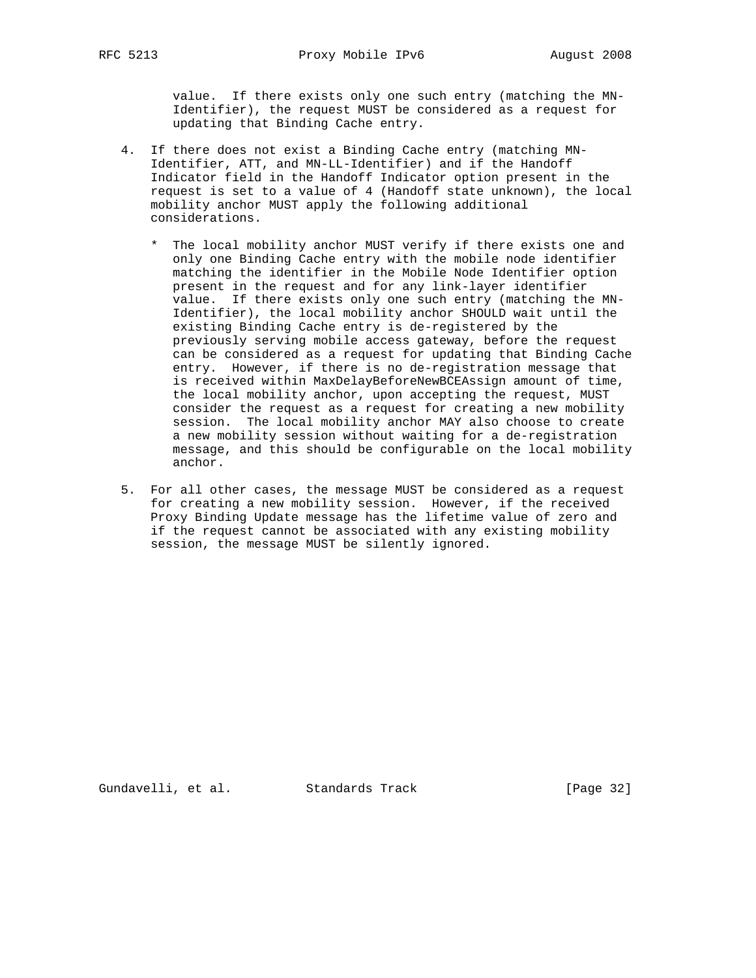value. If there exists only one such entry (matching the MN- Identifier), the request MUST be considered as a request for updating that Binding Cache entry.

- 4. If there does not exist a Binding Cache entry (matching MN- Identifier, ATT, and MN-LL-Identifier) and if the Handoff Indicator field in the Handoff Indicator option present in the request is set to a value of 4 (Handoff state unknown), the local mobility anchor MUST apply the following additional considerations.
	- \* The local mobility anchor MUST verify if there exists one and only one Binding Cache entry with the mobile node identifier matching the identifier in the Mobile Node Identifier option present in the request and for any link-layer identifier value. If there exists only one such entry (matching the MN- Identifier), the local mobility anchor SHOULD wait until the existing Binding Cache entry is de-registered by the previously serving mobile access gateway, before the request can be considered as a request for updating that Binding Cache entry. However, if there is no de-registration message that is received within MaxDelayBeforeNewBCEAssign amount of time, the local mobility anchor, upon accepting the request, MUST consider the request as a request for creating a new mobility session. The local mobility anchor MAY also choose to create a new mobility session without waiting for a de-registration message, and this should be configurable on the local mobility anchor.
- 5. For all other cases, the message MUST be considered as a request for creating a new mobility session. However, if the received Proxy Binding Update message has the lifetime value of zero and if the request cannot be associated with any existing mobility session, the message MUST be silently ignored.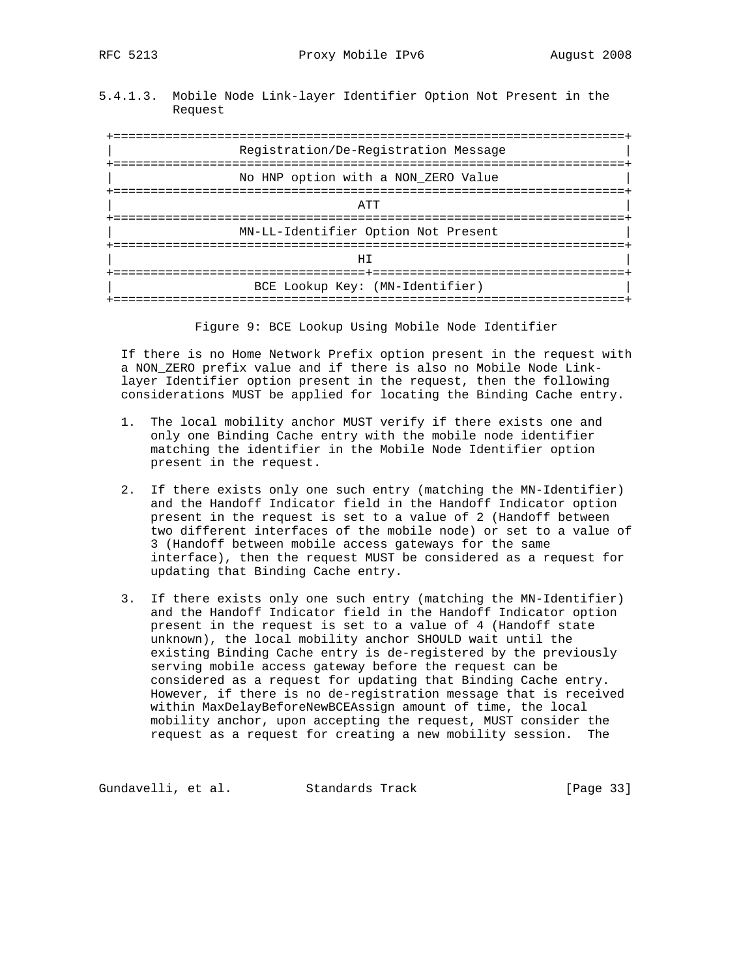5.4.1.3. Mobile Node Link-layer Identifier Option Not Present in the Request

 +=====================================================================+ Registration/De-Registration Message +=====================================================================+ No HNP option with a NON\_ZERO Value +=====================================================================+ | ATT | +=====================================================================+ | MN-LL-Identifier Option Not Present | +=====================================================================+ | HI | +==================================+==================================+ BCE Lookup Key: (MN-Identifier) +=====================================================================+

Figure 9: BCE Lookup Using Mobile Node Identifier

 If there is no Home Network Prefix option present in the request with a NON\_ZERO prefix value and if there is also no Mobile Node Link layer Identifier option present in the request, then the following considerations MUST be applied for locating the Binding Cache entry.

- 1. The local mobility anchor MUST verify if there exists one and only one Binding Cache entry with the mobile node identifier matching the identifier in the Mobile Node Identifier option present in the request.
- 2. If there exists only one such entry (matching the MN-Identifier) and the Handoff Indicator field in the Handoff Indicator option present in the request is set to a value of 2 (Handoff between two different interfaces of the mobile node) or set to a value of 3 (Handoff between mobile access gateways for the same interface), then the request MUST be considered as a request for updating that Binding Cache entry.
- 3. If there exists only one such entry (matching the MN-Identifier) and the Handoff Indicator field in the Handoff Indicator option present in the request is set to a value of 4 (Handoff state unknown), the local mobility anchor SHOULD wait until the existing Binding Cache entry is de-registered by the previously serving mobile access gateway before the request can be considered as a request for updating that Binding Cache entry. However, if there is no de-registration message that is received within MaxDelayBeforeNewBCEAssign amount of time, the local mobility anchor, upon accepting the request, MUST consider the request as a request for creating a new mobility session. The

Gundavelli, et al. Standards Track [Page 33]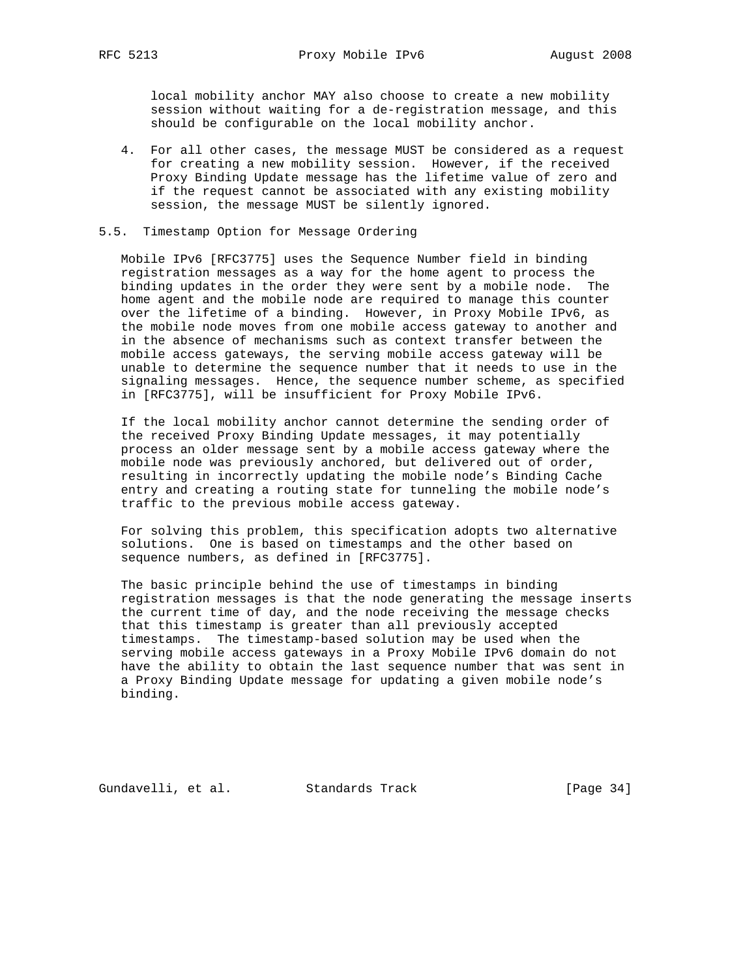local mobility anchor MAY also choose to create a new mobility session without waiting for a de-registration message, and this should be configurable on the local mobility anchor.

 4. For all other cases, the message MUST be considered as a request for creating a new mobility session. However, if the received Proxy Binding Update message has the lifetime value of zero and if the request cannot be associated with any existing mobility session, the message MUST be silently ignored.

### 5.5. Timestamp Option for Message Ordering

 Mobile IPv6 [RFC3775] uses the Sequence Number field in binding registration messages as a way for the home agent to process the binding updates in the order they were sent by a mobile node. The home agent and the mobile node are required to manage this counter over the lifetime of a binding. However, in Proxy Mobile IPv6, as the mobile node moves from one mobile access gateway to another and in the absence of mechanisms such as context transfer between the mobile access gateways, the serving mobile access gateway will be unable to determine the sequence number that it needs to use in the signaling messages. Hence, the sequence number scheme, as specified in [RFC3775], will be insufficient for Proxy Mobile IPv6.

 If the local mobility anchor cannot determine the sending order of the received Proxy Binding Update messages, it may potentially process an older message sent by a mobile access gateway where the mobile node was previously anchored, but delivered out of order, resulting in incorrectly updating the mobile node's Binding Cache entry and creating a routing state for tunneling the mobile node's traffic to the previous mobile access gateway.

 For solving this problem, this specification adopts two alternative solutions. One is based on timestamps and the other based on sequence numbers, as defined in [RFC3775].

 The basic principle behind the use of timestamps in binding registration messages is that the node generating the message inserts the current time of day, and the node receiving the message checks that this timestamp is greater than all previously accepted timestamps. The timestamp-based solution may be used when the serving mobile access gateways in a Proxy Mobile IPv6 domain do not have the ability to obtain the last sequence number that was sent in a Proxy Binding Update message for updating a given mobile node's binding.

Gundavelli, et al. Standards Track [Page 34]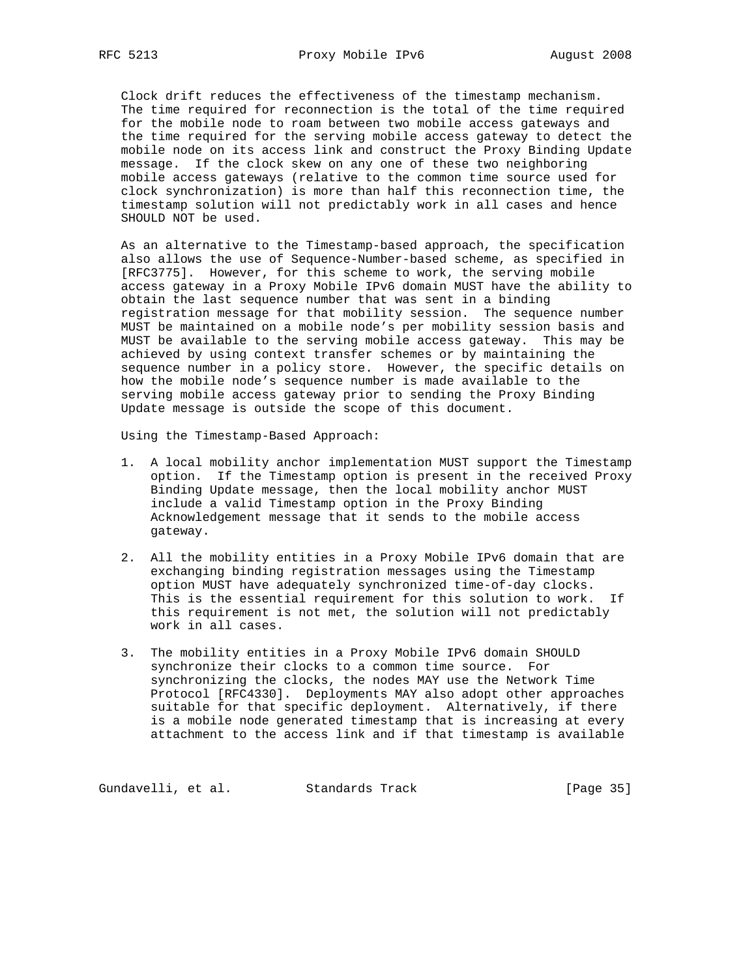Clock drift reduces the effectiveness of the timestamp mechanism. The time required for reconnection is the total of the time required for the mobile node to roam between two mobile access gateways and the time required for the serving mobile access gateway to detect the mobile node on its access link and construct the Proxy Binding Update message. If the clock skew on any one of these two neighboring mobile access gateways (relative to the common time source used for clock synchronization) is more than half this reconnection time, the timestamp solution will not predictably work in all cases and hence SHOULD NOT be used.

 As an alternative to the Timestamp-based approach, the specification also allows the use of Sequence-Number-based scheme, as specified in [RFC3775]. However, for this scheme to work, the serving mobile access gateway in a Proxy Mobile IPv6 domain MUST have the ability to obtain the last sequence number that was sent in a binding registration message for that mobility session. The sequence number MUST be maintained on a mobile node's per mobility session basis and MUST be available to the serving mobile access gateway. This may be achieved by using context transfer schemes or by maintaining the sequence number in a policy store. However, the specific details on how the mobile node's sequence number is made available to the serving mobile access gateway prior to sending the Proxy Binding Update message is outside the scope of this document.

Using the Timestamp-Based Approach:

- 1. A local mobility anchor implementation MUST support the Timestamp option. If the Timestamp option is present in the received Proxy Binding Update message, then the local mobility anchor MUST include a valid Timestamp option in the Proxy Binding Acknowledgement message that it sends to the mobile access gateway.
- 2. All the mobility entities in a Proxy Mobile IPv6 domain that are exchanging binding registration messages using the Timestamp option MUST have adequately synchronized time-of-day clocks. This is the essential requirement for this solution to work. If this requirement is not met, the solution will not predictably work in all cases.
- 3. The mobility entities in a Proxy Mobile IPv6 domain SHOULD synchronize their clocks to a common time source. For synchronizing the clocks, the nodes MAY use the Network Time Protocol [RFC4330]. Deployments MAY also adopt other approaches suitable for that specific deployment. Alternatively, if there is a mobile node generated timestamp that is increasing at every attachment to the access link and if that timestamp is available

Gundavelli, et al. Standards Track [Page 35]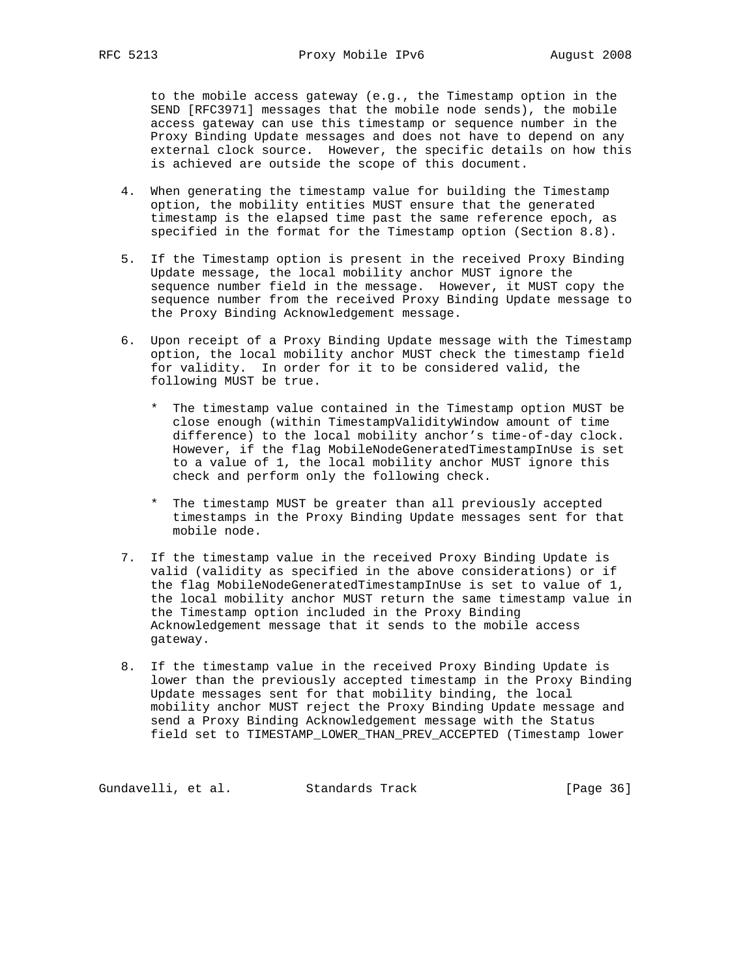to the mobile access gateway (e.g., the Timestamp option in the SEND [RFC3971] messages that the mobile node sends), the mobile access gateway can use this timestamp or sequence number in the Proxy Binding Update messages and does not have to depend on any external clock source. However, the specific details on how this is achieved are outside the scope of this document.

- 4. When generating the timestamp value for building the Timestamp option, the mobility entities MUST ensure that the generated timestamp is the elapsed time past the same reference epoch, as specified in the format for the Timestamp option (Section 8.8).
- 5. If the Timestamp option is present in the received Proxy Binding Update message, the local mobility anchor MUST ignore the sequence number field in the message. However, it MUST copy the sequence number from the received Proxy Binding Update message to the Proxy Binding Acknowledgement message.
- 6. Upon receipt of a Proxy Binding Update message with the Timestamp option, the local mobility anchor MUST check the timestamp field for validity. In order for it to be considered valid, the following MUST be true.
	- \* The timestamp value contained in the Timestamp option MUST be close enough (within TimestampValidityWindow amount of time difference) to the local mobility anchor's time-of-day clock. However, if the flag MobileNodeGeneratedTimestampInUse is set to a value of 1, the local mobility anchor MUST ignore this check and perform only the following check.
	- \* The timestamp MUST be greater than all previously accepted timestamps in the Proxy Binding Update messages sent for that mobile node.
- 7. If the timestamp value in the received Proxy Binding Update is valid (validity as specified in the above considerations) or if the flag MobileNodeGeneratedTimestampInUse is set to value of 1, the local mobility anchor MUST return the same timestamp value in the Timestamp option included in the Proxy Binding Acknowledgement message that it sends to the mobile access gateway.
- 8. If the timestamp value in the received Proxy Binding Update is lower than the previously accepted timestamp in the Proxy Binding Update messages sent for that mobility binding, the local mobility anchor MUST reject the Proxy Binding Update message and send a Proxy Binding Acknowledgement message with the Status field set to TIMESTAMP\_LOWER\_THAN\_PREV\_ACCEPTED (Timestamp lower

Gundavelli, et al. Standards Track [Page 36]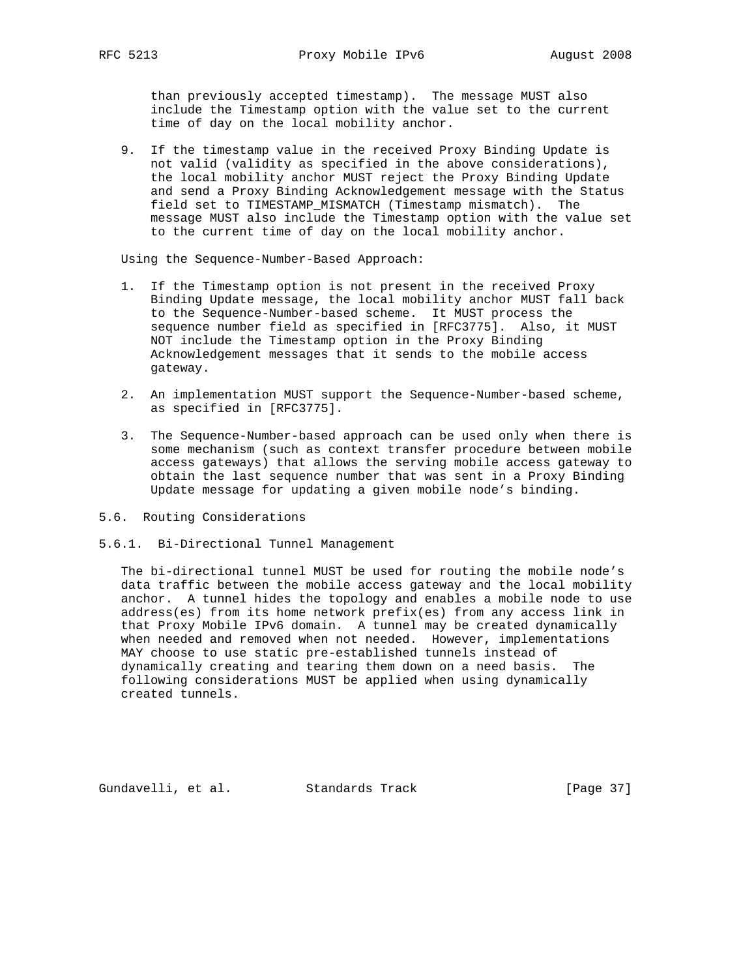than previously accepted timestamp). The message MUST also include the Timestamp option with the value set to the current time of day on the local mobility anchor.

 9. If the timestamp value in the received Proxy Binding Update is not valid (validity as specified in the above considerations), the local mobility anchor MUST reject the Proxy Binding Update and send a Proxy Binding Acknowledgement message with the Status field set to TIMESTAMP\_MISMATCH (Timestamp mismatch). The message MUST also include the Timestamp option with the value set to the current time of day on the local mobility anchor.

Using the Sequence-Number-Based Approach:

- 1. If the Timestamp option is not present in the received Proxy Binding Update message, the local mobility anchor MUST fall back to the Sequence-Number-based scheme. It MUST process the sequence number field as specified in [RFC3775]. Also, it MUST NOT include the Timestamp option in the Proxy Binding Acknowledgement messages that it sends to the mobile access gateway.
- 2. An implementation MUST support the Sequence-Number-based scheme, as specified in [RFC3775].
- 3. The Sequence-Number-based approach can be used only when there is some mechanism (such as context transfer procedure between mobile access gateways) that allows the serving mobile access gateway to obtain the last sequence number that was sent in a Proxy Binding Update message for updating a given mobile node's binding.
- 5.6. Routing Considerations
- 5.6.1. Bi-Directional Tunnel Management

 The bi-directional tunnel MUST be used for routing the mobile node's data traffic between the mobile access gateway and the local mobility anchor. A tunnel hides the topology and enables a mobile node to use address(es) from its home network prefix(es) from any access link in that Proxy Mobile IPv6 domain. A tunnel may be created dynamically when needed and removed when not needed. However, implementations MAY choose to use static pre-established tunnels instead of dynamically creating and tearing them down on a need basis. The following considerations MUST be applied when using dynamically created tunnels.

Gundavelli, et al. Standards Track [Page 37]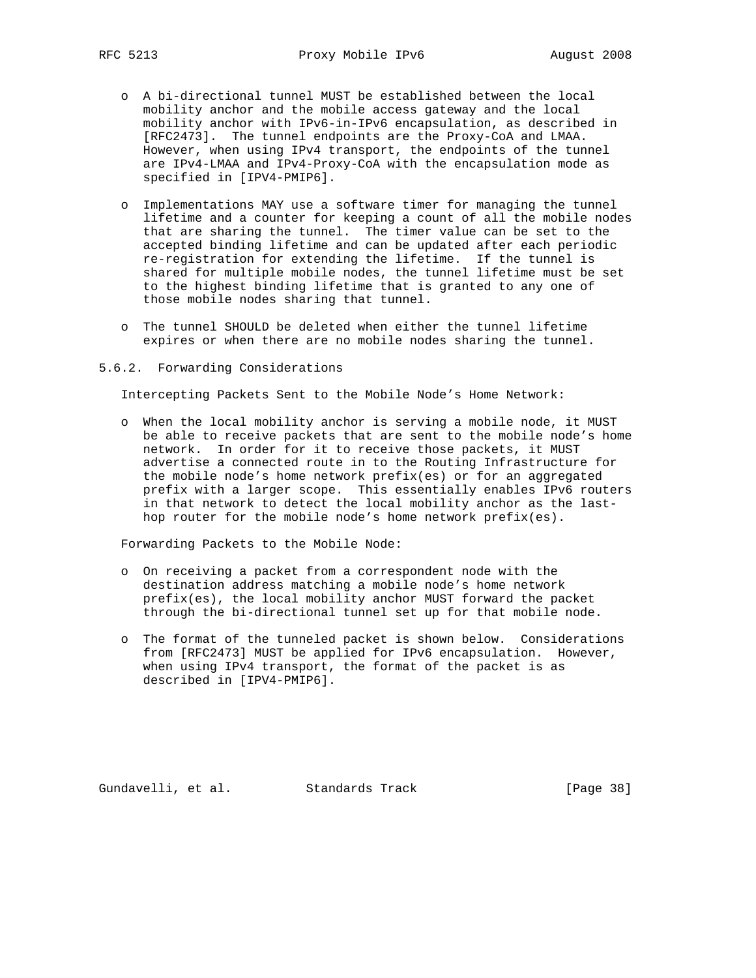- o A bi-directional tunnel MUST be established between the local mobility anchor and the mobile access gateway and the local mobility anchor with IPv6-in-IPv6 encapsulation, as described in [RFC2473]. The tunnel endpoints are the Proxy-CoA and LMAA. However, when using IPv4 transport, the endpoints of the tunnel are IPv4-LMAA and IPv4-Proxy-CoA with the encapsulation mode as specified in [IPV4-PMIP6].
- o Implementations MAY use a software timer for managing the tunnel lifetime and a counter for keeping a count of all the mobile nodes that are sharing the tunnel. The timer value can be set to the accepted binding lifetime and can be updated after each periodic re-registration for extending the lifetime. If the tunnel is shared for multiple mobile nodes, the tunnel lifetime must be set to the highest binding lifetime that is granted to any one of those mobile nodes sharing that tunnel.
- o The tunnel SHOULD be deleted when either the tunnel lifetime expires or when there are no mobile nodes sharing the tunnel.

#### 5.6.2. Forwarding Considerations

Intercepting Packets Sent to the Mobile Node's Home Network:

 o When the local mobility anchor is serving a mobile node, it MUST be able to receive packets that are sent to the mobile node's home network. In order for it to receive those packets, it MUST advertise a connected route in to the Routing Infrastructure for the mobile node's home network prefix(es) or for an aggregated prefix with a larger scope. This essentially enables IPv6 routers in that network to detect the local mobility anchor as the last hop router for the mobile node's home network prefix(es).

Forwarding Packets to the Mobile Node:

- o On receiving a packet from a correspondent node with the destination address matching a mobile node's home network prefix(es), the local mobility anchor MUST forward the packet through the bi-directional tunnel set up for that mobile node.
- o The format of the tunneled packet is shown below. Considerations from [RFC2473] MUST be applied for IPv6 encapsulation. However, when using IPv4 transport, the format of the packet is as described in [IPV4-PMIP6].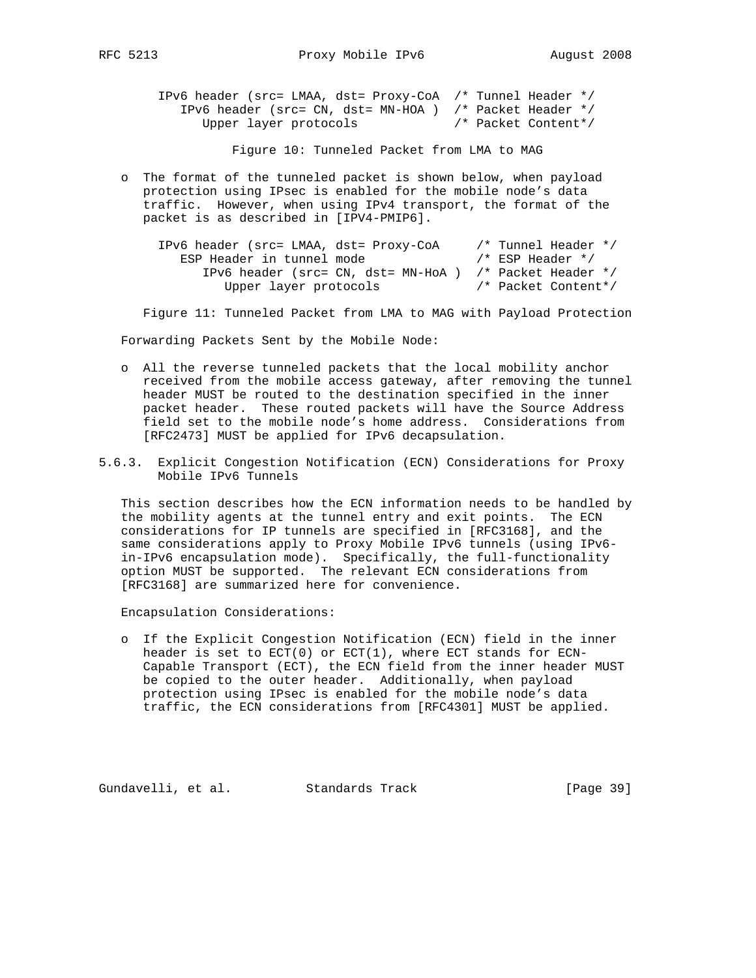| IPv6 header (src= LMAA, dst= Proxy-CoA /* Tunnel Header */  |  |                     |
|-------------------------------------------------------------|--|---------------------|
| IPv6 header (src= CN, dst= MN-HOA ) $/*$ Packet Header $*/$ |  |                     |
| Upper layer protocols                                       |  | /* Packet Content*/ |

Figure 10: Tunneled Packet from LMA to MAG

 o The format of the tunneled packet is shown below, when payload protection using IPsec is enabled for the mobile node's data traffic. However, when using IPv4 transport, the format of the packet is as described in [IPV4-PMIP6].

| IPv6 header (src= LMAA, dst= Proxy-CoA                       | /* Tunnel Header */ |
|--------------------------------------------------------------|---------------------|
| ESP Header in tunnel mode                                    | /* ESP Header */    |
| IPv6 header (src= $CN$ , dst= $MN-HoA$ ) /* Packet Header */ |                     |
| Upper layer protocols                                        | /* Packet Content*/ |

Figure 11: Tunneled Packet from LMA to MAG with Payload Protection

Forwarding Packets Sent by the Mobile Node:

- o All the reverse tunneled packets that the local mobility anchor received from the mobile access gateway, after removing the tunnel header MUST be routed to the destination specified in the inner packet header. These routed packets will have the Source Address field set to the mobile node's home address. Considerations from [RFC2473] MUST be applied for IPv6 decapsulation.
- 5.6.3. Explicit Congestion Notification (ECN) Considerations for Proxy Mobile IPv6 Tunnels

 This section describes how the ECN information needs to be handled by the mobility agents at the tunnel entry and exit points. The ECN considerations for IP tunnels are specified in [RFC3168], and the same considerations apply to Proxy Mobile IPv6 tunnels (using IPv6 in-IPv6 encapsulation mode). Specifically, the full-functionality option MUST be supported. The relevant ECN considerations from [RFC3168] are summarized here for convenience.

Encapsulation Considerations:

 o If the Explicit Congestion Notification (ECN) field in the inner header is set to  $ECT(0)$  or  $ECT(1)$ , where ECT stands for ECN- Capable Transport (ECT), the ECN field from the inner header MUST be copied to the outer header. Additionally, when payload protection using IPsec is enabled for the mobile node's data traffic, the ECN considerations from [RFC4301] MUST be applied.

Gundavelli, et al. Standards Track [Page 39]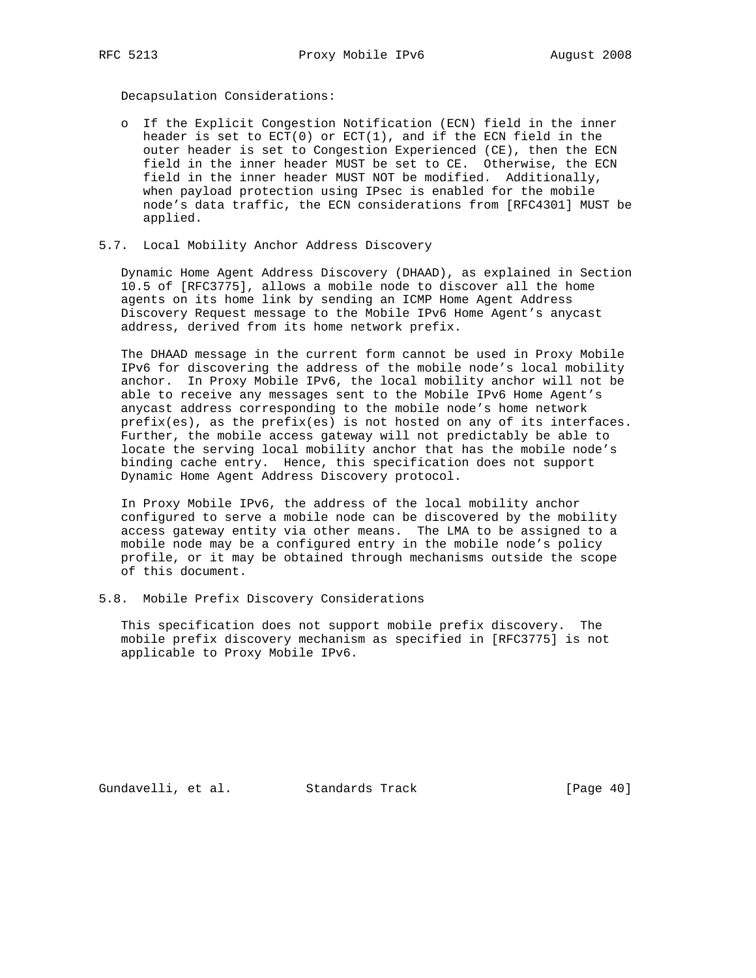Decapsulation Considerations:

- o If the Explicit Congestion Notification (ECN) field in the inner header is set to ECT(0) or ECT(1), and if the ECN field in the outer header is set to Congestion Experienced (CE), then the ECN field in the inner header MUST be set to CE. Otherwise, the ECN field in the inner header MUST NOT be modified. Additionally, when payload protection using IPsec is enabled for the mobile node's data traffic, the ECN considerations from [RFC4301] MUST be applied.
- 5.7. Local Mobility Anchor Address Discovery

 Dynamic Home Agent Address Discovery (DHAAD), as explained in Section 10.5 of [RFC3775], allows a mobile node to discover all the home agents on its home link by sending an ICMP Home Agent Address Discovery Request message to the Mobile IPv6 Home Agent's anycast address, derived from its home network prefix.

 The DHAAD message in the current form cannot be used in Proxy Mobile IPv6 for discovering the address of the mobile node's local mobility anchor. In Proxy Mobile IPv6, the local mobility anchor will not be able to receive any messages sent to the Mobile IPv6 Home Agent's anycast address corresponding to the mobile node's home network prefix(es), as the prefix(es) is not hosted on any of its interfaces. Further, the mobile access gateway will not predictably be able to locate the serving local mobility anchor that has the mobile node's binding cache entry. Hence, this specification does not support Dynamic Home Agent Address Discovery protocol.

 In Proxy Mobile IPv6, the address of the local mobility anchor configured to serve a mobile node can be discovered by the mobility access gateway entity via other means. The LMA to be assigned to a mobile node may be a configured entry in the mobile node's policy profile, or it may be obtained through mechanisms outside the scope of this document.

5.8. Mobile Prefix Discovery Considerations

 This specification does not support mobile prefix discovery. The mobile prefix discovery mechanism as specified in [RFC3775] is not applicable to Proxy Mobile IPv6.

Gundavelli, et al. Standards Track [Page 40]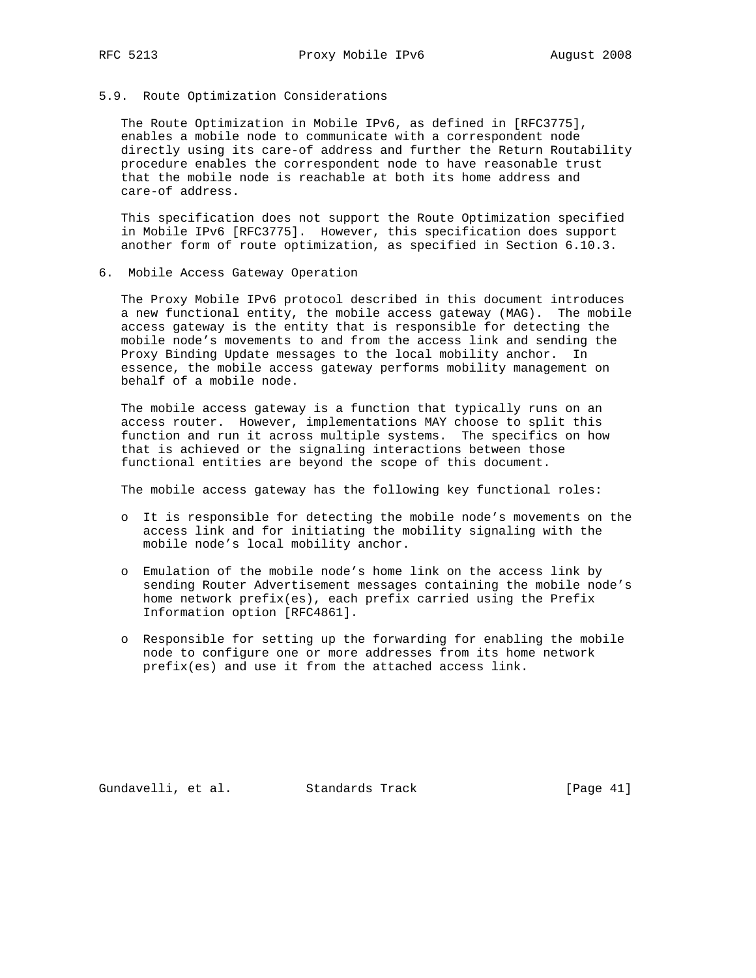### 5.9. Route Optimization Considerations

 The Route Optimization in Mobile IPv6, as defined in [RFC3775], enables a mobile node to communicate with a correspondent node directly using its care-of address and further the Return Routability procedure enables the correspondent node to have reasonable trust that the mobile node is reachable at both its home address and care-of address.

 This specification does not support the Route Optimization specified in Mobile IPv6 [RFC3775]. However, this specification does support another form of route optimization, as specified in Section 6.10.3.

6. Mobile Access Gateway Operation

 The Proxy Mobile IPv6 protocol described in this document introduces a new functional entity, the mobile access gateway (MAG). The mobile access gateway is the entity that is responsible for detecting the mobile node's movements to and from the access link and sending the Proxy Binding Update messages to the local mobility anchor. In essence, the mobile access gateway performs mobility management on behalf of a mobile node.

 The mobile access gateway is a function that typically runs on an access router. However, implementations MAY choose to split this function and run it across multiple systems. The specifics on how that is achieved or the signaling interactions between those functional entities are beyond the scope of this document.

The mobile access gateway has the following key functional roles:

- o It is responsible for detecting the mobile node's movements on the access link and for initiating the mobility signaling with the mobile node's local mobility anchor.
- o Emulation of the mobile node's home link on the access link by sending Router Advertisement messages containing the mobile node's home network prefix(es), each prefix carried using the Prefix Information option [RFC4861].
- o Responsible for setting up the forwarding for enabling the mobile node to configure one or more addresses from its home network prefix(es) and use it from the attached access link.

Gundavelli, et al. Standards Track [Page 41]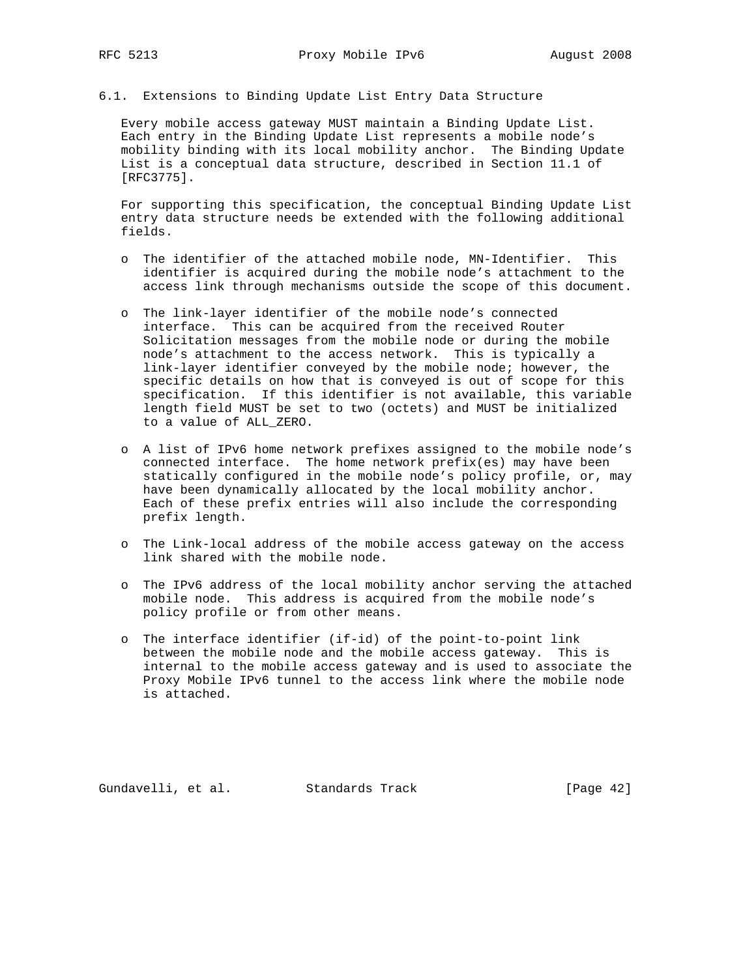6.1. Extensions to Binding Update List Entry Data Structure

 Every mobile access gateway MUST maintain a Binding Update List. Each entry in the Binding Update List represents a mobile node's mobility binding with its local mobility anchor. The Binding Update List is a conceptual data structure, described in Section 11.1 of [RFC3775].

 For supporting this specification, the conceptual Binding Update List entry data structure needs be extended with the following additional fields.

- o The identifier of the attached mobile node, MN-Identifier. This identifier is acquired during the mobile node's attachment to the access link through mechanisms outside the scope of this document.
- o The link-layer identifier of the mobile node's connected interface. This can be acquired from the received Router Solicitation messages from the mobile node or during the mobile node's attachment to the access network. This is typically a link-layer identifier conveyed by the mobile node; however, the specific details on how that is conveyed is out of scope for this specification. If this identifier is not available, this variable length field MUST be set to two (octets) and MUST be initialized to a value of ALL\_ZERO.
- o A list of IPv6 home network prefixes assigned to the mobile node's connected interface. The home network prefix(es) may have been statically configured in the mobile node's policy profile, or, may have been dynamically allocated by the local mobility anchor. Each of these prefix entries will also include the corresponding prefix length.
- o The Link-local address of the mobile access gateway on the access link shared with the mobile node.
- o The IPv6 address of the local mobility anchor serving the attached mobile node. This address is acquired from the mobile node's policy profile or from other means.
- o The interface identifier (if-id) of the point-to-point link between the mobile node and the mobile access gateway. This is internal to the mobile access gateway and is used to associate the Proxy Mobile IPv6 tunnel to the access link where the mobile node is attached.

Gundavelli, et al. Standards Track [Page 42]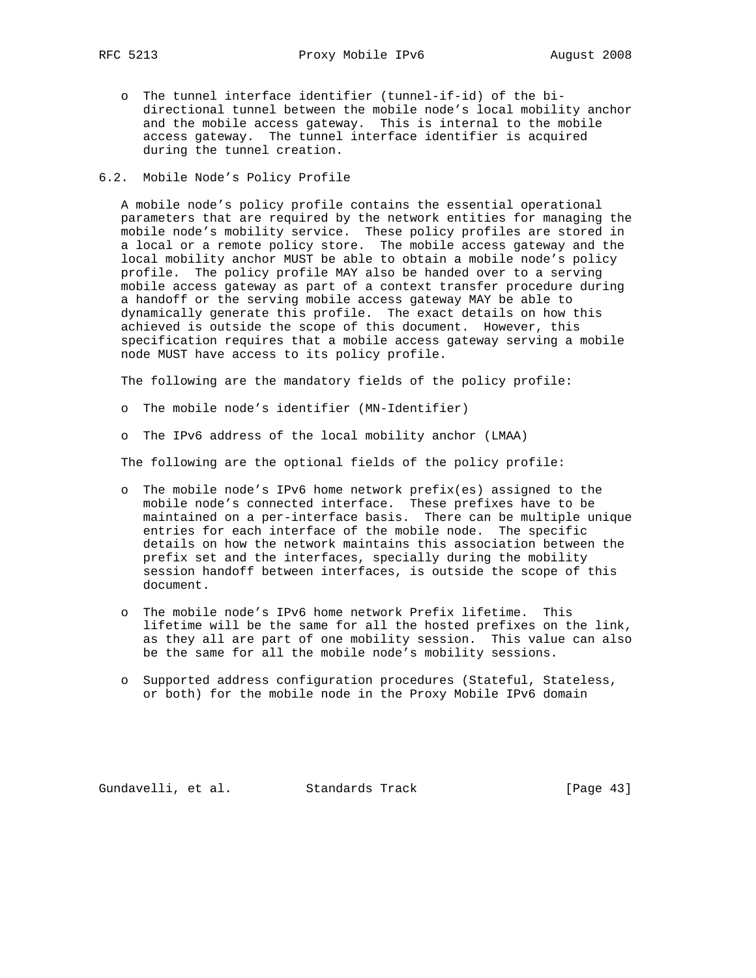o The tunnel interface identifier (tunnel-if-id) of the bi directional tunnel between the mobile node's local mobility anchor and the mobile access gateway. This is internal to the mobile access gateway. The tunnel interface identifier is acquired during the tunnel creation.

## 6.2. Mobile Node's Policy Profile

 A mobile node's policy profile contains the essential operational parameters that are required by the network entities for managing the mobile node's mobility service. These policy profiles are stored in a local or a remote policy store. The mobile access gateway and the local mobility anchor MUST be able to obtain a mobile node's policy profile. The policy profile MAY also be handed over to a serving mobile access gateway as part of a context transfer procedure during a handoff or the serving mobile access gateway MAY be able to dynamically generate this profile. The exact details on how this achieved is outside the scope of this document. However, this specification requires that a mobile access gateway serving a mobile node MUST have access to its policy profile.

The following are the mandatory fields of the policy profile:

o The mobile node's identifier (MN-Identifier)

o The IPv6 address of the local mobility anchor (LMAA)

The following are the optional fields of the policy profile:

- o The mobile node's IPv6 home network prefix(es) assigned to the mobile node's connected interface. These prefixes have to be maintained on a per-interface basis. There can be multiple unique entries for each interface of the mobile node. The specific details on how the network maintains this association between the prefix set and the interfaces, specially during the mobility session handoff between interfaces, is outside the scope of this document.
- o The mobile node's IPv6 home network Prefix lifetime. This lifetime will be the same for all the hosted prefixes on the link, as they all are part of one mobility session. This value can also be the same for all the mobile node's mobility sessions.
- o Supported address configuration procedures (Stateful, Stateless, or both) for the mobile node in the Proxy Mobile IPv6 domain

Gundavelli, et al. Standards Track [Page 43]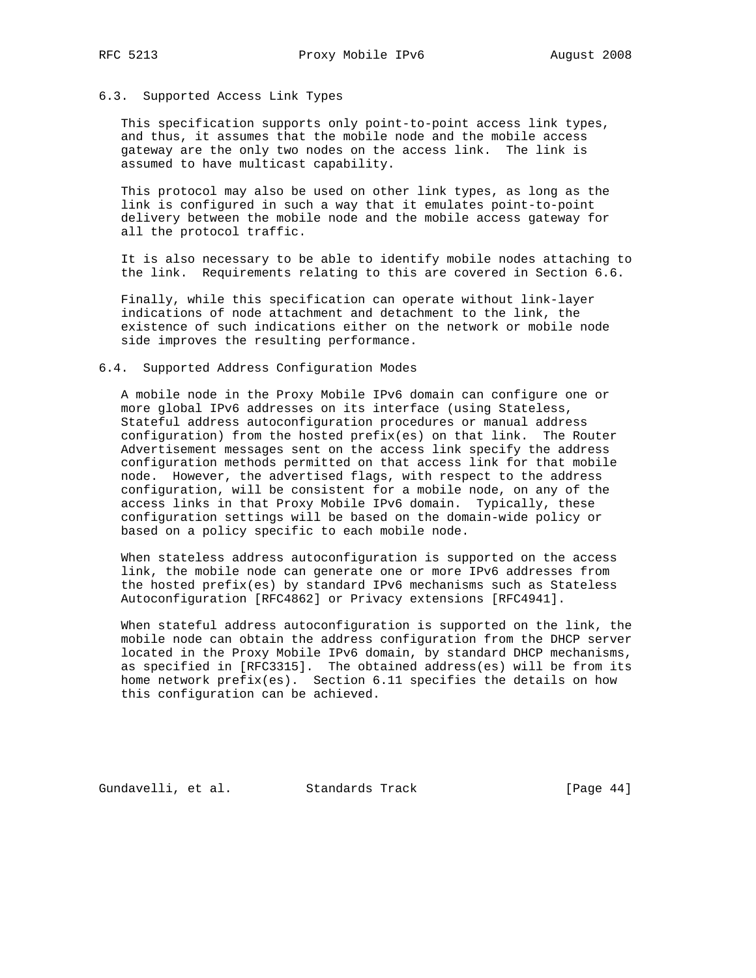# 6.3. Supported Access Link Types

 This specification supports only point-to-point access link types, and thus, it assumes that the mobile node and the mobile access gateway are the only two nodes on the access link. The link is assumed to have multicast capability.

 This protocol may also be used on other link types, as long as the link is configured in such a way that it emulates point-to-point delivery between the mobile node and the mobile access gateway for all the protocol traffic.

 It is also necessary to be able to identify mobile nodes attaching to the link. Requirements relating to this are covered in Section 6.6.

 Finally, while this specification can operate without link-layer indications of node attachment and detachment to the link, the existence of such indications either on the network or mobile node side improves the resulting performance.

#### 6.4. Supported Address Configuration Modes

 A mobile node in the Proxy Mobile IPv6 domain can configure one or more global IPv6 addresses on its interface (using Stateless, Stateful address autoconfiguration procedures or manual address configuration) from the hosted prefix(es) on that link. The Router Advertisement messages sent on the access link specify the address configuration methods permitted on that access link for that mobile node. However, the advertised flags, with respect to the address configuration, will be consistent for a mobile node, on any of the access links in that Proxy Mobile IPv6 domain. Typically, these configuration settings will be based on the domain-wide policy or based on a policy specific to each mobile node.

 When stateless address autoconfiguration is supported on the access link, the mobile node can generate one or more IPv6 addresses from the hosted prefix(es) by standard IPv6 mechanisms such as Stateless Autoconfiguration [RFC4862] or Privacy extensions [RFC4941].

 When stateful address autoconfiguration is supported on the link, the mobile node can obtain the address configuration from the DHCP server located in the Proxy Mobile IPv6 domain, by standard DHCP mechanisms, as specified in [RFC3315]. The obtained address(es) will be from its home network prefix(es). Section 6.11 specifies the details on how this configuration can be achieved.

Gundavelli, et al. Standards Track [Page 44]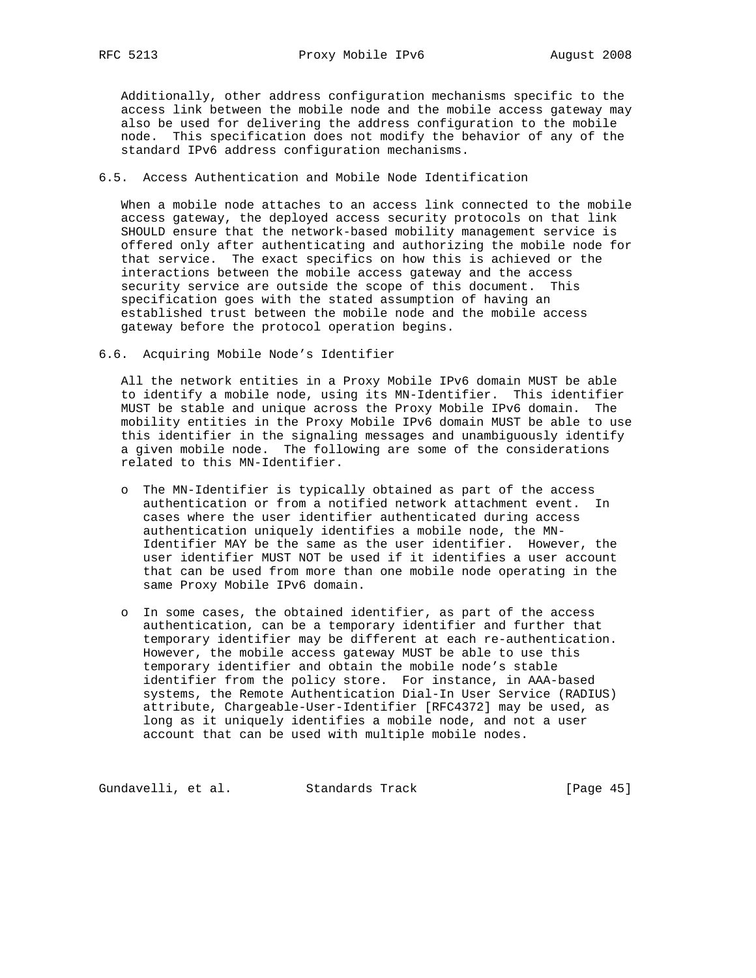Additionally, other address configuration mechanisms specific to the access link between the mobile node and the mobile access gateway may also be used for delivering the address configuration to the mobile node. This specification does not modify the behavior of any of the standard IPv6 address configuration mechanisms.

# 6.5. Access Authentication and Mobile Node Identification

 When a mobile node attaches to an access link connected to the mobile access gateway, the deployed access security protocols on that link SHOULD ensure that the network-based mobility management service is offered only after authenticating and authorizing the mobile node for that service. The exact specifics on how this is achieved or the interactions between the mobile access gateway and the access security service are outside the scope of this document. This specification goes with the stated assumption of having an established trust between the mobile node and the mobile access gateway before the protocol operation begins.

6.6. Acquiring Mobile Node's Identifier

 All the network entities in a Proxy Mobile IPv6 domain MUST be able to identify a mobile node, using its MN-Identifier. This identifier MUST be stable and unique across the Proxy Mobile IPv6 domain. The mobility entities in the Proxy Mobile IPv6 domain MUST be able to use this identifier in the signaling messages and unambiguously identify a given mobile node. The following are some of the considerations related to this MN-Identifier.

- o The MN-Identifier is typically obtained as part of the access authentication or from a notified network attachment event. In cases where the user identifier authenticated during access authentication uniquely identifies a mobile node, the MN- Identifier MAY be the same as the user identifier. However, the user identifier MUST NOT be used if it identifies a user account that can be used from more than one mobile node operating in the same Proxy Mobile IPv6 domain.
- o In some cases, the obtained identifier, as part of the access authentication, can be a temporary identifier and further that temporary identifier may be different at each re-authentication. However, the mobile access gateway MUST be able to use this temporary identifier and obtain the mobile node's stable identifier from the policy store. For instance, in AAA-based systems, the Remote Authentication Dial-In User Service (RADIUS) attribute, Chargeable-User-Identifier [RFC4372] may be used, as long as it uniquely identifies a mobile node, and not a user account that can be used with multiple mobile nodes.

Gundavelli, et al. Standards Track [Page 45]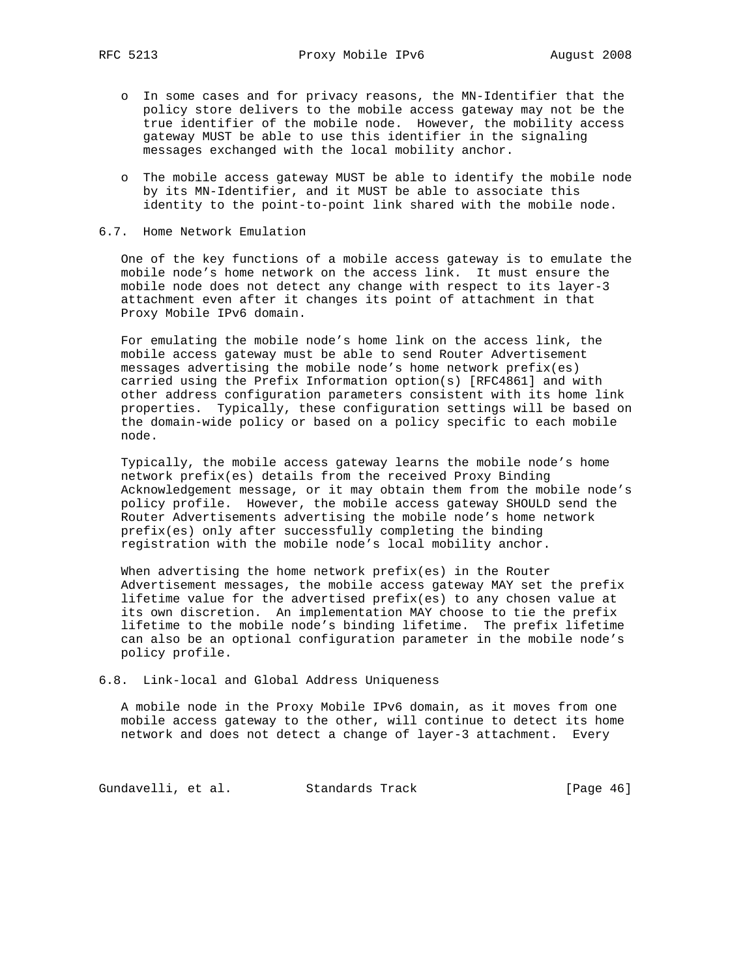- o In some cases and for privacy reasons, the MN-Identifier that the policy store delivers to the mobile access gateway may not be the true identifier of the mobile node. However, the mobility access gateway MUST be able to use this identifier in the signaling messages exchanged with the local mobility anchor.
- o The mobile access gateway MUST be able to identify the mobile node by its MN-Identifier, and it MUST be able to associate this identity to the point-to-point link shared with the mobile node.
- 6.7. Home Network Emulation

 One of the key functions of a mobile access gateway is to emulate the mobile node's home network on the access link. It must ensure the mobile node does not detect any change with respect to its layer-3 attachment even after it changes its point of attachment in that Proxy Mobile IPv6 domain.

 For emulating the mobile node's home link on the access link, the mobile access gateway must be able to send Router Advertisement messages advertising the mobile node's home network prefix(es) carried using the Prefix Information option(s) [RFC4861] and with other address configuration parameters consistent with its home link properties. Typically, these configuration settings will be based on the domain-wide policy or based on a policy specific to each mobile node.

 Typically, the mobile access gateway learns the mobile node's home network prefix(es) details from the received Proxy Binding Acknowledgement message, or it may obtain them from the mobile node's policy profile. However, the mobile access gateway SHOULD send the Router Advertisements advertising the mobile node's home network prefix(es) only after successfully completing the binding registration with the mobile node's local mobility anchor.

 When advertising the home network prefix(es) in the Router Advertisement messages, the mobile access gateway MAY set the prefix lifetime value for the advertised prefix(es) to any chosen value at its own discretion. An implementation MAY choose to tie the prefix lifetime to the mobile node's binding lifetime. The prefix lifetime can also be an optional configuration parameter in the mobile node's policy profile.

6.8. Link-local and Global Address Uniqueness

 A mobile node in the Proxy Mobile IPv6 domain, as it moves from one mobile access gateway to the other, will continue to detect its home network and does not detect a change of layer-3 attachment. Every

Gundavelli, et al. Standards Track [Page 46]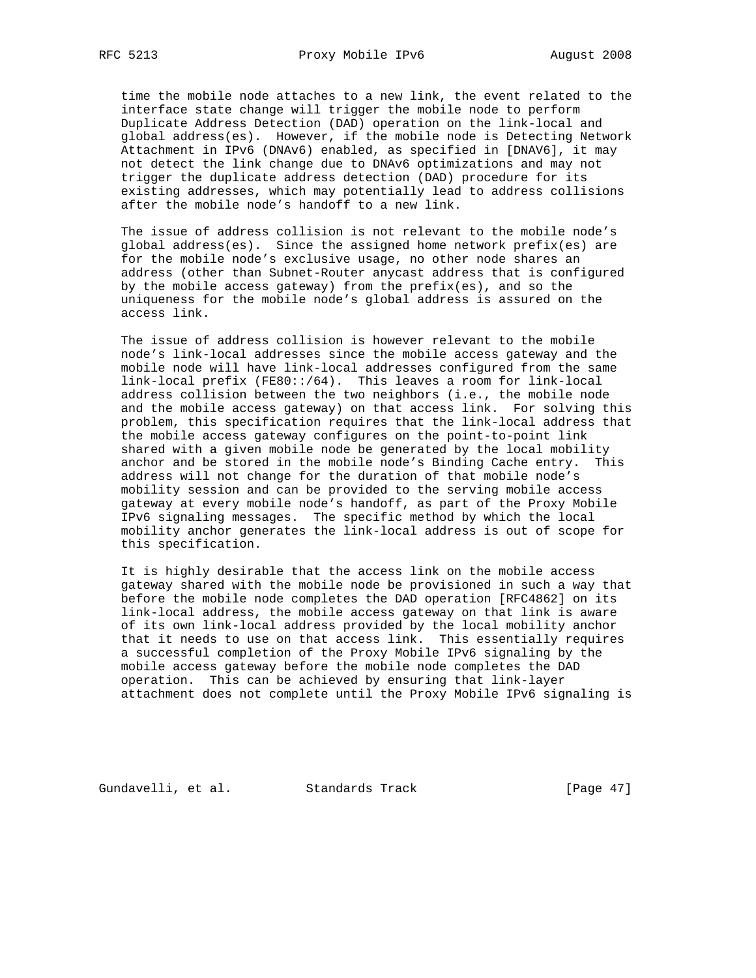time the mobile node attaches to a new link, the event related to the interface state change will trigger the mobile node to perform Duplicate Address Detection (DAD) operation on the link-local and global address(es). However, if the mobile node is Detecting Network Attachment in IPv6 (DNAv6) enabled, as specified in [DNAV6], it may not detect the link change due to DNAv6 optimizations and may not trigger the duplicate address detection (DAD) procedure for its existing addresses, which may potentially lead to address collisions after the mobile node's handoff to a new link.

 The issue of address collision is not relevant to the mobile node's global address(es). Since the assigned home network prefix(es) are for the mobile node's exclusive usage, no other node shares an address (other than Subnet-Router anycast address that is configured by the mobile access gateway) from the prefix(es), and so the uniqueness for the mobile node's global address is assured on the access link.

 The issue of address collision is however relevant to the mobile node's link-local addresses since the mobile access gateway and the mobile node will have link-local addresses configured from the same link-local prefix (FE80::/64). This leaves a room for link-local address collision between the two neighbors (i.e., the mobile node and the mobile access gateway) on that access link. For solving this problem, this specification requires that the link-local address that the mobile access gateway configures on the point-to-point link shared with a given mobile node be generated by the local mobility anchor and be stored in the mobile node's Binding Cache entry. This address will not change for the duration of that mobile node's mobility session and can be provided to the serving mobile access gateway at every mobile node's handoff, as part of the Proxy Mobile IPv6 signaling messages. The specific method by which the local mobility anchor generates the link-local address is out of scope for this specification.

 It is highly desirable that the access link on the mobile access gateway shared with the mobile node be provisioned in such a way that before the mobile node completes the DAD operation [RFC4862] on its link-local address, the mobile access gateway on that link is aware of its own link-local address provided by the local mobility anchor that it needs to use on that access link. This essentially requires a successful completion of the Proxy Mobile IPv6 signaling by the mobile access gateway before the mobile node completes the DAD operation. This can be achieved by ensuring that link-layer attachment does not complete until the Proxy Mobile IPv6 signaling is

Gundavelli, et al. Standards Track [Page 47]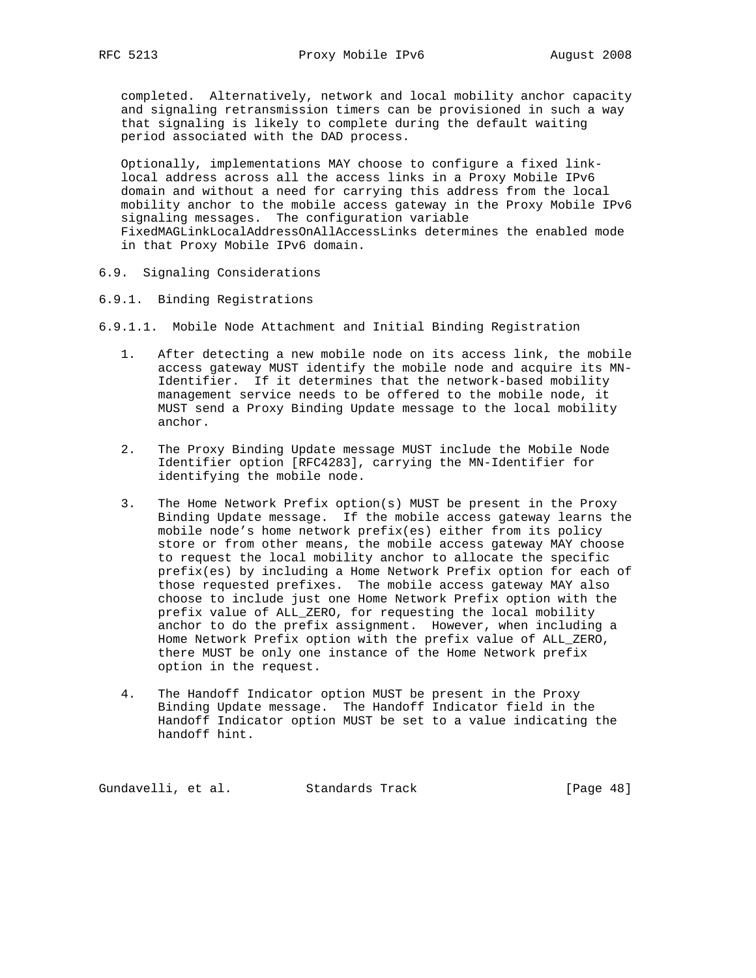completed. Alternatively, network and local mobility anchor capacity and signaling retransmission timers can be provisioned in such a way that signaling is likely to complete during the default waiting period associated with the DAD process.

 Optionally, implementations MAY choose to configure a fixed link local address across all the access links in a Proxy Mobile IPv6 domain and without a need for carrying this address from the local mobility anchor to the mobile access gateway in the Proxy Mobile IPv6 signaling messages. The configuration variable FixedMAGLinkLocalAddressOnAllAccessLinks determines the enabled mode in that Proxy Mobile IPv6 domain.

- 6.9. Signaling Considerations
- 6.9.1. Binding Registrations
- 6.9.1.1. Mobile Node Attachment and Initial Binding Registration
	- 1. After detecting a new mobile node on its access link, the mobile access gateway MUST identify the mobile node and acquire its MN- Identifier. If it determines that the network-based mobility management service needs to be offered to the mobile node, it MUST send a Proxy Binding Update message to the local mobility anchor.
	- 2. The Proxy Binding Update message MUST include the Mobile Node Identifier option [RFC4283], carrying the MN-Identifier for identifying the mobile node.
	- 3. The Home Network Prefix option(s) MUST be present in the Proxy Binding Update message. If the mobile access gateway learns the mobile node's home network prefix(es) either from its policy store or from other means, the mobile access gateway MAY choose to request the local mobility anchor to allocate the specific prefix(es) by including a Home Network Prefix option for each of those requested prefixes. The mobile access gateway MAY also choose to include just one Home Network Prefix option with the prefix value of ALL\_ZERO, for requesting the local mobility anchor to do the prefix assignment. However, when including a Home Network Prefix option with the prefix value of ALL\_ZERO, there MUST be only one instance of the Home Network prefix option in the request.
	- 4. The Handoff Indicator option MUST be present in the Proxy Binding Update message. The Handoff Indicator field in the Handoff Indicator option MUST be set to a value indicating the handoff hint.

Gundavelli, et al. Standards Track [Page 48]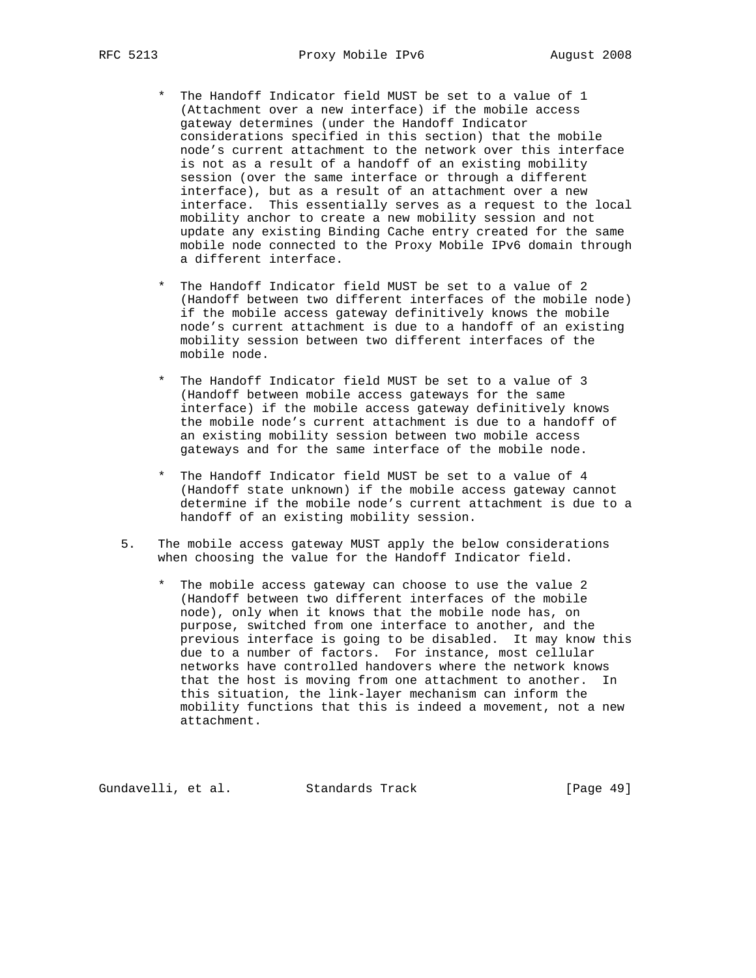- \* The Handoff Indicator field MUST be set to a value of 1 (Attachment over a new interface) if the mobile access gateway determines (under the Handoff Indicator considerations specified in this section) that the mobile node's current attachment to the network over this interface is not as a result of a handoff of an existing mobility session (over the same interface or through a different interface), but as a result of an attachment over a new interface. This essentially serves as a request to the local mobility anchor to create a new mobility session and not update any existing Binding Cache entry created for the same mobile node connected to the Proxy Mobile IPv6 domain through a different interface.
- \* The Handoff Indicator field MUST be set to a value of 2 (Handoff between two different interfaces of the mobile node) if the mobile access gateway definitively knows the mobile node's current attachment is due to a handoff of an existing mobility session between two different interfaces of the mobile node.
- \* The Handoff Indicator field MUST be set to a value of 3 (Handoff between mobile access gateways for the same interface) if the mobile access gateway definitively knows the mobile node's current attachment is due to a handoff of an existing mobility session between two mobile access gateways and for the same interface of the mobile node.
- \* The Handoff Indicator field MUST be set to a value of 4 (Handoff state unknown) if the mobile access gateway cannot determine if the mobile node's current attachment is due to a handoff of an existing mobility session.
- 5. The mobile access gateway MUST apply the below considerations when choosing the value for the Handoff Indicator field.
	- The mobile access gateway can choose to use the value 2 (Handoff between two different interfaces of the mobile node), only when it knows that the mobile node has, on purpose, switched from one interface to another, and the previous interface is going to be disabled. It may know this due to a number of factors. For instance, most cellular networks have controlled handovers where the network knows that the host is moving from one attachment to another. In this situation, the link-layer mechanism can inform the mobility functions that this is indeed a movement, not a new attachment.

Gundavelli, et al. Standards Track [Page 49]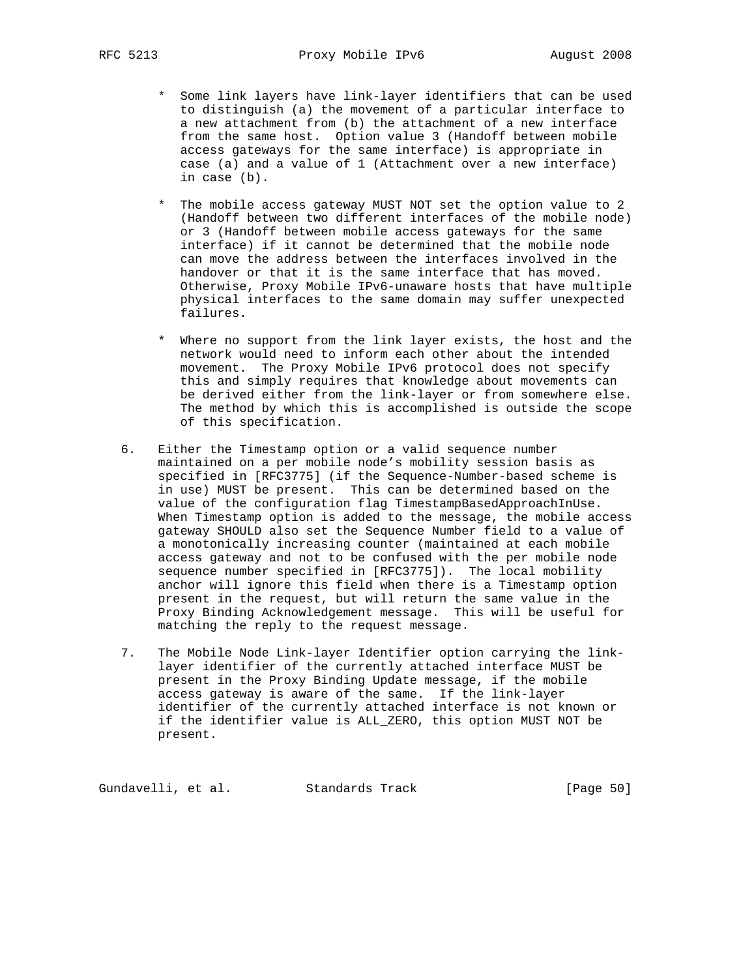- \* Some link layers have link-layer identifiers that can be used to distinguish (a) the movement of a particular interface to a new attachment from (b) the attachment of a new interface from the same host. Option value 3 (Handoff between mobile access gateways for the same interface) is appropriate in case (a) and a value of 1 (Attachment over a new interface) in case (b).
- \* The mobile access gateway MUST NOT set the option value to 2 (Handoff between two different interfaces of the mobile node) or 3 (Handoff between mobile access gateways for the same interface) if it cannot be determined that the mobile node can move the address between the interfaces involved in the handover or that it is the same interface that has moved. Otherwise, Proxy Mobile IPv6-unaware hosts that have multiple physical interfaces to the same domain may suffer unexpected failures.
- \* Where no support from the link layer exists, the host and the network would need to inform each other about the intended movement. The Proxy Mobile IPv6 protocol does not specify this and simply requires that knowledge about movements can be derived either from the link-layer or from somewhere else. The method by which this is accomplished is outside the scope of this specification.
- 6. Either the Timestamp option or a valid sequence number maintained on a per mobile node's mobility session basis as specified in [RFC3775] (if the Sequence-Number-based scheme is in use) MUST be present. This can be determined based on the value of the configuration flag TimestampBasedApproachInUse. When Timestamp option is added to the message, the mobile access gateway SHOULD also set the Sequence Number field to a value of a monotonically increasing counter (maintained at each mobile access gateway and not to be confused with the per mobile node sequence number specified in [RFC3775]). The local mobility anchor will ignore this field when there is a Timestamp option present in the request, but will return the same value in the Proxy Binding Acknowledgement message. This will be useful for matching the reply to the request message.
- 7. The Mobile Node Link-layer Identifier option carrying the link layer identifier of the currently attached interface MUST be present in the Proxy Binding Update message, if the mobile access gateway is aware of the same. If the link-layer identifier of the currently attached interface is not known or if the identifier value is ALL\_ZERO, this option MUST NOT be present.

Gundavelli, et al. Standards Track [Page 50]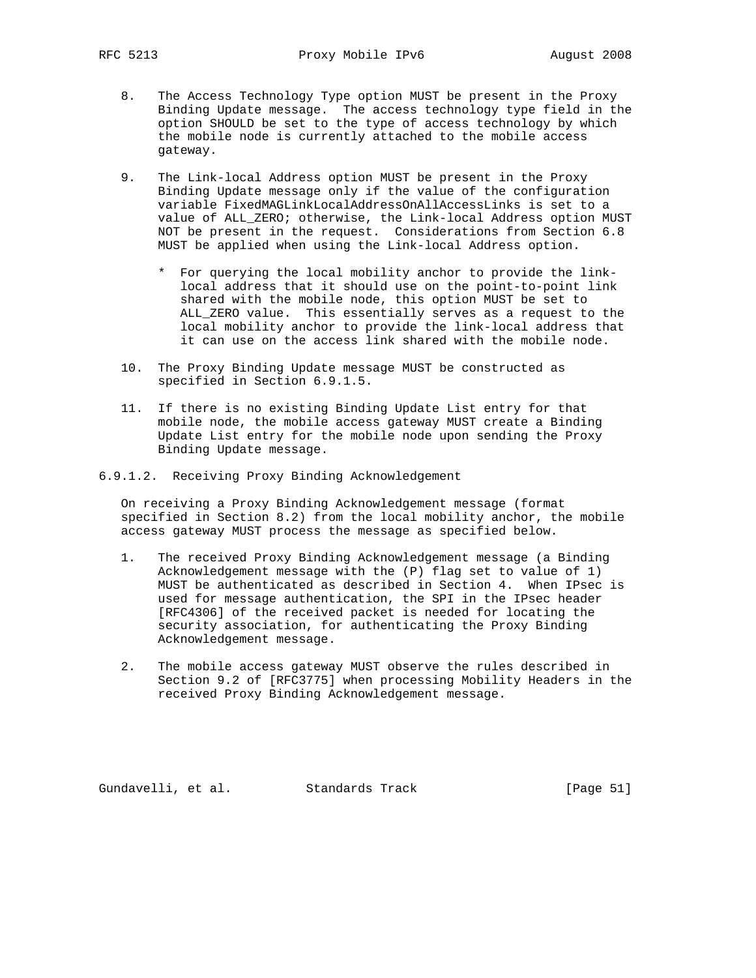- 8. The Access Technology Type option MUST be present in the Proxy Binding Update message. The access technology type field in the option SHOULD be set to the type of access technology by which the mobile node is currently attached to the mobile access gateway.
	- 9. The Link-local Address option MUST be present in the Proxy Binding Update message only if the value of the configuration variable FixedMAGLinkLocalAddressOnAllAccessLinks is set to a value of ALL ZERO; otherwise, the Link-local Address option MUST NOT be present in the request. Considerations from Section 6.8 MUST be applied when using the Link-local Address option.
		- \* For querying the local mobility anchor to provide the link local address that it should use on the point-to-point link shared with the mobile node, this option MUST be set to ALL\_ZERO value. This essentially serves as a request to the local mobility anchor to provide the link-local address that it can use on the access link shared with the mobile node.
	- 10. The Proxy Binding Update message MUST be constructed as specified in Section 6.9.1.5.
	- 11. If there is no existing Binding Update List entry for that mobile node, the mobile access gateway MUST create a Binding Update List entry for the mobile node upon sending the Proxy Binding Update message.
- 6.9.1.2. Receiving Proxy Binding Acknowledgement

 On receiving a Proxy Binding Acknowledgement message (format specified in Section 8.2) from the local mobility anchor, the mobile access gateway MUST process the message as specified below.

- 1. The received Proxy Binding Acknowledgement message (a Binding Acknowledgement message with the (P) flag set to value of 1) MUST be authenticated as described in Section 4. When IPsec is used for message authentication, the SPI in the IPsec header [RFC4306] of the received packet is needed for locating the security association, for authenticating the Proxy Binding Acknowledgement message.
- 2. The mobile access gateway MUST observe the rules described in Section 9.2 of [RFC3775] when processing Mobility Headers in the received Proxy Binding Acknowledgement message.

Gundavelli, et al. Standards Track [Page 51]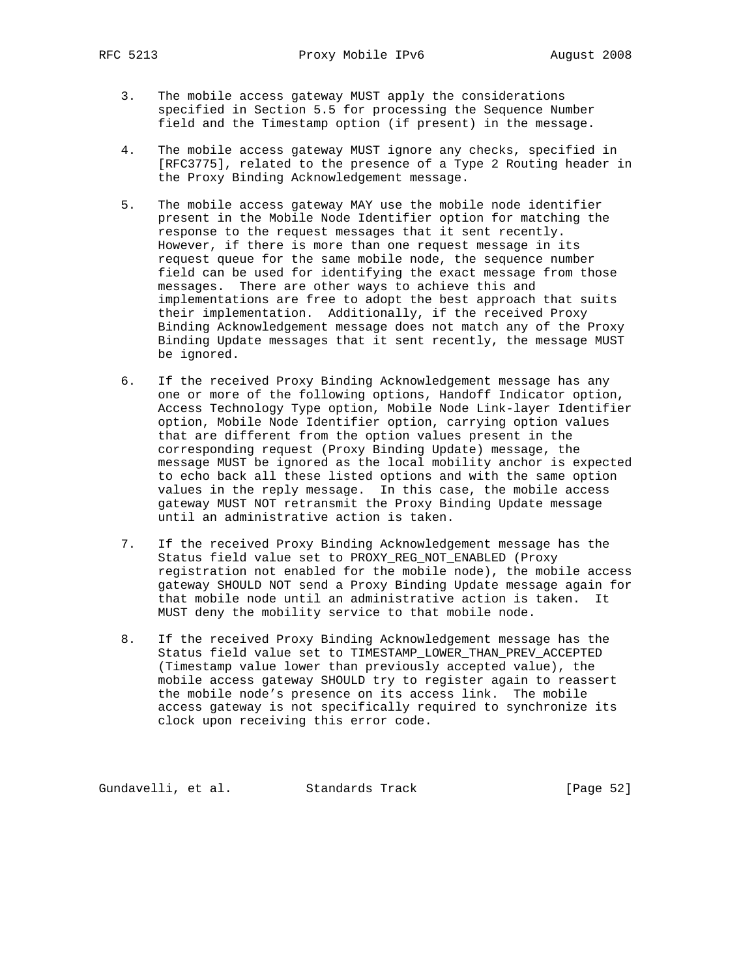- 3. The mobile access gateway MUST apply the considerations specified in Section 5.5 for processing the Sequence Number field and the Timestamp option (if present) in the message.
- 4. The mobile access gateway MUST ignore any checks, specified in [RFC3775], related to the presence of a Type 2 Routing header in the Proxy Binding Acknowledgement message.
- 5. The mobile access gateway MAY use the mobile node identifier present in the Mobile Node Identifier option for matching the response to the request messages that it sent recently. However, if there is more than one request message in its request queue for the same mobile node, the sequence number field can be used for identifying the exact message from those messages. There are other ways to achieve this and implementations are free to adopt the best approach that suits their implementation. Additionally, if the received Proxy Binding Acknowledgement message does not match any of the Proxy Binding Update messages that it sent recently, the message MUST be ignored.
- 6. If the received Proxy Binding Acknowledgement message has any one or more of the following options, Handoff Indicator option, Access Technology Type option, Mobile Node Link-layer Identifier option, Mobile Node Identifier option, carrying option values that are different from the option values present in the corresponding request (Proxy Binding Update) message, the message MUST be ignored as the local mobility anchor is expected to echo back all these listed options and with the same option values in the reply message. In this case, the mobile access gateway MUST NOT retransmit the Proxy Binding Update message until an administrative action is taken.
- 7. If the received Proxy Binding Acknowledgement message has the Status field value set to PROXY\_REG\_NOT\_ENABLED (Proxy registration not enabled for the mobile node), the mobile access gateway SHOULD NOT send a Proxy Binding Update message again for that mobile node until an administrative action is taken. It MUST deny the mobility service to that mobile node.
- 8. If the received Proxy Binding Acknowledgement message has the Status field value set to TIMESTAMP\_LOWER\_THAN\_PREV\_ACCEPTED (Timestamp value lower than previously accepted value), the mobile access gateway SHOULD try to register again to reassert the mobile node's presence on its access link. The mobile access gateway is not specifically required to synchronize its clock upon receiving this error code.

Gundavelli, et al. Standards Track [Page 52]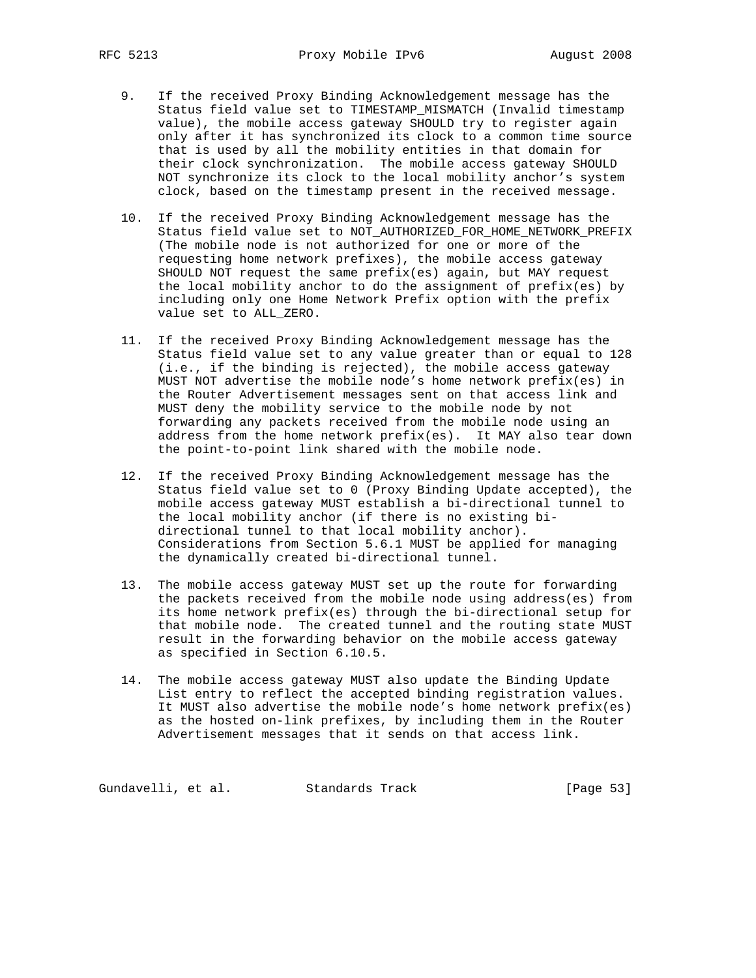- 9. If the received Proxy Binding Acknowledgement message has the Status field value set to TIMESTAMP\_MISMATCH (Invalid timestamp value), the mobile access gateway SHOULD try to register again only after it has synchronized its clock to a common time source that is used by all the mobility entities in that domain for their clock synchronization. The mobile access gateway SHOULD NOT synchronize its clock to the local mobility anchor's system clock, based on the timestamp present in the received message.
- 10. If the received Proxy Binding Acknowledgement message has the Status field value set to NOT\_AUTHORIZED\_FOR\_HOME\_NETWORK\_PREFIX (The mobile node is not authorized for one or more of the requesting home network prefixes), the mobile access gateway SHOULD NOT request the same prefix(es) again, but MAY request the local mobility anchor to do the assignment of prefix(es) by including only one Home Network Prefix option with the prefix value set to ALL\_ZERO.
- 11. If the received Proxy Binding Acknowledgement message has the Status field value set to any value greater than or equal to 128 (i.e., if the binding is rejected), the mobile access gateway MUST NOT advertise the mobile node's home network prefix(es) in the Router Advertisement messages sent on that access link and MUST deny the mobility service to the mobile node by not forwarding any packets received from the mobile node using an address from the home network prefix(es). It MAY also tear down the point-to-point link shared with the mobile node.
- 12. If the received Proxy Binding Acknowledgement message has the Status field value set to 0 (Proxy Binding Update accepted), the mobile access gateway MUST establish a bi-directional tunnel to the local mobility anchor (if there is no existing bi directional tunnel to that local mobility anchor). Considerations from Section 5.6.1 MUST be applied for managing the dynamically created bi-directional tunnel.
- 13. The mobile access gateway MUST set up the route for forwarding the packets received from the mobile node using address(es) from its home network prefix(es) through the bi-directional setup for that mobile node. The created tunnel and the routing state MUST result in the forwarding behavior on the mobile access gateway as specified in Section 6.10.5.
- 14. The mobile access gateway MUST also update the Binding Update List entry to reflect the accepted binding registration values. It MUST also advertise the mobile node's home network prefix(es) as the hosted on-link prefixes, by including them in the Router Advertisement messages that it sends on that access link.

Gundavelli, et al. Standards Track [Page 53]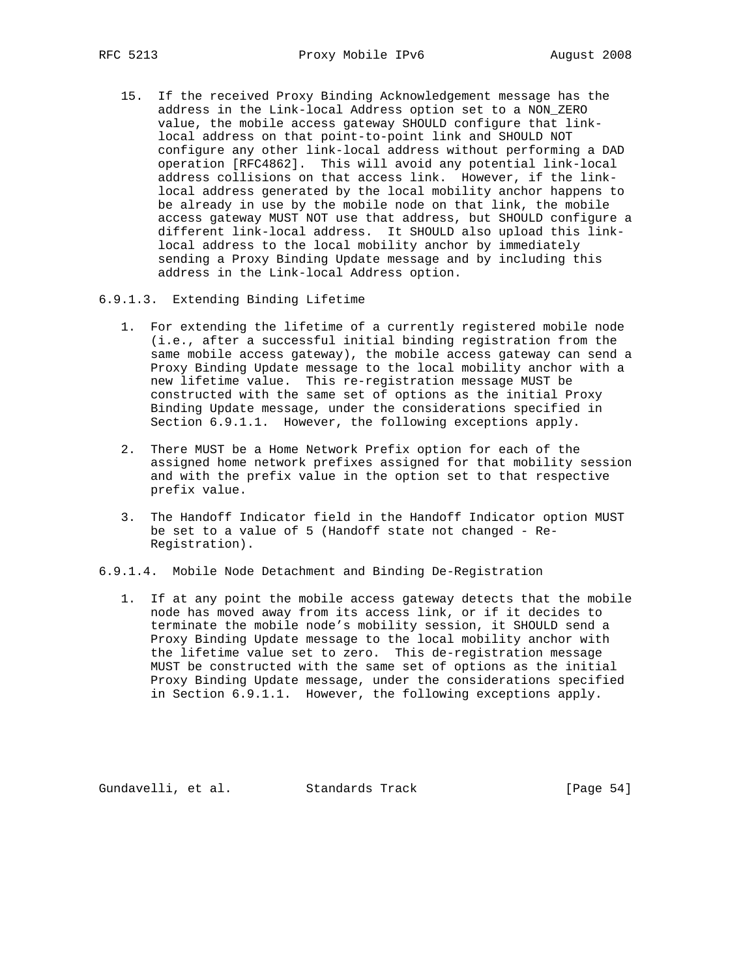15. If the received Proxy Binding Acknowledgement message has the address in the Link-local Address option set to a NON\_ZERO value, the mobile access gateway SHOULD configure that link local address on that point-to-point link and SHOULD NOT configure any other link-local address without performing a DAD operation [RFC4862]. This will avoid any potential link-local address collisions on that access link. However, if the link local address generated by the local mobility anchor happens to be already in use by the mobile node on that link, the mobile access gateway MUST NOT use that address, but SHOULD configure a different link-local address. It SHOULD also upload this link local address to the local mobility anchor by immediately sending a Proxy Binding Update message and by including this address in the Link-local Address option.

# 6.9.1.3. Extending Binding Lifetime

- 1. For extending the lifetime of a currently registered mobile node (i.e., after a successful initial binding registration from the same mobile access gateway), the mobile access gateway can send a Proxy Binding Update message to the local mobility anchor with a new lifetime value. This re-registration message MUST be constructed with the same set of options as the initial Proxy Binding Update message, under the considerations specified in Section 6.9.1.1. However, the following exceptions apply.
- 2. There MUST be a Home Network Prefix option for each of the assigned home network prefixes assigned for that mobility session and with the prefix value in the option set to that respective prefix value.
- 3. The Handoff Indicator field in the Handoff Indicator option MUST be set to a value of 5 (Handoff state not changed - Re- Registration).

6.9.1.4. Mobile Node Detachment and Binding De-Registration

 1. If at any point the mobile access gateway detects that the mobile node has moved away from its access link, or if it decides to terminate the mobile node's mobility session, it SHOULD send a Proxy Binding Update message to the local mobility anchor with the lifetime value set to zero. This de-registration message MUST be constructed with the same set of options as the initial Proxy Binding Update message, under the considerations specified in Section 6.9.1.1. However, the following exceptions apply.

Gundavelli, et al. Standards Track [Page 54]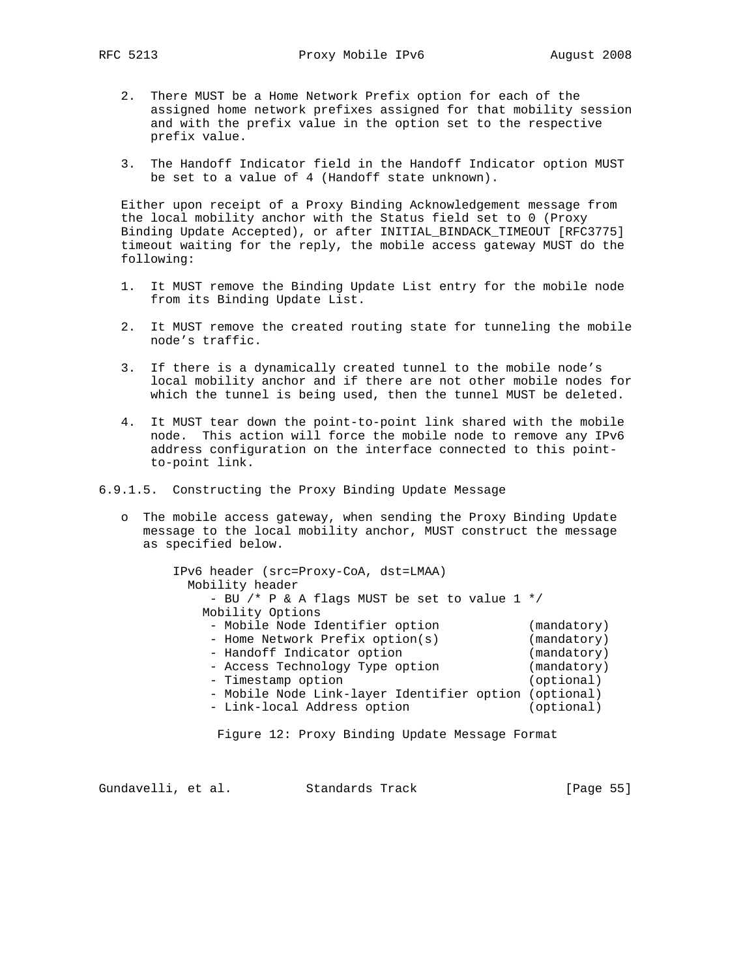- 2. There MUST be a Home Network Prefix option for each of the assigned home network prefixes assigned for that mobility session and with the prefix value in the option set to the respective prefix value.
- 3. The Handoff Indicator field in the Handoff Indicator option MUST be set to a value of 4 (Handoff state unknown).

 Either upon receipt of a Proxy Binding Acknowledgement message from the local mobility anchor with the Status field set to 0 (Proxy Binding Update Accepted), or after INITIAL\_BINDACK\_TIMEOUT [RFC3775] timeout waiting for the reply, the mobile access gateway MUST do the following:

- 1. It MUST remove the Binding Update List entry for the mobile node from its Binding Update List.
- 2. It MUST remove the created routing state for tunneling the mobile node's traffic.
- 3. If there is a dynamically created tunnel to the mobile node's local mobility anchor and if there are not other mobile nodes for which the tunnel is being used, then the tunnel MUST be deleted.
- 4. It MUST tear down the point-to-point link shared with the mobile node. This action will force the mobile node to remove any IPv6 address configuration on the interface connected to this point to-point link.
- 6.9.1.5. Constructing the Proxy Binding Update Message
	- o The mobile access gateway, when sending the Proxy Binding Update message to the local mobility anchor, MUST construct the message as specified below.

| IPv6 header (src=Proxy-CoA, dst=LMAA)<br>Mobility header<br>- BU /* P & A flags MUST be set to value $1 * /$<br>Mobility Options                                                                                                                  |                                                                                      |
|---------------------------------------------------------------------------------------------------------------------------------------------------------------------------------------------------------------------------------------------------|--------------------------------------------------------------------------------------|
| - Mobile Node Identifier option<br>- Home Network Prefix option(s)<br>- Handoff Indicator option<br>- Access Technology Type option<br>- Timestamp option<br>- Mobile Node Link-layer Identifier option (optional)<br>- Link-local Address option | (mandatory)<br>(mandatory)<br>(mandatory)<br>(mandatory)<br>(optional)<br>(optional) |

Figure 12: Proxy Binding Update Message Format

Gundavelli, et al. Standards Track [Page 55]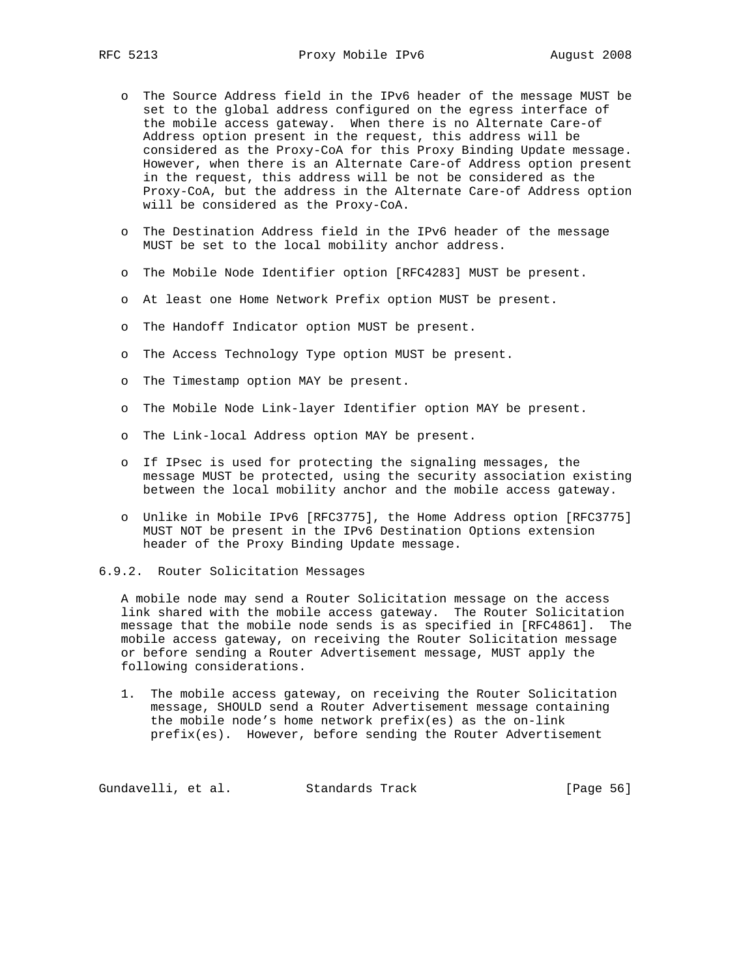- o The Source Address field in the IPv6 header of the message MUST be set to the global address configured on the egress interface of the mobile access gateway. When there is no Alternate Care-of Address option present in the request, this address will be considered as the Proxy-CoA for this Proxy Binding Update message. However, when there is an Alternate Care-of Address option present in the request, this address will be not be considered as the Proxy-CoA, but the address in the Alternate Care-of Address option will be considered as the Proxy-CoA.
- o The Destination Address field in the IPv6 header of the message MUST be set to the local mobility anchor address.
- o The Mobile Node Identifier option [RFC4283] MUST be present.
- o At least one Home Network Prefix option MUST be present.
- o The Handoff Indicator option MUST be present.
- o The Access Technology Type option MUST be present.
- o The Timestamp option MAY be present.
- o The Mobile Node Link-layer Identifier option MAY be present.
- o The Link-local Address option MAY be present.
- o If IPsec is used for protecting the signaling messages, the message MUST be protected, using the security association existing between the local mobility anchor and the mobile access gateway.
- o Unlike in Mobile IPv6 [RFC3775], the Home Address option [RFC3775] MUST NOT be present in the IPv6 Destination Options extension header of the Proxy Binding Update message.
- 6.9.2. Router Solicitation Messages

 A mobile node may send a Router Solicitation message on the access link shared with the mobile access gateway. The Router Solicitation message that the mobile node sends is as specified in [RFC4861]. The mobile access gateway, on receiving the Router Solicitation message or before sending a Router Advertisement message, MUST apply the following considerations.

 1. The mobile access gateway, on receiving the Router Solicitation message, SHOULD send a Router Advertisement message containing the mobile node's home network prefix(es) as the on-link prefix(es). However, before sending the Router Advertisement

Gundavelli, et al. Standards Track [Page 56]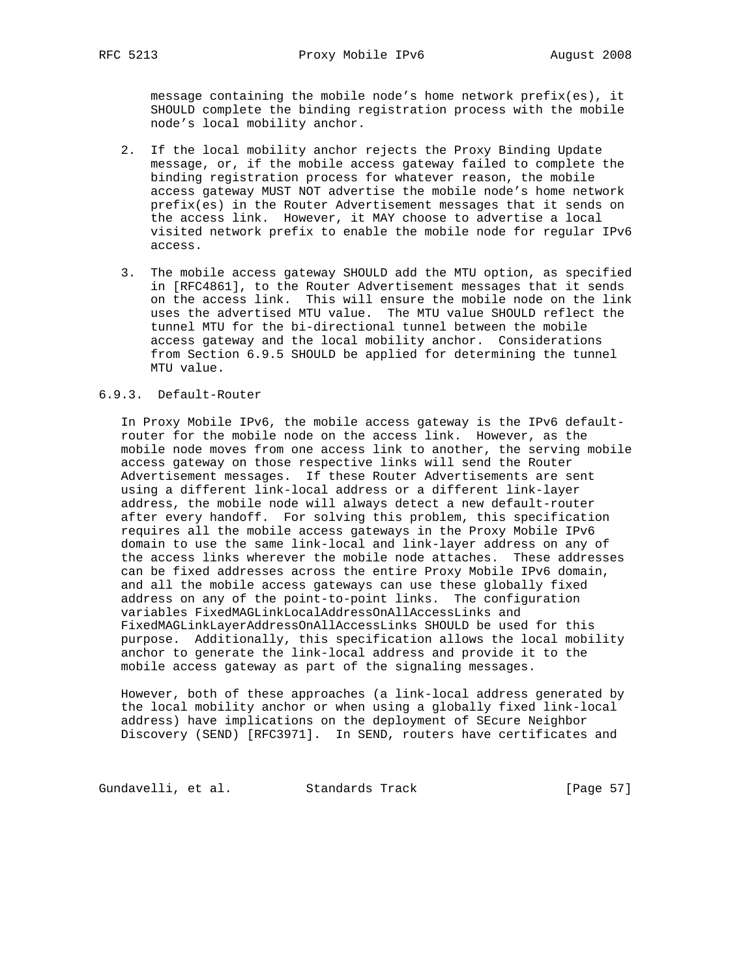message containing the mobile node's home network prefix(es), it SHOULD complete the binding registration process with the mobile node's local mobility anchor.

- 2. If the local mobility anchor rejects the Proxy Binding Update message, or, if the mobile access gateway failed to complete the binding registration process for whatever reason, the mobile access gateway MUST NOT advertise the mobile node's home network prefix(es) in the Router Advertisement messages that it sends on the access link. However, it MAY choose to advertise a local visited network prefix to enable the mobile node for regular IPv6 access.
- 3. The mobile access gateway SHOULD add the MTU option, as specified in [RFC4861], to the Router Advertisement messages that it sends on the access link. This will ensure the mobile node on the link uses the advertised MTU value. The MTU value SHOULD reflect the tunnel MTU for the bi-directional tunnel between the mobile access gateway and the local mobility anchor. Considerations from Section 6.9.5 SHOULD be applied for determining the tunnel MTU value.

# 6.9.3. Default-Router

 In Proxy Mobile IPv6, the mobile access gateway is the IPv6 default router for the mobile node on the access link. However, as the mobile node moves from one access link to another, the serving mobile access gateway on those respective links will send the Router Advertisement messages. If these Router Advertisements are sent using a different link-local address or a different link-layer address, the mobile node will always detect a new default-router after every handoff. For solving this problem, this specification requires all the mobile access gateways in the Proxy Mobile IPv6 domain to use the same link-local and link-layer address on any of the access links wherever the mobile node attaches. These addresses can be fixed addresses across the entire Proxy Mobile IPv6 domain, and all the mobile access gateways can use these globally fixed address on any of the point-to-point links. The configuration variables FixedMAGLinkLocalAddressOnAllAccessLinks and FixedMAGLinkLayerAddressOnAllAccessLinks SHOULD be used for this purpose. Additionally, this specification allows the local mobility anchor to generate the link-local address and provide it to the mobile access gateway as part of the signaling messages.

 However, both of these approaches (a link-local address generated by the local mobility anchor or when using a globally fixed link-local address) have implications on the deployment of SEcure Neighbor Discovery (SEND) [RFC3971]. In SEND, routers have certificates and

Gundavelli, et al. Standards Track [Page 57]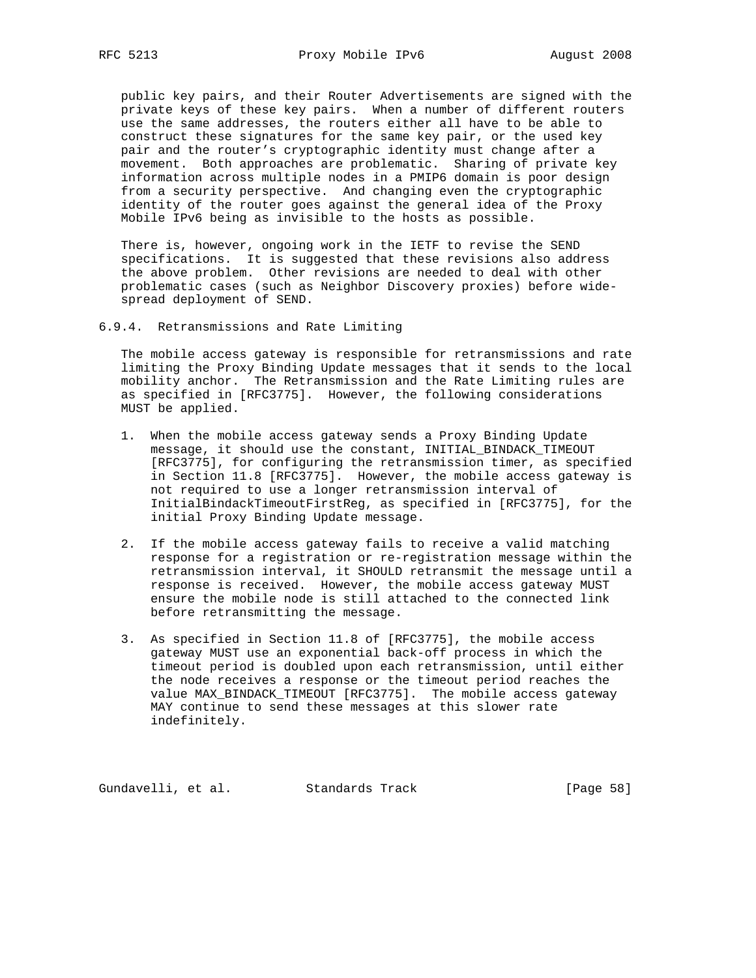public key pairs, and their Router Advertisements are signed with the private keys of these key pairs. When a number of different routers use the same addresses, the routers either all have to be able to construct these signatures for the same key pair, or the used key pair and the router's cryptographic identity must change after a movement. Both approaches are problematic. Sharing of private key information across multiple nodes in a PMIP6 domain is poor design from a security perspective. And changing even the cryptographic identity of the router goes against the general idea of the Proxy Mobile IPv6 being as invisible to the hosts as possible.

 There is, however, ongoing work in the IETF to revise the SEND specifications. It is suggested that these revisions also address the above problem. Other revisions are needed to deal with other problematic cases (such as Neighbor Discovery proxies) before wide spread deployment of SEND.

6.9.4. Retransmissions and Rate Limiting

 The mobile access gateway is responsible for retransmissions and rate limiting the Proxy Binding Update messages that it sends to the local mobility anchor. The Retransmission and the Rate Limiting rules are as specified in [RFC3775]. However, the following considerations MUST be applied.

- 1. When the mobile access gateway sends a Proxy Binding Update message, it should use the constant, INITIAL\_BINDACK\_TIMEOUT [RFC3775], for configuring the retransmission timer, as specified in Section 11.8 [RFC3775]. However, the mobile access gateway is not required to use a longer retransmission interval of InitialBindackTimeoutFirstReg, as specified in [RFC3775], for the initial Proxy Binding Update message.
- 2. If the mobile access gateway fails to receive a valid matching response for a registration or re-registration message within the retransmission interval, it SHOULD retransmit the message until a response is received. However, the mobile access gateway MUST ensure the mobile node is still attached to the connected link before retransmitting the message.
- 3. As specified in Section 11.8 of [RFC3775], the mobile access gateway MUST use an exponential back-off process in which the timeout period is doubled upon each retransmission, until either the node receives a response or the timeout period reaches the value MAX\_BINDACK\_TIMEOUT [RFC3775]. The mobile access gateway MAY continue to send these messages at this slower rate indefinitely.

Gundavelli, et al. Standards Track [Page 58]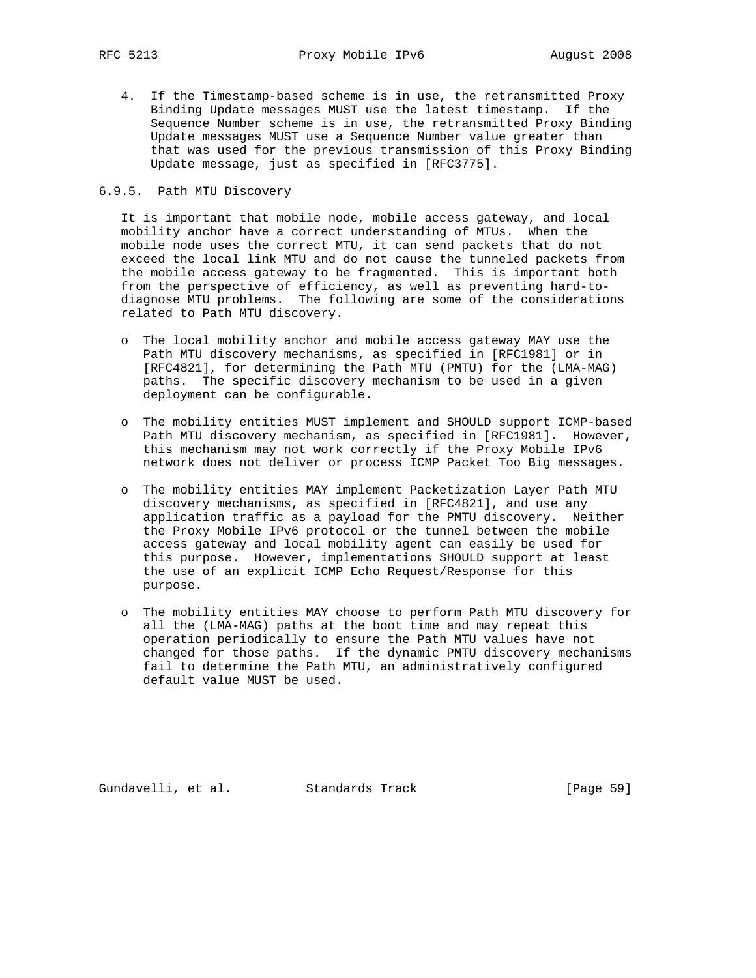4. If the Timestamp-based scheme is in use, the retransmitted Proxy Binding Update messages MUST use the latest timestamp. If the Sequence Number scheme is in use, the retransmitted Proxy Binding Update messages MUST use a Sequence Number value greater than that was used for the previous transmission of this Proxy Binding Update message, just as specified in [RFC3775].

# 6.9.5. Path MTU Discovery

 It is important that mobile node, mobile access gateway, and local mobility anchor have a correct understanding of MTUs. When the mobile node uses the correct MTU, it can send packets that do not exceed the local link MTU and do not cause the tunneled packets from the mobile access gateway to be fragmented. This is important both from the perspective of efficiency, as well as preventing hard-to diagnose MTU problems. The following are some of the considerations related to Path MTU discovery.

- o The local mobility anchor and mobile access gateway MAY use the Path MTU discovery mechanisms, as specified in [RFC1981] or in [RFC4821], for determining the Path MTU (PMTU) for the (LMA-MAG) paths. The specific discovery mechanism to be used in a given deployment can be configurable.
- o The mobility entities MUST implement and SHOULD support ICMP-based Path MTU discovery mechanism, as specified in [RFC1981]. However, this mechanism may not work correctly if the Proxy Mobile IPv6 network does not deliver or process ICMP Packet Too Big messages.
- o The mobility entities MAY implement Packetization Layer Path MTU discovery mechanisms, as specified in [RFC4821], and use any application traffic as a payload for the PMTU discovery. Neither the Proxy Mobile IPv6 protocol or the tunnel between the mobile access gateway and local mobility agent can easily be used for this purpose. However, implementations SHOULD support at least the use of an explicit ICMP Echo Request/Response for this purpose.
- o The mobility entities MAY choose to perform Path MTU discovery for all the (LMA-MAG) paths at the boot time and may repeat this operation periodically to ensure the Path MTU values have not changed for those paths. If the dynamic PMTU discovery mechanisms fail to determine the Path MTU, an administratively configured default value MUST be used.

Gundavelli, et al. Standards Track [Page 59]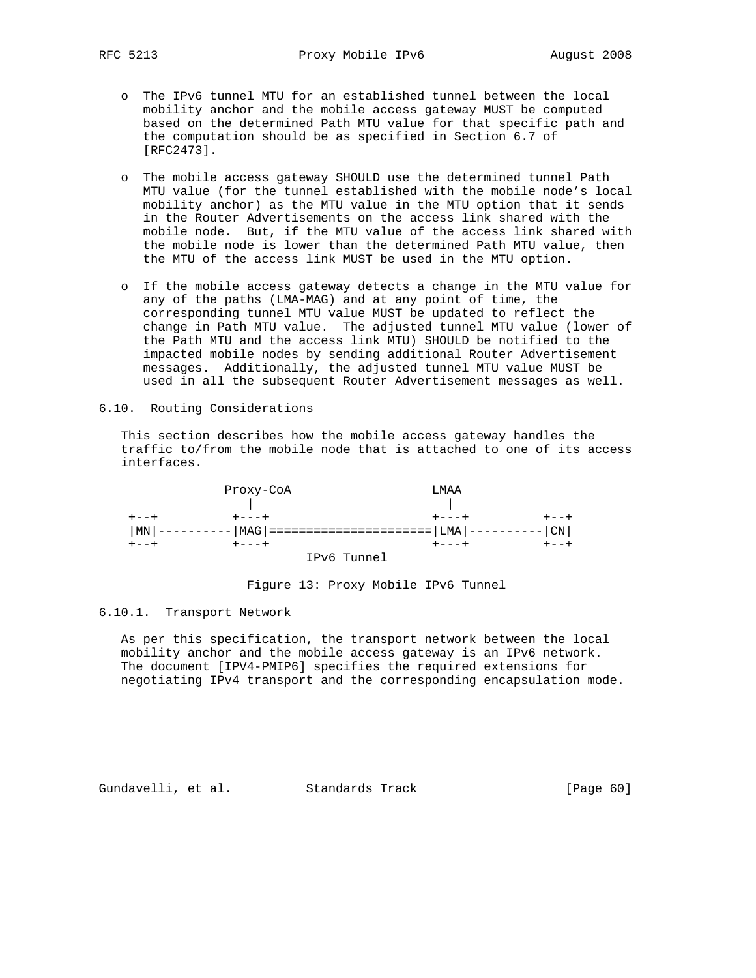- o The IPv6 tunnel MTU for an established tunnel between the local mobility anchor and the mobile access gateway MUST be computed based on the determined Path MTU value for that specific path and the computation should be as specified in Section 6.7 of [RFC2473].
- o The mobile access gateway SHOULD use the determined tunnel Path MTU value (for the tunnel established with the mobile node's local mobility anchor) as the MTU value in the MTU option that it sends in the Router Advertisements on the access link shared with the mobile node. But, if the MTU value of the access link shared with the mobile node is lower than the determined Path MTU value, then the MTU of the access link MUST be used in the MTU option.
- o If the mobile access gateway detects a change in the MTU value for any of the paths (LMA-MAG) and at any point of time, the corresponding tunnel MTU value MUST be updated to reflect the change in Path MTU value. The adjusted tunnel MTU value (lower of the Path MTU and the access link MTU) SHOULD be notified to the impacted mobile nodes by sending additional Router Advertisement messages. Additionally, the adjusted tunnel MTU value MUST be used in all the subsequent Router Advertisement messages as well.
- 6.10. Routing Considerations

 This section describes how the mobile access gateway handles the traffic to/from the mobile node that is attached to one of its access interfaces.



Figure 13: Proxy Mobile IPv6 Tunnel

6.10.1. Transport Network

 As per this specification, the transport network between the local mobility anchor and the mobile access gateway is an IPv6 network. The document [IPV4-PMIP6] specifies the required extensions for negotiating IPv4 transport and the corresponding encapsulation mode.

Gundavelli, et al. Standards Track [Page 60]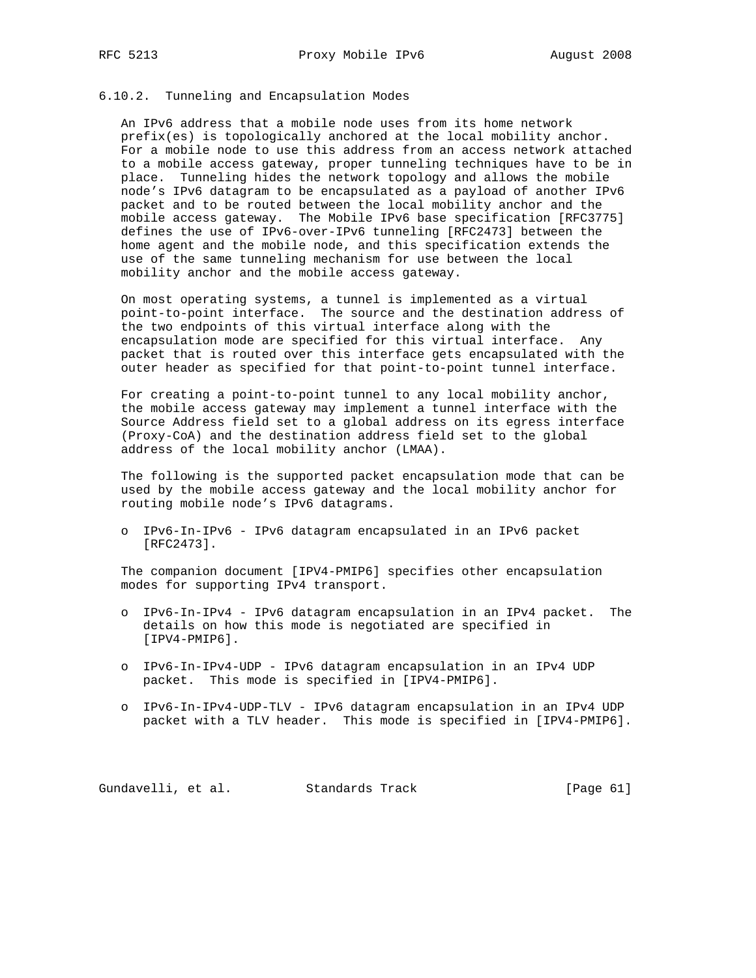# 6.10.2. Tunneling and Encapsulation Modes

 An IPv6 address that a mobile node uses from its home network prefix(es) is topologically anchored at the local mobility anchor. For a mobile node to use this address from an access network attached to a mobile access gateway, proper tunneling techniques have to be in place. Tunneling hides the network topology and allows the mobile node's IPv6 datagram to be encapsulated as a payload of another IPv6 packet and to be routed between the local mobility anchor and the mobile access gateway. The Mobile IPv6 base specification [RFC3775] defines the use of IPv6-over-IPv6 tunneling [RFC2473] between the home agent and the mobile node, and this specification extends the use of the same tunneling mechanism for use between the local mobility anchor and the mobile access gateway.

 On most operating systems, a tunnel is implemented as a virtual point-to-point interface. The source and the destination address of the two endpoints of this virtual interface along with the encapsulation mode are specified for this virtual interface. Any packet that is routed over this interface gets encapsulated with the outer header as specified for that point-to-point tunnel interface.

 For creating a point-to-point tunnel to any local mobility anchor, the mobile access gateway may implement a tunnel interface with the Source Address field set to a global address on its egress interface (Proxy-CoA) and the destination address field set to the global address of the local mobility anchor (LMAA).

 The following is the supported packet encapsulation mode that can be used by the mobile access gateway and the local mobility anchor for routing mobile node's IPv6 datagrams.

 o IPv6-In-IPv6 - IPv6 datagram encapsulated in an IPv6 packet [RFC2473].

 The companion document [IPV4-PMIP6] specifies other encapsulation modes for supporting IPv4 transport.

- o IPv6-In-IPv4 IPv6 datagram encapsulation in an IPv4 packet. The details on how this mode is negotiated are specified in [IPV4-PMIP6].
- o IPv6-In-IPv4-UDP IPv6 datagram encapsulation in an IPv4 UDP packet. This mode is specified in [IPV4-PMIP6].
- o IPv6-In-IPv4-UDP-TLV IPv6 datagram encapsulation in an IPv4 UDP packet with a TLV header. This mode is specified in [IPV4-PMIP6].

Gundavelli, et al. Standards Track [Page 61]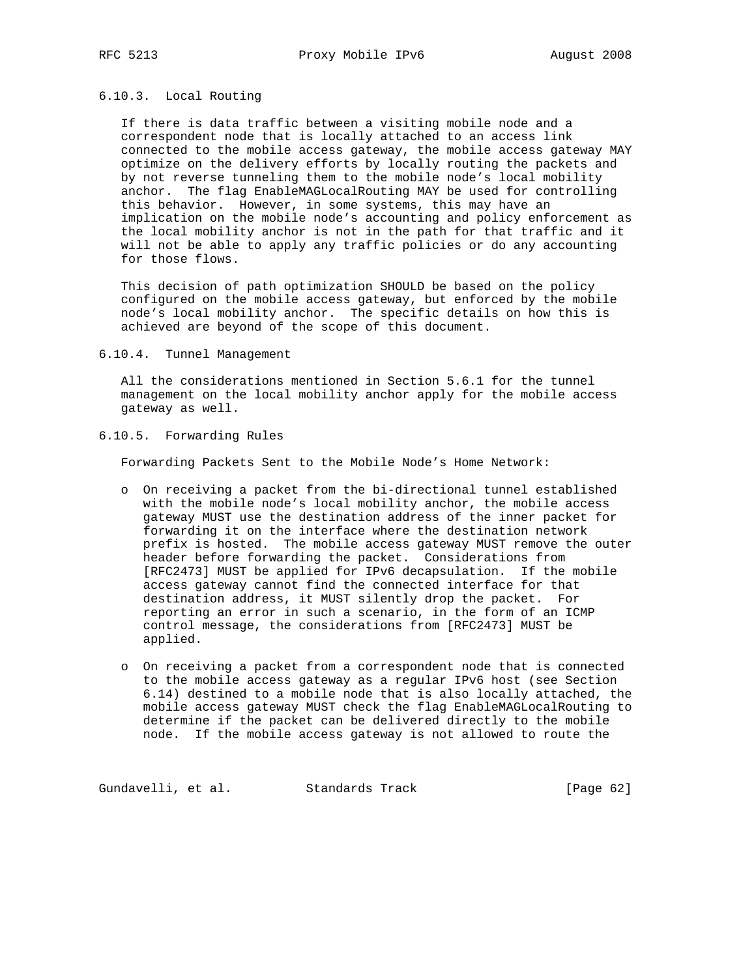# 6.10.3. Local Routing

 If there is data traffic between a visiting mobile node and a correspondent node that is locally attached to an access link connected to the mobile access gateway, the mobile access gateway MAY optimize on the delivery efforts by locally routing the packets and by not reverse tunneling them to the mobile node's local mobility anchor. The flag EnableMAGLocalRouting MAY be used for controlling this behavior. However, in some systems, this may have an implication on the mobile node's accounting and policy enforcement as the local mobility anchor is not in the path for that traffic and it will not be able to apply any traffic policies or do any accounting for those flows.

 This decision of path optimization SHOULD be based on the policy configured on the mobile access gateway, but enforced by the mobile node's local mobility anchor. The specific details on how this is achieved are beyond of the scope of this document.

#### 6.10.4. Tunnel Management

 All the considerations mentioned in Section 5.6.1 for the tunnel management on the local mobility anchor apply for the mobile access gateway as well.

6.10.5. Forwarding Rules

Forwarding Packets Sent to the Mobile Node's Home Network:

- o On receiving a packet from the bi-directional tunnel established with the mobile node's local mobility anchor, the mobile access gateway MUST use the destination address of the inner packet for forwarding it on the interface where the destination network prefix is hosted. The mobile access gateway MUST remove the outer header before forwarding the packet. Considerations from [RFC2473] MUST be applied for IPv6 decapsulation. If the mobile access gateway cannot find the connected interface for that destination address, it MUST silently drop the packet. For reporting an error in such a scenario, in the form of an ICMP control message, the considerations from [RFC2473] MUST be applied.
- o On receiving a packet from a correspondent node that is connected to the mobile access gateway as a regular IPv6 host (see Section 6.14) destined to a mobile node that is also locally attached, the mobile access gateway MUST check the flag EnableMAGLocalRouting to determine if the packet can be delivered directly to the mobile node. If the mobile access gateway is not allowed to route the

Gundavelli, et al. Standards Track [Page 62]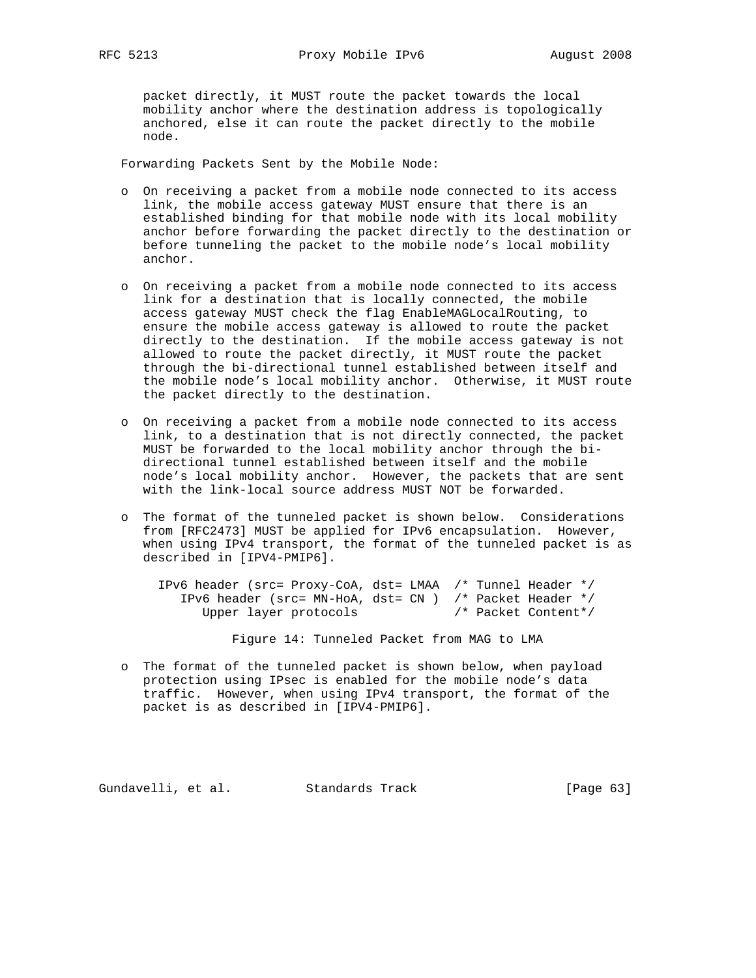packet directly, it MUST route the packet towards the local mobility anchor where the destination address is topologically anchored, else it can route the packet directly to the mobile node.

Forwarding Packets Sent by the Mobile Node:

- o On receiving a packet from a mobile node connected to its access link, the mobile access gateway MUST ensure that there is an established binding for that mobile node with its local mobility anchor before forwarding the packet directly to the destination or before tunneling the packet to the mobile node's local mobility anchor.
- o On receiving a packet from a mobile node connected to its access link for a destination that is locally connected, the mobile access gateway MUST check the flag EnableMAGLocalRouting, to ensure the mobile access gateway is allowed to route the packet directly to the destination. If the mobile access gateway is not allowed to route the packet directly, it MUST route the packet through the bi-directional tunnel established between itself and the mobile node's local mobility anchor. Otherwise, it MUST route the packet directly to the destination.
- o On receiving a packet from a mobile node connected to its access link, to a destination that is not directly connected, the packet MUST be forwarded to the local mobility anchor through the bi directional tunnel established between itself and the mobile node's local mobility anchor. However, the packets that are sent with the link-local source address MUST NOT be forwarded.
- o The format of the tunneled packet is shown below. Considerations from [RFC2473] MUST be applied for IPv6 encapsulation. However, when using IPv4 transport, the format of the tunneled packet is as described in [IPV4-PMIP6].

 IPv6 header (src= Proxy-CoA, dst= LMAA /\* Tunnel Header \*/ IPv6 header (src= MN-HoA, dst= CN ) /\* Packet Header \*/ Upper layer protocols /\* Packet Content\*/

Figure 14: Tunneled Packet from MAG to LMA

 o The format of the tunneled packet is shown below, when payload protection using IPsec is enabled for the mobile node's data traffic. However, when using IPv4 transport, the format of the packet is as described in [IPV4-PMIP6].

Gundavelli, et al. Standards Track [Page 63]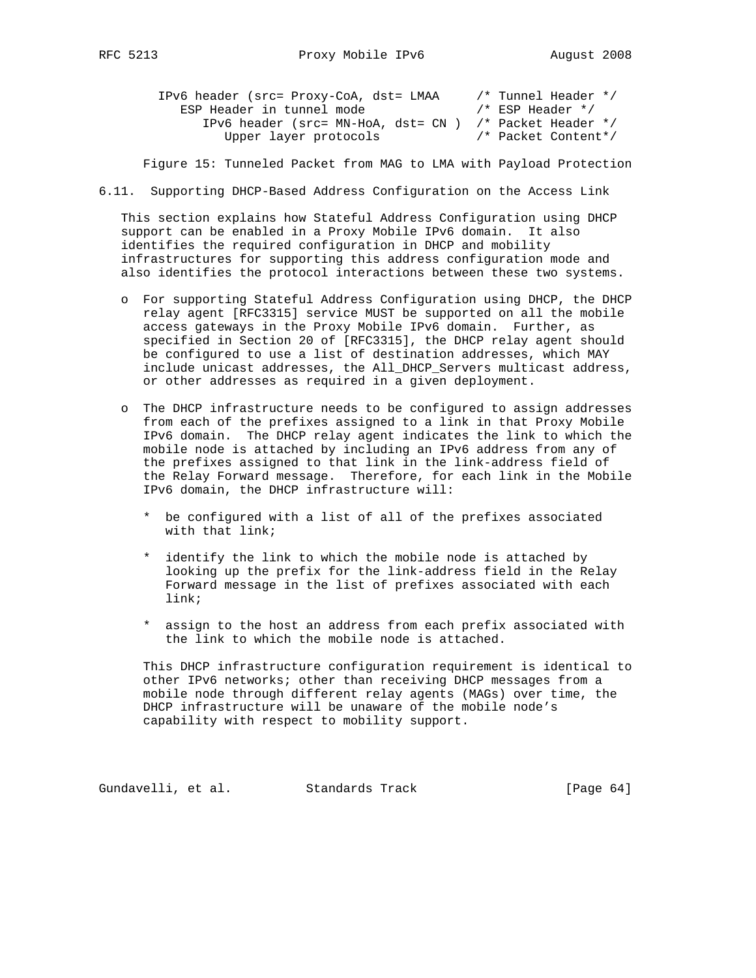| RFC. |
|------|
|------|

| IPv6 header (src= Proxy-CoA, dst= LMAA                    | /* Tunnel Header */ |
|-----------------------------------------------------------|---------------------|
| ESP Header in tunnel mode                                 | /* ESP Header */    |
| IPv6 header (src= MN-HoA, dst= $CN$ ) /* Packet Header */ |                     |
| Upper layer protocols                                     | /* Packet Content*/ |

Figure 15: Tunneled Packet from MAG to LMA with Payload Protection

6.11. Supporting DHCP-Based Address Configuration on the Access Link

 This section explains how Stateful Address Configuration using DHCP support can be enabled in a Proxy Mobile IPv6 domain. It also identifies the required configuration in DHCP and mobility infrastructures for supporting this address configuration mode and also identifies the protocol interactions between these two systems.

- o For supporting Stateful Address Configuration using DHCP, the DHCP relay agent [RFC3315] service MUST be supported on all the mobile access gateways in the Proxy Mobile IPv6 domain. Further, as specified in Section 20 of [RFC3315], the DHCP relay agent should be configured to use a list of destination addresses, which MAY include unicast addresses, the All\_DHCP\_Servers multicast address, or other addresses as required in a given deployment.
- o The DHCP infrastructure needs to be configured to assign addresses from each of the prefixes assigned to a link in that Proxy Mobile IPv6 domain. The DHCP relay agent indicates the link to which the mobile node is attached by including an IPv6 address from any of the prefixes assigned to that link in the link-address field of the Relay Forward message. Therefore, for each link in the Mobile IPv6 domain, the DHCP infrastructure will:
	- \* be configured with a list of all of the prefixes associated with that link;
	- \* identify the link to which the mobile node is attached by looking up the prefix for the link-address field in the Relay Forward message in the list of prefixes associated with each link;
	- \* assign to the host an address from each prefix associated with the link to which the mobile node is attached.

 This DHCP infrastructure configuration requirement is identical to other IPv6 networks; other than receiving DHCP messages from a mobile node through different relay agents (MAGs) over time, the DHCP infrastructure will be unaware of the mobile node's capability with respect to mobility support.

Gundavelli, et al. Standards Track [Page 64]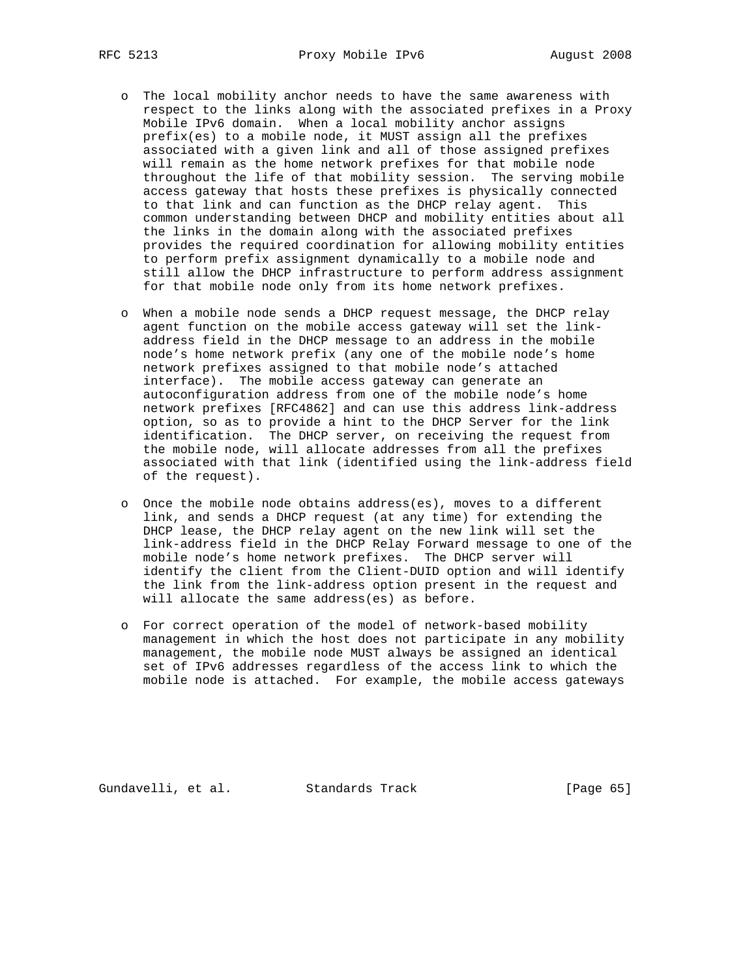- o The local mobility anchor needs to have the same awareness with respect to the links along with the associated prefixes in a Proxy Mobile IPv6 domain. When a local mobility anchor assigns prefix(es) to a mobile node, it MUST assign all the prefixes associated with a given link and all of those assigned prefixes will remain as the home network prefixes for that mobile node throughout the life of that mobility session. The serving mobile access gateway that hosts these prefixes is physically connected to that link and can function as the DHCP relay agent. This common understanding between DHCP and mobility entities about all the links in the domain along with the associated prefixes provides the required coordination for allowing mobility entities to perform prefix assignment dynamically to a mobile node and still allow the DHCP infrastructure to perform address assignment for that mobile node only from its home network prefixes.
- o When a mobile node sends a DHCP request message, the DHCP relay agent function on the mobile access gateway will set the link address field in the DHCP message to an address in the mobile node's home network prefix (any one of the mobile node's home network prefixes assigned to that mobile node's attached interface). The mobile access gateway can generate an autoconfiguration address from one of the mobile node's home network prefixes [RFC4862] and can use this address link-address option, so as to provide a hint to the DHCP Server for the link identification. The DHCP server, on receiving the request from the mobile node, will allocate addresses from all the prefixes associated with that link (identified using the link-address field of the request).
	- o Once the mobile node obtains address(es), moves to a different link, and sends a DHCP request (at any time) for extending the DHCP lease, the DHCP relay agent on the new link will set the link-address field in the DHCP Relay Forward message to one of the mobile node's home network prefixes. The DHCP server will identify the client from the Client-DUID option and will identify the link from the link-address option present in the request and will allocate the same address(es) as before.
	- o For correct operation of the model of network-based mobility management in which the host does not participate in any mobility management, the mobile node MUST always be assigned an identical set of IPv6 addresses regardless of the access link to which the mobile node is attached. For example, the mobile access gateways

Gundavelli, et al. Standards Track [Page 65]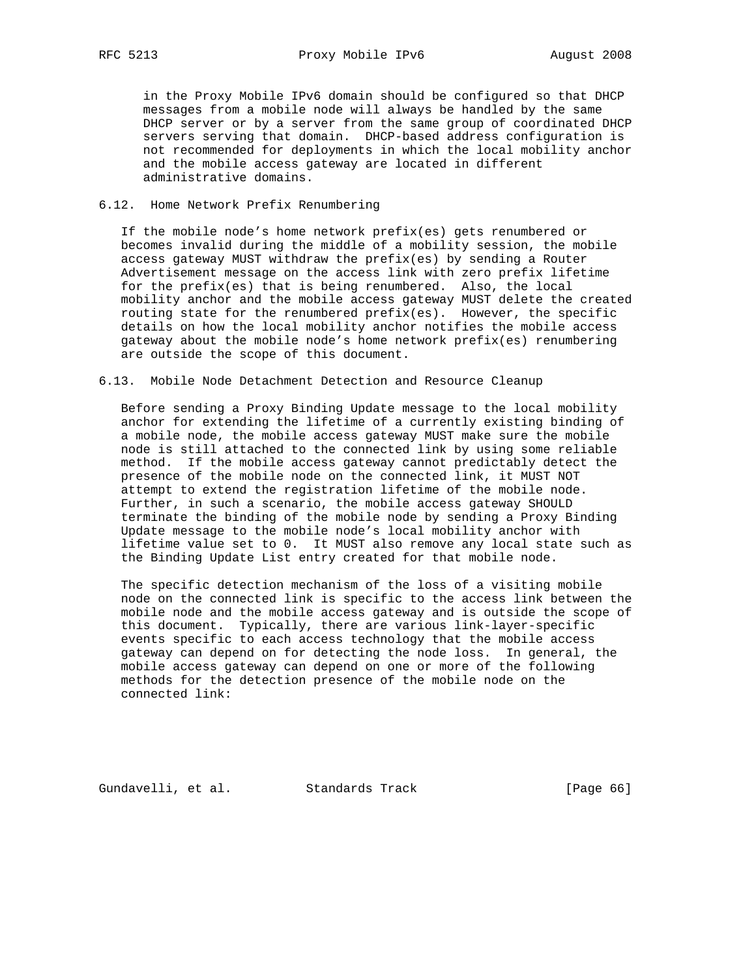in the Proxy Mobile IPv6 domain should be configured so that DHCP messages from a mobile node will always be handled by the same DHCP server or by a server from the same group of coordinated DHCP servers serving that domain. DHCP-based address configuration is not recommended for deployments in which the local mobility anchor and the mobile access gateway are located in different administrative domains.

## 6.12. Home Network Prefix Renumbering

 If the mobile node's home network prefix(es) gets renumbered or becomes invalid during the middle of a mobility session, the mobile access gateway MUST withdraw the prefix(es) by sending a Router Advertisement message on the access link with zero prefix lifetime for the prefix(es) that is being renumbered. Also, the local mobility anchor and the mobile access gateway MUST delete the created routing state for the renumbered prefix(es). However, the specific details on how the local mobility anchor notifies the mobile access gateway about the mobile node's home network prefix(es) renumbering are outside the scope of this document.

## 6.13. Mobile Node Detachment Detection and Resource Cleanup

 Before sending a Proxy Binding Update message to the local mobility anchor for extending the lifetime of a currently existing binding of a mobile node, the mobile access gateway MUST make sure the mobile node is still attached to the connected link by using some reliable method. If the mobile access gateway cannot predictably detect the presence of the mobile node on the connected link, it MUST NOT attempt to extend the registration lifetime of the mobile node. Further, in such a scenario, the mobile access gateway SHOULD terminate the binding of the mobile node by sending a Proxy Binding Update message to the mobile node's local mobility anchor with lifetime value set to 0. It MUST also remove any local state such as the Binding Update List entry created for that mobile node.

 The specific detection mechanism of the loss of a visiting mobile node on the connected link is specific to the access link between the mobile node and the mobile access gateway and is outside the scope of this document. Typically, there are various link-layer-specific events specific to each access technology that the mobile access gateway can depend on for detecting the node loss. In general, the mobile access gateway can depend on one or more of the following methods for the detection presence of the mobile node on the connected link:

Gundavelli, et al. Standards Track [Page 66]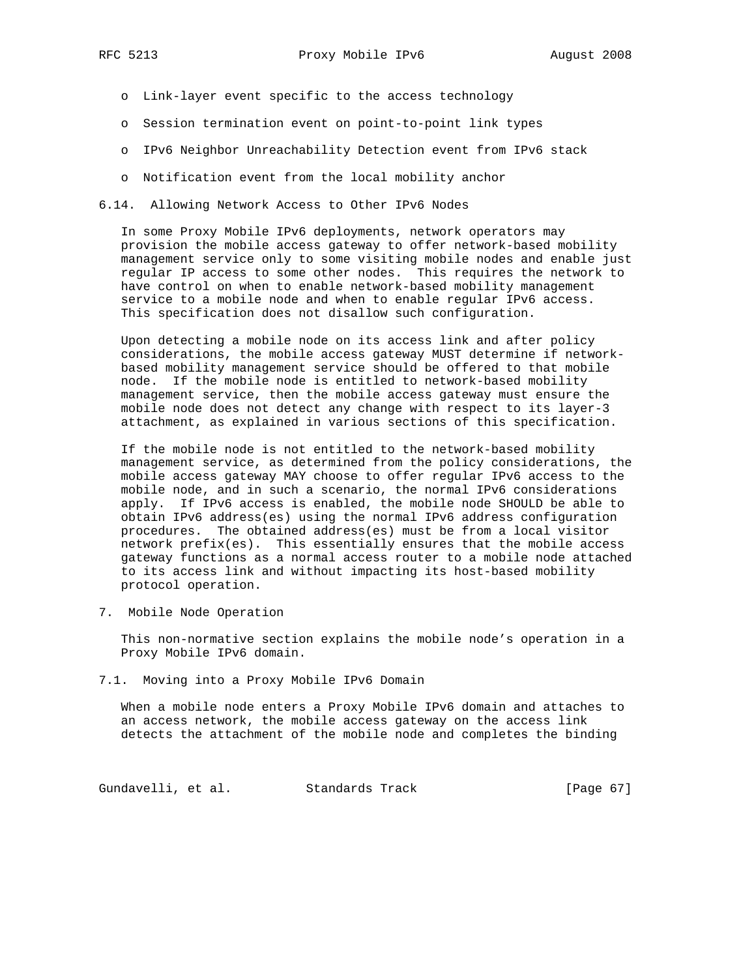- o Link-layer event specific to the access technology
- o Session termination event on point-to-point link types
- o IPv6 Neighbor Unreachability Detection event from IPv6 stack
- o Notification event from the local mobility anchor
- 6.14. Allowing Network Access to Other IPv6 Nodes

 In some Proxy Mobile IPv6 deployments, network operators may provision the mobile access gateway to offer network-based mobility management service only to some visiting mobile nodes and enable just regular IP access to some other nodes. This requires the network to have control on when to enable network-based mobility management service to a mobile node and when to enable regular IPv6 access. This specification does not disallow such configuration.

 Upon detecting a mobile node on its access link and after policy considerations, the mobile access gateway MUST determine if network based mobility management service should be offered to that mobile node. If the mobile node is entitled to network-based mobility management service, then the mobile access gateway must ensure the mobile node does not detect any change with respect to its layer-3 attachment, as explained in various sections of this specification.

 If the mobile node is not entitled to the network-based mobility management service, as determined from the policy considerations, the mobile access gateway MAY choose to offer regular IPv6 access to the mobile node, and in such a scenario, the normal IPv6 considerations apply. If IPv6 access is enabled, the mobile node SHOULD be able to obtain IPv6 address(es) using the normal IPv6 address configuration procedures. The obtained address(es) must be from a local visitor network prefix(es). This essentially ensures that the mobile access gateway functions as a normal access router to a mobile node attached to its access link and without impacting its host-based mobility protocol operation.

7. Mobile Node Operation

 This non-normative section explains the mobile node's operation in a Proxy Mobile IPv6 domain.

7.1. Moving into a Proxy Mobile IPv6 Domain

 When a mobile node enters a Proxy Mobile IPv6 domain and attaches to an access network, the mobile access gateway on the access link detects the attachment of the mobile node and completes the binding

Gundavelli, et al. Standards Track [Page 67]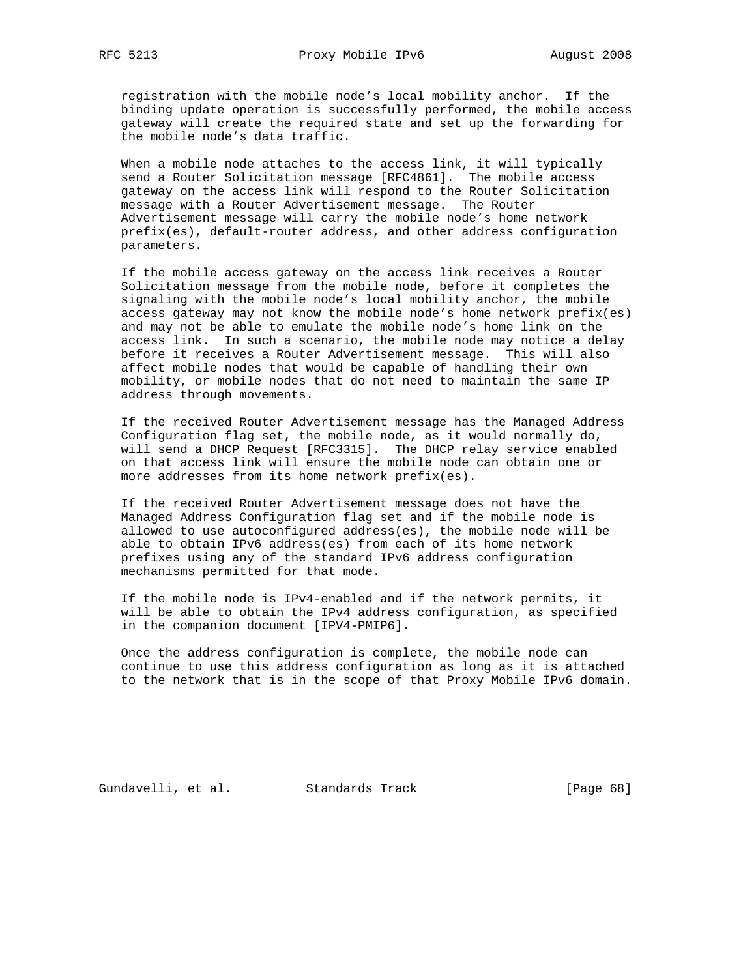registration with the mobile node's local mobility anchor. If the binding update operation is successfully performed, the mobile access gateway will create the required state and set up the forwarding for the mobile node's data traffic.

 When a mobile node attaches to the access link, it will typically send a Router Solicitation message [RFC4861]. The mobile access gateway on the access link will respond to the Router Solicitation message with a Router Advertisement message. The Router Advertisement message will carry the mobile node's home network prefix(es), default-router address, and other address configuration parameters.

 If the mobile access gateway on the access link receives a Router Solicitation message from the mobile node, before it completes the signaling with the mobile node's local mobility anchor, the mobile access gateway may not know the mobile node's home network prefix(es) and may not be able to emulate the mobile node's home link on the access link. In such a scenario, the mobile node may notice a delay before it receives a Router Advertisement message. This will also affect mobile nodes that would be capable of handling their own mobility, or mobile nodes that do not need to maintain the same IP address through movements.

 If the received Router Advertisement message has the Managed Address Configuration flag set, the mobile node, as it would normally do, will send a DHCP Request [RFC3315]. The DHCP relay service enabled on that access link will ensure the mobile node can obtain one or more addresses from its home network prefix(es).

 If the received Router Advertisement message does not have the Managed Address Configuration flag set and if the mobile node is allowed to use autoconfigured address(es), the mobile node will be able to obtain IPv6 address(es) from each of its home network prefixes using any of the standard IPv6 address configuration mechanisms permitted for that mode.

 If the mobile node is IPv4-enabled and if the network permits, it will be able to obtain the IPv4 address configuration, as specified in the companion document [IPV4-PMIP6].

 Once the address configuration is complete, the mobile node can continue to use this address configuration as long as it is attached to the network that is in the scope of that Proxy Mobile IPv6 domain.

Gundavelli, et al. Standards Track [Page 68]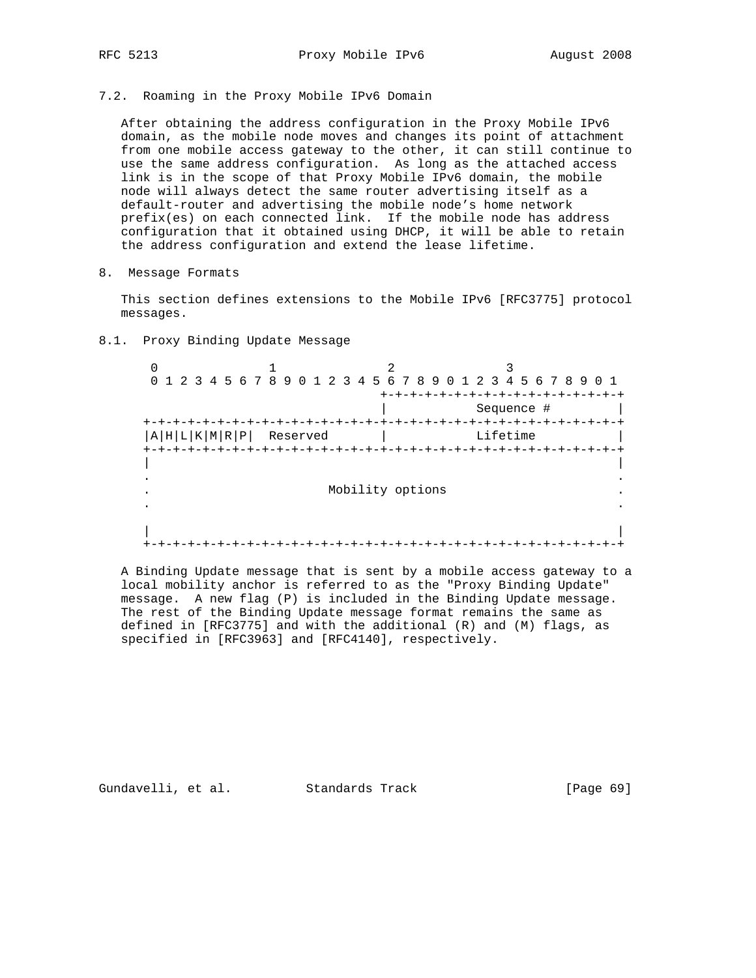7.2. Roaming in the Proxy Mobile IPv6 Domain

 After obtaining the address configuration in the Proxy Mobile IPv6 domain, as the mobile node moves and changes its point of attachment from one mobile access gateway to the other, it can still continue to use the same address configuration. As long as the attached access link is in the scope of that Proxy Mobile IPv6 domain, the mobile node will always detect the same router advertising itself as a default-router and advertising the mobile node's home network prefix(es) on each connected link. If the mobile node has address configuration that it obtained using DHCP, it will be able to retain the address configuration and extend the lease lifetime.

8. Message Formats

 This section defines extensions to the Mobile IPv6 [RFC3775] protocol messages.

8.1. Proxy Binding Update Message

 $0$  1 2 3 0 1 2 3 4 5 6 7 8 9 0 1 2 3 4 5 6 7 8 9 0 1 2 3 4 5 6 7 8 9 0 1 +-+-+-+-+-+-+-+-+-+-+-+-+-+-+-+-+ | Sequence # | +-+-+-+-+-+-+-+-+-+-+-+-+-+-+-+-+-+-+-+-+-+-+-+-+-+-+-+-+-+-+-+-+  $|A|H|L|K|M|R|P|$  Reserved | Lifetime +-+-+-+-+-+-+-+-+-+-+-+-+-+-+-+-+-+-+-+-+-+-+-+-+-+-+-+-+-+-+-+-+ | | . . . Mobility options . . . | | +-+-+-+-+-+-+-+-+-+-+-+-+-+-+-+-+-+-+-+-+-+-+-+-+-+-+-+-+-+-+-+-+

 A Binding Update message that is sent by a mobile access gateway to a local mobility anchor is referred to as the "Proxy Binding Update" message. A new flag (P) is included in the Binding Update message. The rest of the Binding Update message format remains the same as defined in [RFC3775] and with the additional (R) and (M) flags, as specified in [RFC3963] and [RFC4140], respectively.

Gundavelli, et al. Standards Track [Page 69]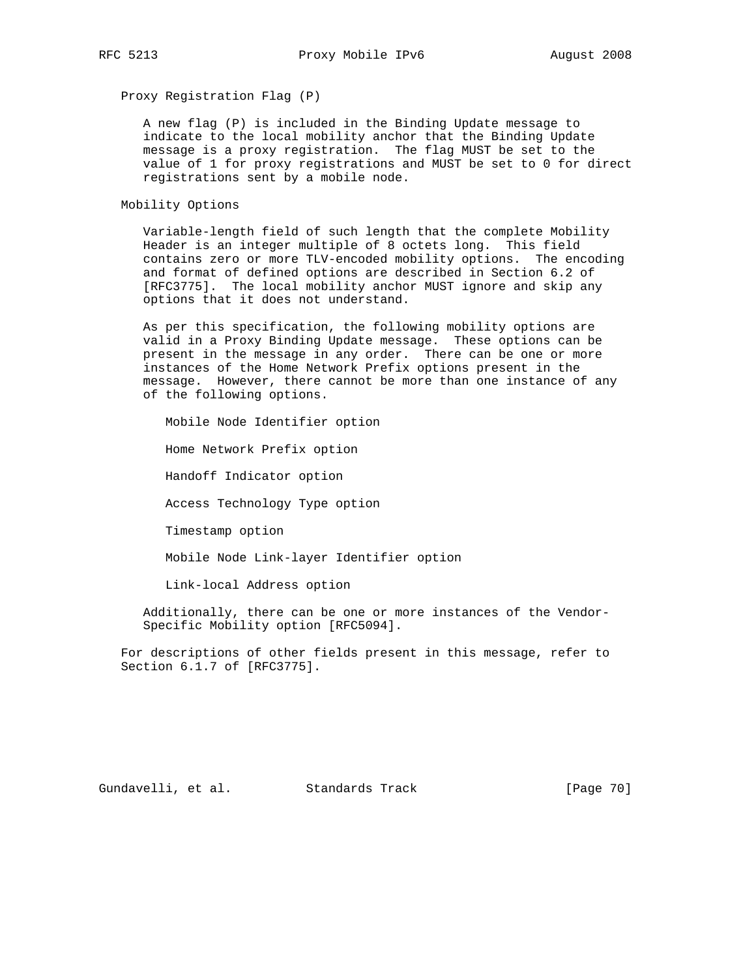Proxy Registration Flag (P)

 A new flag (P) is included in the Binding Update message to indicate to the local mobility anchor that the Binding Update message is a proxy registration. The flag MUST be set to the value of 1 for proxy registrations and MUST be set to 0 for direct registrations sent by a mobile node.

Mobility Options

 Variable-length field of such length that the complete Mobility Header is an integer multiple of 8 octets long. This field contains zero or more TLV-encoded mobility options. The encoding and format of defined options are described in Section 6.2 of [RFC3775]. The local mobility anchor MUST ignore and skip any options that it does not understand.

 As per this specification, the following mobility options are valid in a Proxy Binding Update message. These options can be present in the message in any order. There can be one or more instances of the Home Network Prefix options present in the message. However, there cannot be more than one instance of any of the following options.

Mobile Node Identifier option

Home Network Prefix option

Handoff Indicator option

Access Technology Type option

Timestamp option

Mobile Node Link-layer Identifier option

Link-local Address option

 Additionally, there can be one or more instances of the Vendor- Specific Mobility option [RFC5094].

 For descriptions of other fields present in this message, refer to Section 6.1.7 of [RFC3775].

Gundavelli, et al. Standards Track [Page 70]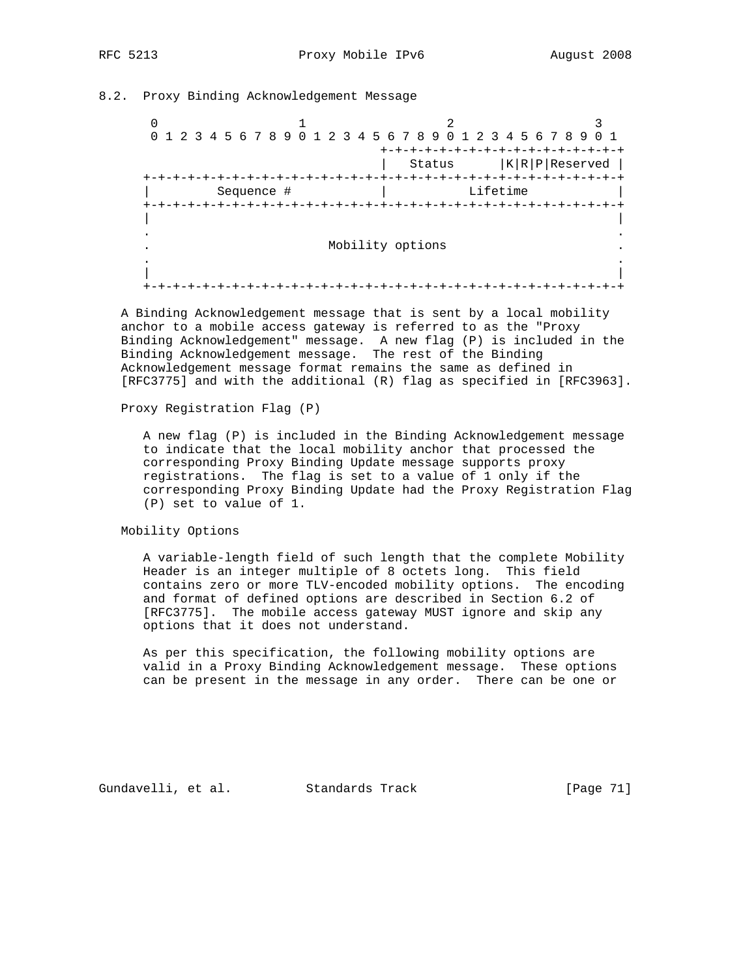## 8.2. Proxy Binding Acknowledgement Message

 $\frac{1}{2}$   $\frac{2}{3}$  0 1 2 3 4 5 6 7 8 9 0 1 2 3 4 5 6 7 8 9 0 1 2 3 4 5 6 7 8 9 0 1 +-+-+-+-+-+-+-+-+-+-+-+-+-+-+-+-+ | Status |K|R|P|Reserved | +-+-+-+-+-+-+-+-+-+-+-+-+-+-+-+-+-+-+-+-+-+-+-+-+-+-+-+-+-+-+-+-+ | Sequence # | Lifetime | +-+-+-+-+-+-+-+-+-+-+-+-+-+-+-+-+-+-+-+-+-+-+-+-+-+-+-+-+-+-+-+-+ | | . . . Mobility options . . . | | +-+-+-+-+-+-+-+-+-+-+-+-+-+-+-+-+-+-+-+-+-+-+-+-+-+-+-+-+-+-+-+-+

 A Binding Acknowledgement message that is sent by a local mobility anchor to a mobile access gateway is referred to as the "Proxy Binding Acknowledgement" message. A new flag (P) is included in the Binding Acknowledgement message. The rest of the Binding Acknowledgement message format remains the same as defined in [RFC3775] and with the additional (R) flag as specified in [RFC3963].

# Proxy Registration Flag (P)

 A new flag (P) is included in the Binding Acknowledgement message to indicate that the local mobility anchor that processed the corresponding Proxy Binding Update message supports proxy registrations. The flag is set to a value of 1 only if the corresponding Proxy Binding Update had the Proxy Registration Flag (P) set to value of 1.

# Mobility Options

 A variable-length field of such length that the complete Mobility Header is an integer multiple of 8 octets long. This field contains zero or more TLV-encoded mobility options. The encoding and format of defined options are described in Section 6.2 of [RFC3775]. The mobile access gateway MUST ignore and skip any options that it does not understand.

 As per this specification, the following mobility options are valid in a Proxy Binding Acknowledgement message. These options can be present in the message in any order. There can be one or

Gundavelli, et al. Standards Track [Page 71]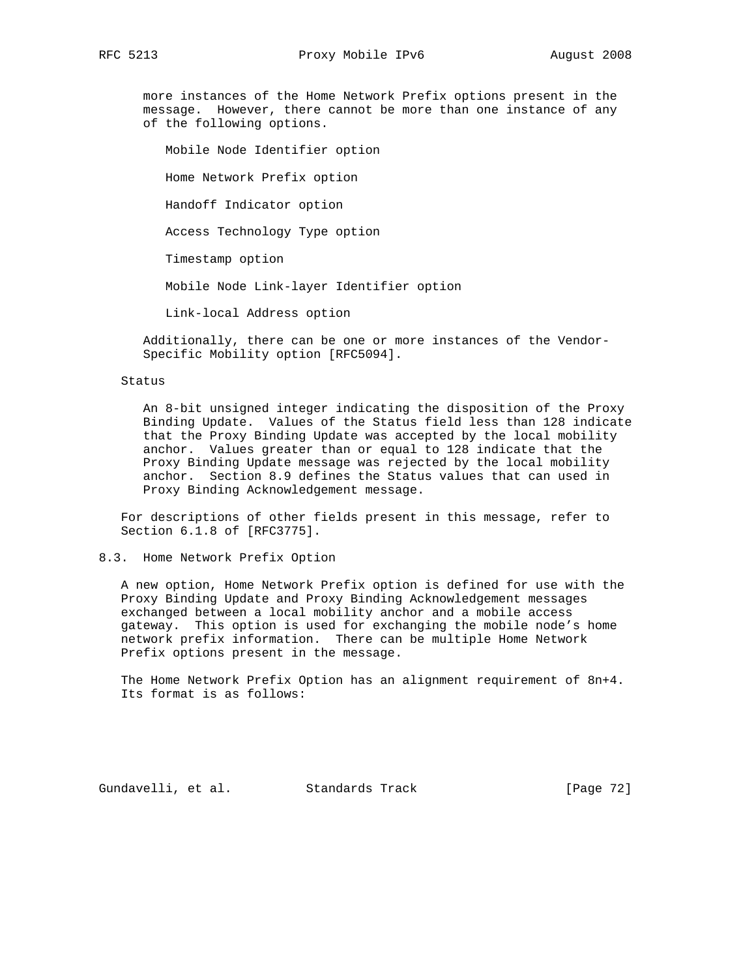more instances of the Home Network Prefix options present in the message. However, there cannot be more than one instance of any of the following options.

 Mobile Node Identifier option Home Network Prefix option Handoff Indicator option Access Technology Type option Timestamp option

Mobile Node Link-layer Identifier option

Link-local Address option

 Additionally, there can be one or more instances of the Vendor- Specific Mobility option [RFC5094].

## Status

 An 8-bit unsigned integer indicating the disposition of the Proxy Binding Update. Values of the Status field less than 128 indicate that the Proxy Binding Update was accepted by the local mobility anchor. Values greater than or equal to 128 indicate that the Proxy Binding Update message was rejected by the local mobility anchor. Section 8.9 defines the Status values that can used in Proxy Binding Acknowledgement message.

 For descriptions of other fields present in this message, refer to Section 6.1.8 of [RFC3775].

### 8.3. Home Network Prefix Option

 A new option, Home Network Prefix option is defined for use with the Proxy Binding Update and Proxy Binding Acknowledgement messages exchanged between a local mobility anchor and a mobile access gateway. This option is used for exchanging the mobile node's home network prefix information. There can be multiple Home Network Prefix options present in the message.

 The Home Network Prefix Option has an alignment requirement of 8n+4. Its format is as follows:

Gundavelli, et al. Standards Track [Page 72]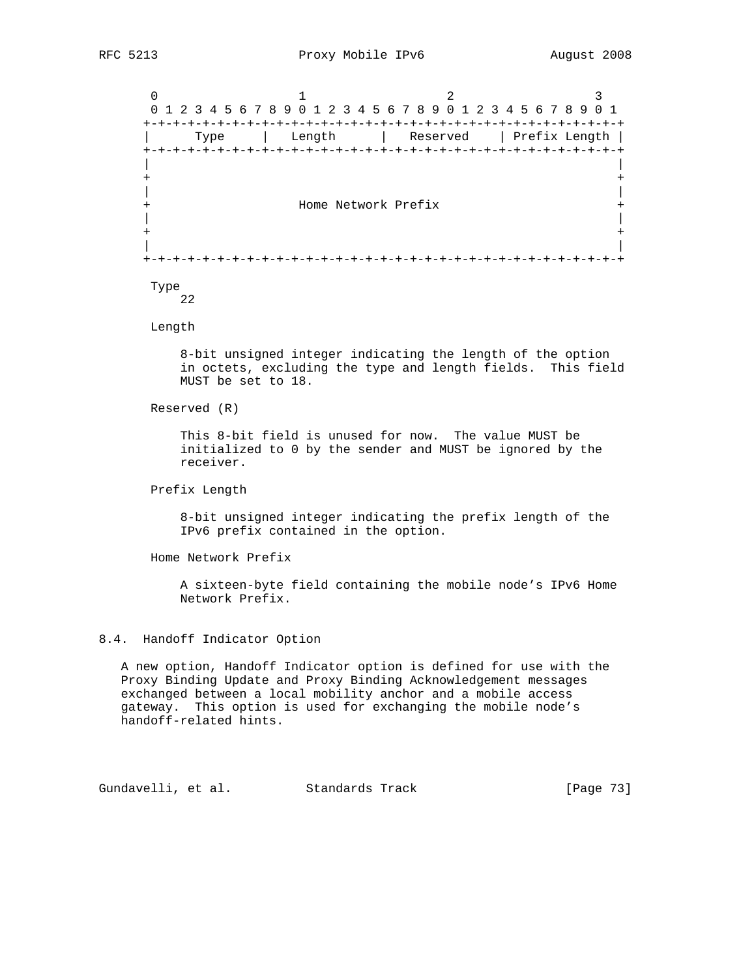$0$  1 2 3 0 1 2 3 4 5 6 7 8 9 0 1 2 3 4 5 6 7 8 9 0 1 2 3 4 5 6 7 8 9 0 1 +-+-+-+-+-+-+-+-+-+-+-+-+-+-+-+-+-+-+-+-+-+-+-+-+-+-+-+-+-+-+-+-+ | Type | Length | Reserved | Prefix Length | +-+-+-+-+-+-+-+-+-+-+-+-+-+-+-+-+-+-+-+-+-+-+-+-+-+-+-+-+-+-+-+-+ | | + + | | + Home Network Prefix + | | + + | | +-+-+-+-+-+-+-+-+-+-+-+-+-+-+-+-+-+-+-+-+-+-+-+-+-+-+-+-+-+-+-+-+ Type

22

Length

 8-bit unsigned integer indicating the length of the option in octets, excluding the type and length fields. This field MUST be set to 18.

Reserved (R)

 This 8-bit field is unused for now. The value MUST be initialized to 0 by the sender and MUST be ignored by the receiver.

Prefix Length

 8-bit unsigned integer indicating the prefix length of the IPv6 prefix contained in the option.

Home Network Prefix

 A sixteen-byte field containing the mobile node's IPv6 Home Network Prefix.

## 8.4. Handoff Indicator Option

 A new option, Handoff Indicator option is defined for use with the Proxy Binding Update and Proxy Binding Acknowledgement messages exchanged between a local mobility anchor and a mobile access gateway. This option is used for exchanging the mobile node's handoff-related hints.

Gundavelli, et al. Standards Track [Page 73]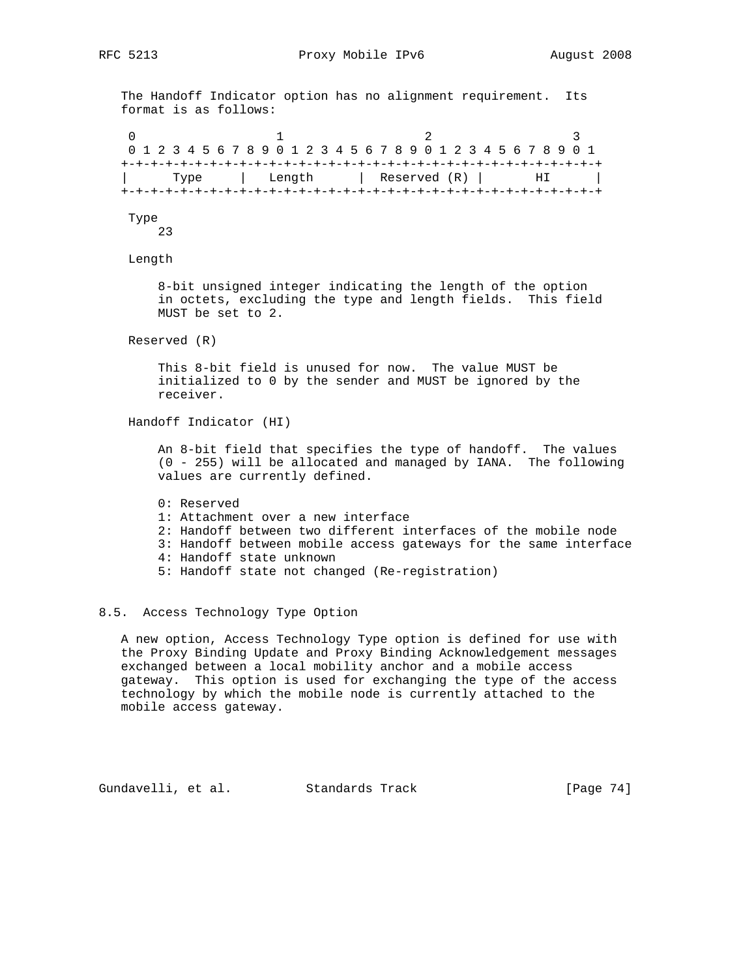The Handoff Indicator option has no alignment requirement. Its format is as follows:

0  $1$  2 3 0 1 2 3 4 5 6 7 8 9 0 1 2 3 4 5 6 7 8 9 0 1 2 3 4 5 6 7 8 9 0 1 +-+-+-+-+-+-+-+-+-+-+-+-+-+-+-+-+-+-+-+-+-+-+-+-+-+-+-+-+-+-+-+-+ Type | Length | Reserved (R) | HI | +-+-+-+-+-+-+-+-+-+-+-+-+-+-+-+-+-+-+-+-+-+-+-+-+-+-+-+-+-+-+-+-+

Type

23

Length

 8-bit unsigned integer indicating the length of the option in octets, excluding the type and length fields. This field MUST be set to 2.

Reserved (R)

 This 8-bit field is unused for now. The value MUST be initialized to 0 by the sender and MUST be ignored by the receiver.

Handoff Indicator (HI)

 An 8-bit field that specifies the type of handoff. The values (0 - 255) will be allocated and managed by IANA. The following values are currently defined.

- 0: Reserved
- 1: Attachment over a new interface
- 2: Handoff between two different interfaces of the mobile node
- 3: Handoff between mobile access gateways for the same interface
- 4: Handoff state unknown
- 5: Handoff state not changed (Re-registration)

# 8.5. Access Technology Type Option

 A new option, Access Technology Type option is defined for use with the Proxy Binding Update and Proxy Binding Acknowledgement messages exchanged between a local mobility anchor and a mobile access gateway. This option is used for exchanging the type of the access technology by which the mobile node is currently attached to the mobile access gateway.

Gundavelli, et al. Standards Track [Page 74]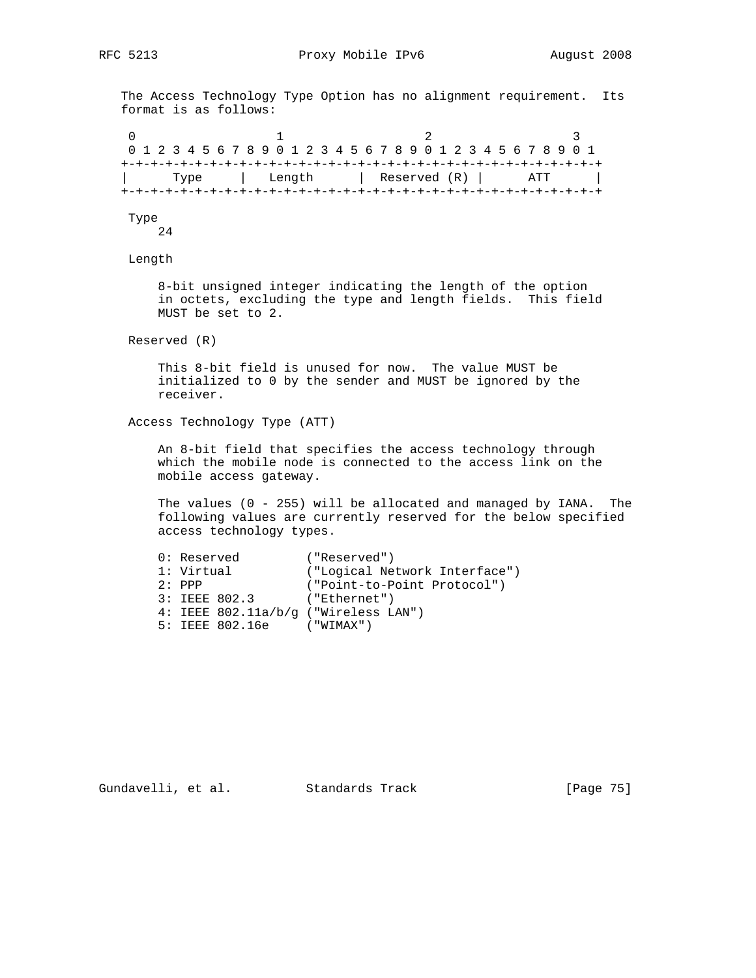The Access Technology Type Option has no alignment requirement. Its format is as follows:

0  $1$  2 3 0 1 2 3 4 5 6 7 8 9 0 1 2 3 4 5 6 7 8 9 0 1 2 3 4 5 6 7 8 9 0 1 +-+-+-+-+-+-+-+-+-+-+-+-+-+-+-+-+-+-+-+-+-+-+-+-+-+-+-+-+-+-+-+-+ Type | Length | Reserved (R) | ATT | +-+-+-+-+-+-+-+-+-+-+-+-+-+-+-+-+-+-+-+-+-+-+-+-+-+-+-+-+-+-+-+-+

Type

24

Length

 8-bit unsigned integer indicating the length of the option in octets, excluding the type and length fields. This field MUST be set to 2.

Reserved (R)

 This 8-bit field is unused for now. The value MUST be initialized to 0 by the sender and MUST be ignored by the receiver.

Access Technology Type (ATT)

 An 8-bit field that specifies the access technology through which the mobile node is connected to the access link on the mobile access gateway.

 The values (0 - 255) will be allocated and managed by IANA. The following values are currently reserved for the below specified access technology types.

|  | 0: Reserved |                                      | ("Reserved") |                               |
|--|-------------|--------------------------------------|--------------|-------------------------------|
|  | 1: Virtual  |                                      |              | ("Logical Network Interface") |
|  | $2:$ PPP    |                                      |              | ("Point-to-Point Protocol")   |
|  |             | 3: IEEE 802.3                        | ("Ethernet") |                               |
|  |             | 4: IEEE 802.11a/b/q ("Wireless LAN") |              |                               |
|  |             | 5: IEEE 802.16e                      | ("WIMAX")    |                               |
|  |             |                                      |              |                               |

Gundavelli, et al. Standards Track [Page 75]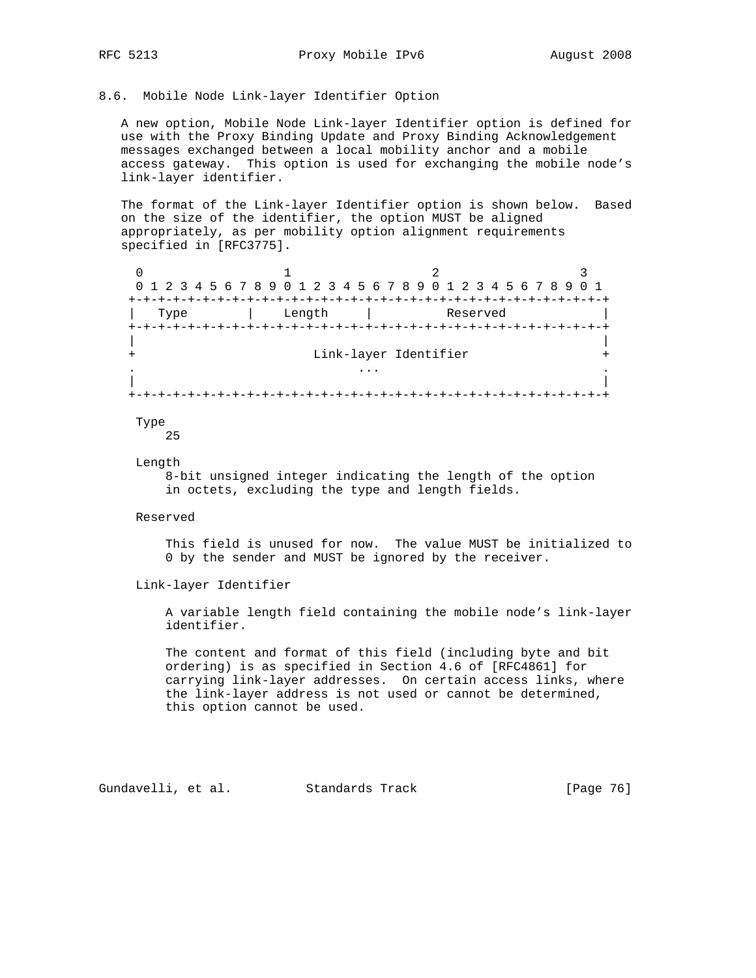## 8.6. Mobile Node Link-layer Identifier Option

 A new option, Mobile Node Link-layer Identifier option is defined for use with the Proxy Binding Update and Proxy Binding Acknowledgement messages exchanged between a local mobility anchor and a mobile access gateway. This option is used for exchanging the mobile node's link-layer identifier.

 The format of the Link-layer Identifier option is shown below. Based on the size of the identifier, the option MUST be aligned appropriately, as per mobility option alignment requirements specified in [RFC3775].

 $0$  1 2 3 0 1 2 3 4 5 6 7 8 9 0 1 2 3 4 5 6 7 8 9 0 1 2 3 4 5 6 7 8 9 0 1 +-+-+-+-+-+-+-+-+-+-+-+-+-+-+-+-+-+-+-+-+-+-+-+-+-+-+-+-+-+-+-+-+ | Type | Length | Reserved | +-+-+-+-+-+-+-+-+-+-+-+-+-+-+-+-+-+-+-+-+-+-+-+-+-+-+-+-+-+-+-+-+ | | + Link-layer Identifier + . ... . | | +-+-+-+-+-+-+-+-+-+-+-+-+-+-+-+-+-+-+-+-+-+-+-+-+-+-+-+-+-+-+-+-+

#### Type

25

#### Length

 8-bit unsigned integer indicating the length of the option in octets, excluding the type and length fields.

#### Reserved

 This field is unused for now. The value MUST be initialized to 0 by the sender and MUST be ignored by the receiver.

# Link-layer Identifier

 A variable length field containing the mobile node's link-layer identifier.

 The content and format of this field (including byte and bit ordering) is as specified in Section 4.6 of [RFC4861] for carrying link-layer addresses. On certain access links, where the link-layer address is not used or cannot be determined, this option cannot be used.

Gundavelli, et al. Standards Track [Page 76]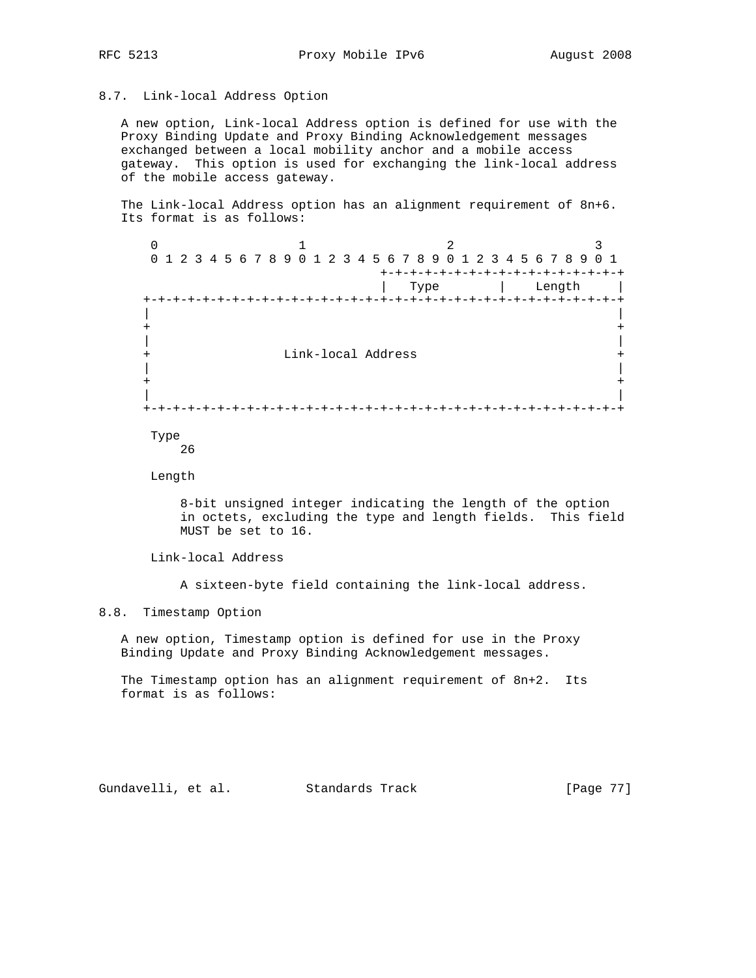## 8.7. Link-local Address Option

 A new option, Link-local Address option is defined for use with the Proxy Binding Update and Proxy Binding Acknowledgement messages exchanged between a local mobility anchor and a mobile access gateway. This option is used for exchanging the link-local address of the mobile access gateway.

 The Link-local Address option has an alignment requirement of 8n+6. Its format is as follows:

 $\begin{array}{ccccccc}\n0 & & & 1 & & & 2 & & 3\n\end{array}$  0 1 2 3 4 5 6 7 8 9 0 1 2 3 4 5 6 7 8 9 0 1 2 3 4 5 6 7 8 9 0 1 +-+-+-+-+-+-+-+-+-+-+-+-+-+-+-+-+ | Type | Length | +-+-+-+-+-+-+-+-+-+-+-+-+-+-+-+-+-+-+-+-+-+-+-+-+-+-+-+-+-+-+-+-+ | | + + | | + Link-local Address + | | + + | | +-+-+-+-+-+-+-+-+-+-+-+-+-+-+-+-+-+-+-+-+-+-+-+-+-+-+-+-+-+-+-+-+

 Type 26

Length

 8-bit unsigned integer indicating the length of the option in octets, excluding the type and length fields. This field MUST be set to 16.

Link-local Address

A sixteen-byte field containing the link-local address.

## 8.8. Timestamp Option

 A new option, Timestamp option is defined for use in the Proxy Binding Update and Proxy Binding Acknowledgement messages.

 The Timestamp option has an alignment requirement of 8n+2. Its format is as follows:

Gundavelli, et al. Standards Track [Page 77]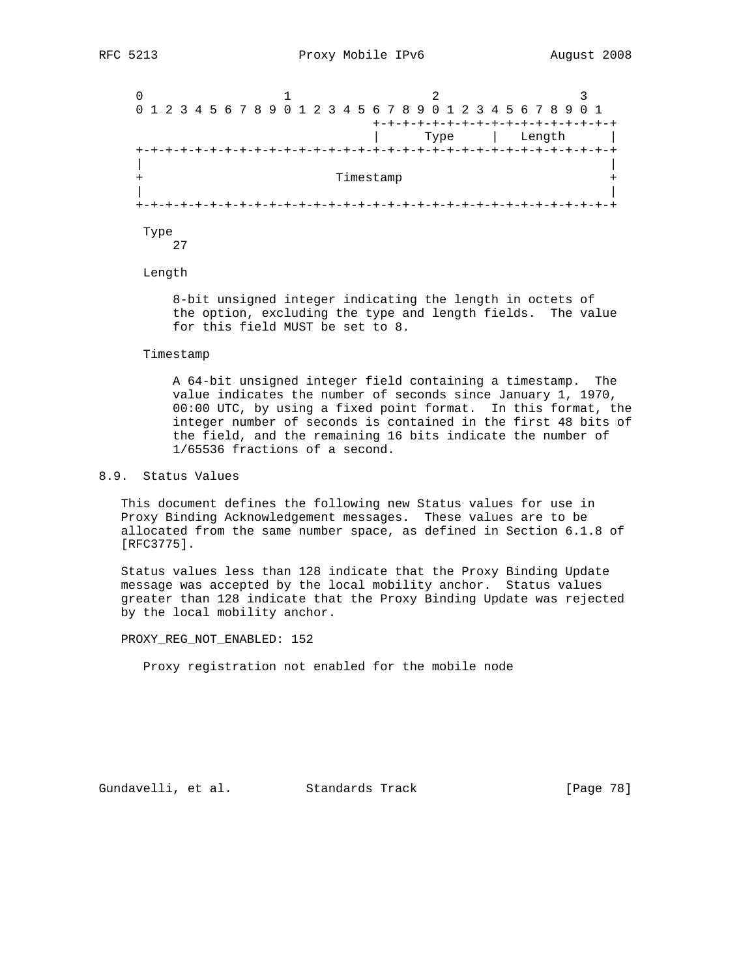$0$  1 2 3 0 1 2 3 4 5 6 7 8 9 0 1 2 3 4 5 6 7 8 9 0 1 2 3 4 5 6 7 8 9 0 1 +-+-+-+-+-+-+-+-+-+-+-+-+-+-+-+-+ | Type | Length | +-+-+-+-+-+-+-+-+-+-+-+-+-+-+-+-+-+-+-+-+-+-+-+-+-+-+-+-+-+-+-+-+ | | + Timestamp + | | +-+-+-+-+-+-+-+-+-+-+-+-+-+-+-+-+-+-+-+-+-+-+-+-+-+-+-+-+-+-+-+-+

 Type 27

Length

 8-bit unsigned integer indicating the length in octets of the option, excluding the type and length fields. The value for this field MUST be set to 8.

#### Timestamp

 A 64-bit unsigned integer field containing a timestamp. The value indicates the number of seconds since January 1, 1970, 00:00 UTC, by using a fixed point format. In this format, the integer number of seconds is contained in the first 48 bits of the field, and the remaining 16 bits indicate the number of 1/65536 fractions of a second.

# 8.9. Status Values

 This document defines the following new Status values for use in Proxy Binding Acknowledgement messages. These values are to be allocated from the same number space, as defined in Section 6.1.8 of [RFC3775].

 Status values less than 128 indicate that the Proxy Binding Update message was accepted by the local mobility anchor. Status values greater than 128 indicate that the Proxy Binding Update was rejected by the local mobility anchor.

PROXY\_REG\_NOT\_ENABLED: 152

Proxy registration not enabled for the mobile node

Gundavelli, et al. Standards Track [Page 78]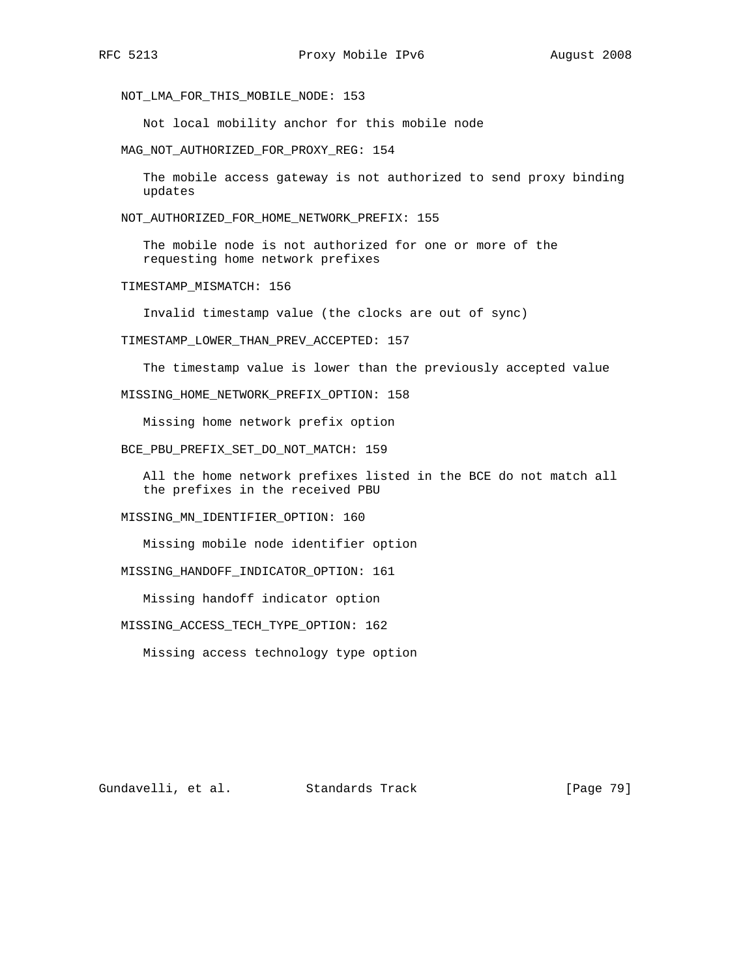NOT\_LMA\_FOR\_THIS\_MOBILE\_NODE: 153

Not local mobility anchor for this mobile node

MAG\_NOT\_AUTHORIZED\_FOR\_PROXY\_REG: 154

 The mobile access gateway is not authorized to send proxy binding updates

NOT\_AUTHORIZED\_FOR\_HOME\_NETWORK\_PREFIX: 155

 The mobile node is not authorized for one or more of the requesting home network prefixes

TIMESTAMP\_MISMATCH: 156

Invalid timestamp value (the clocks are out of sync)

TIMESTAMP\_LOWER\_THAN\_PREV\_ACCEPTED: 157

The timestamp value is lower than the previously accepted value

MISSING\_HOME\_NETWORK\_PREFIX\_OPTION: 158

Missing home network prefix option

BCE\_PBU\_PREFIX\_SET\_DO\_NOT\_MATCH: 159

 All the home network prefixes listed in the BCE do not match all the prefixes in the received PBU

MISSING\_MN\_IDENTIFIER\_OPTION: 160

Missing mobile node identifier option

MISSING\_HANDOFF\_INDICATOR\_OPTION: 161

Missing handoff indicator option

MISSING\_ACCESS\_TECH\_TYPE\_OPTION: 162

Missing access technology type option

Gundavelli, et al. Standards Track [Page 79]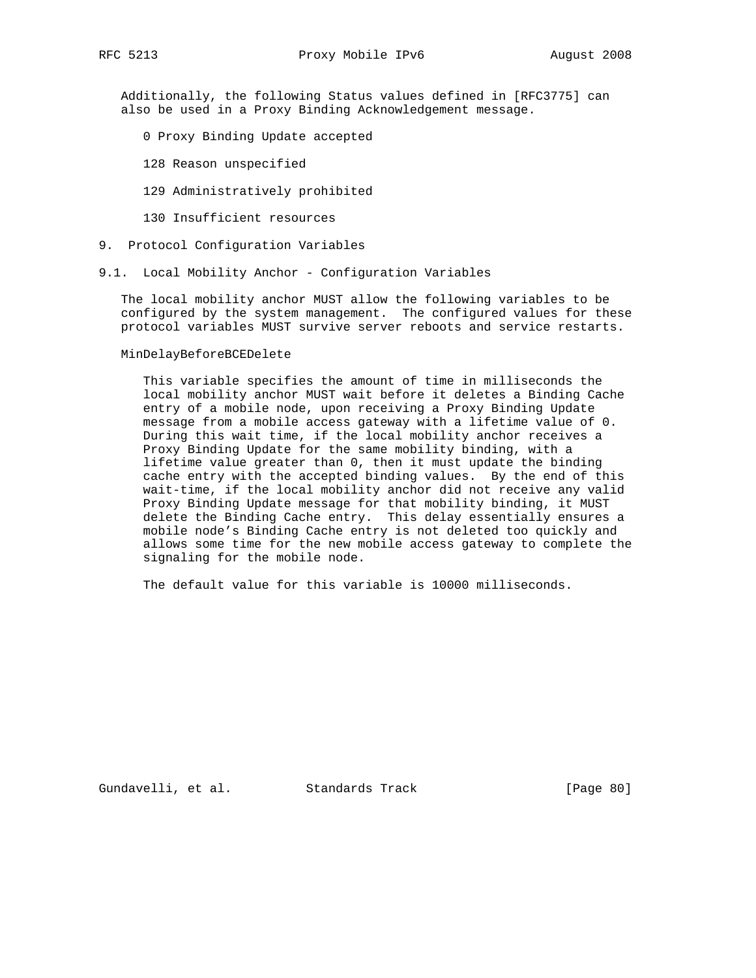Additionally, the following Status values defined in [RFC3775] can also be used in a Proxy Binding Acknowledgement message.

- 0 Proxy Binding Update accepted
- 128 Reason unspecified
- 129 Administratively prohibited
- 130 Insufficient resources
- 9. Protocol Configuration Variables
- 9.1. Local Mobility Anchor Configuration Variables

 The local mobility anchor MUST allow the following variables to be configured by the system management. The configured values for these protocol variables MUST survive server reboots and service restarts.

#### MinDelayBeforeBCEDelete

 This variable specifies the amount of time in milliseconds the local mobility anchor MUST wait before it deletes a Binding Cache entry of a mobile node, upon receiving a Proxy Binding Update message from a mobile access gateway with a lifetime value of 0. During this wait time, if the local mobility anchor receives a Proxy Binding Update for the same mobility binding, with a lifetime value greater than 0, then it must update the binding cache entry with the accepted binding values. By the end of this wait-time, if the local mobility anchor did not receive any valid Proxy Binding Update message for that mobility binding, it MUST delete the Binding Cache entry. This delay essentially ensures a mobile node's Binding Cache entry is not deleted too quickly and allows some time for the new mobile access gateway to complete the signaling for the mobile node.

The default value for this variable is 10000 milliseconds.

Gundavelli, et al. Standards Track [Page 80]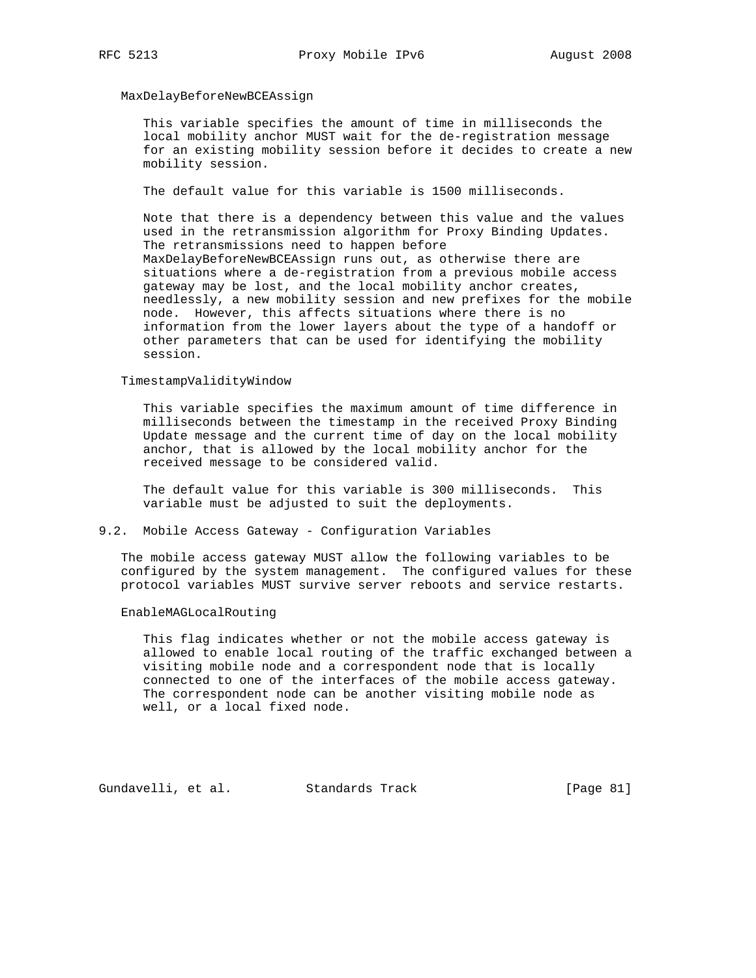## MaxDelayBeforeNewBCEAssign

 This variable specifies the amount of time in milliseconds the local mobility anchor MUST wait for the de-registration message for an existing mobility session before it decides to create a new mobility session.

The default value for this variable is 1500 milliseconds.

 Note that there is a dependency between this value and the values used in the retransmission algorithm for Proxy Binding Updates. The retransmissions need to happen before MaxDelayBeforeNewBCEAssign runs out, as otherwise there are situations where a de-registration from a previous mobile access gateway may be lost, and the local mobility anchor creates, needlessly, a new mobility session and new prefixes for the mobile node. However, this affects situations where there is no information from the lower layers about the type of a handoff or other parameters that can be used for identifying the mobility session.

## TimestampValidityWindow

 This variable specifies the maximum amount of time difference in milliseconds between the timestamp in the received Proxy Binding Update message and the current time of day on the local mobility anchor, that is allowed by the local mobility anchor for the received message to be considered valid.

 The default value for this variable is 300 milliseconds. This variable must be adjusted to suit the deployments.

#### 9.2. Mobile Access Gateway - Configuration Variables

 The mobile access gateway MUST allow the following variables to be configured by the system management. The configured values for these protocol variables MUST survive server reboots and service restarts.

#### EnableMAGLocalRouting

 This flag indicates whether or not the mobile access gateway is allowed to enable local routing of the traffic exchanged between a visiting mobile node and a correspondent node that is locally connected to one of the interfaces of the mobile access gateway. The correspondent node can be another visiting mobile node as well, or a local fixed node.

Gundavelli, et al. Standards Track [Page 81]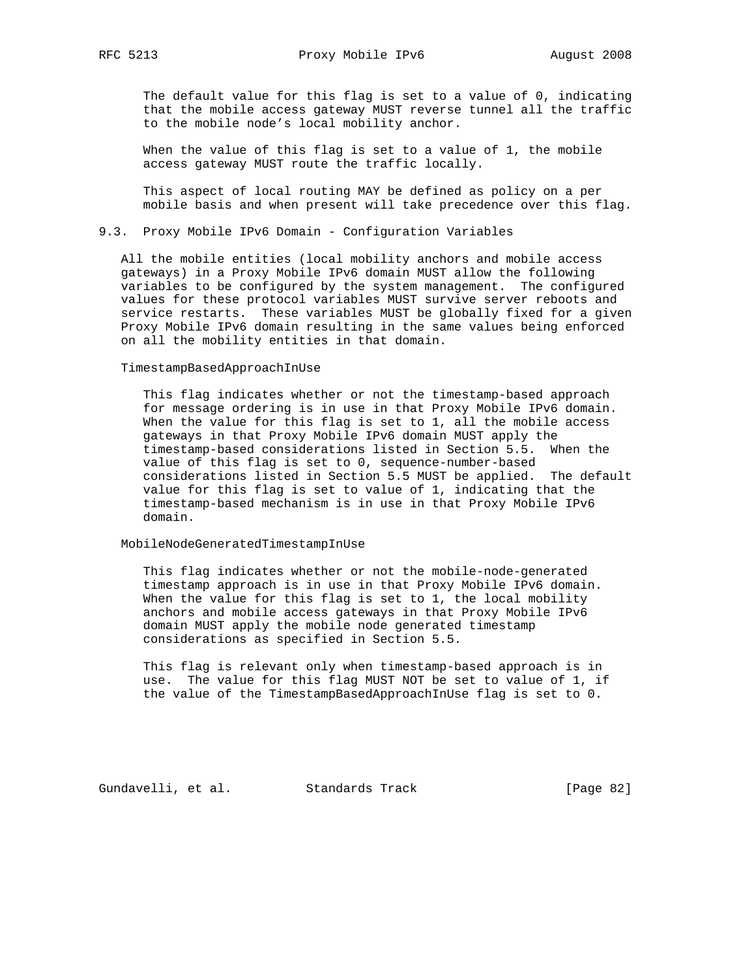The default value for this flag is set to a value of 0, indicating that the mobile access gateway MUST reverse tunnel all the traffic to the mobile node's local mobility anchor.

When the value of this flag is set to a value of 1, the mobile access gateway MUST route the traffic locally.

 This aspect of local routing MAY be defined as policy on a per mobile basis and when present will take precedence over this flag.

## 9.3. Proxy Mobile IPv6 Domain - Configuration Variables

 All the mobile entities (local mobility anchors and mobile access gateways) in a Proxy Mobile IPv6 domain MUST allow the following variables to be configured by the system management. The configured values for these protocol variables MUST survive server reboots and service restarts. These variables MUST be globally fixed for a given Proxy Mobile IPv6 domain resulting in the same values being enforced on all the mobility entities in that domain.

#### TimestampBasedApproachInUse

 This flag indicates whether or not the timestamp-based approach for message ordering is in use in that Proxy Mobile IPv6 domain. When the value for this flag is set to 1, all the mobile access gateways in that Proxy Mobile IPv6 domain MUST apply the timestamp-based considerations listed in Section 5.5. When the value of this flag is set to 0, sequence-number-based considerations listed in Section 5.5 MUST be applied. The default value for this flag is set to value of 1, indicating that the timestamp-based mechanism is in use in that Proxy Mobile IPv6 domain.

## MobileNodeGeneratedTimestampInUse

 This flag indicates whether or not the mobile-node-generated timestamp approach is in use in that Proxy Mobile IPv6 domain. When the value for this flag is set to 1, the local mobility anchors and mobile access gateways in that Proxy Mobile IPv6 domain MUST apply the mobile node generated timestamp considerations as specified in Section 5.5.

 This flag is relevant only when timestamp-based approach is in use. The value for this flag MUST NOT be set to value of 1, if the value of the TimestampBasedApproachInUse flag is set to 0.

Gundavelli, et al. Standards Track [Page 82]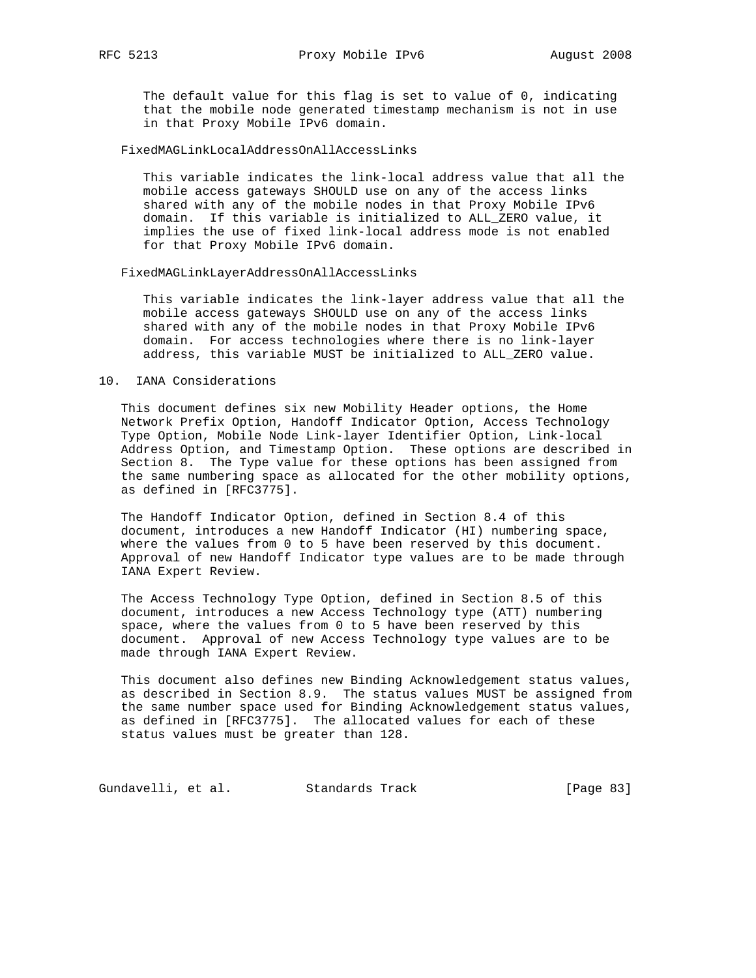The default value for this flag is set to value of 0, indicating that the mobile node generated timestamp mechanism is not in use in that Proxy Mobile IPv6 domain.

## FixedMAGLinkLocalAddressOnAllAccessLinks

 This variable indicates the link-local address value that all the mobile access gateways SHOULD use on any of the access links shared with any of the mobile nodes in that Proxy Mobile IPv6 domain. If this variable is initialized to ALL\_ZERO value, it implies the use of fixed link-local address mode is not enabled for that Proxy Mobile IPv6 domain.

#### FixedMAGLinkLayerAddressOnAllAccessLinks

 This variable indicates the link-layer address value that all the mobile access gateways SHOULD use on any of the access links shared with any of the mobile nodes in that Proxy Mobile IPv6 domain. For access technologies where there is no link-layer address, this variable MUST be initialized to ALL\_ZERO value.

## 10. IANA Considerations

 This document defines six new Mobility Header options, the Home Network Prefix Option, Handoff Indicator Option, Access Technology Type Option, Mobile Node Link-layer Identifier Option, Link-local Address Option, and Timestamp Option. These options are described in Section 8. The Type value for these options has been assigned from the same numbering space as allocated for the other mobility options, as defined in [RFC3775].

 The Handoff Indicator Option, defined in Section 8.4 of this document, introduces a new Handoff Indicator (HI) numbering space, where the values from 0 to 5 have been reserved by this document. Approval of new Handoff Indicator type values are to be made through IANA Expert Review.

 The Access Technology Type Option, defined in Section 8.5 of this document, introduces a new Access Technology type (ATT) numbering space, where the values from 0 to 5 have been reserved by this document. Approval of new Access Technology type values are to be made through IANA Expert Review.

 This document also defines new Binding Acknowledgement status values, as described in Section 8.9. The status values MUST be assigned from the same number space used for Binding Acknowledgement status values, as defined in [RFC3775]. The allocated values for each of these status values must be greater than 128.

Gundavelli, et al. Standards Track [Page 83]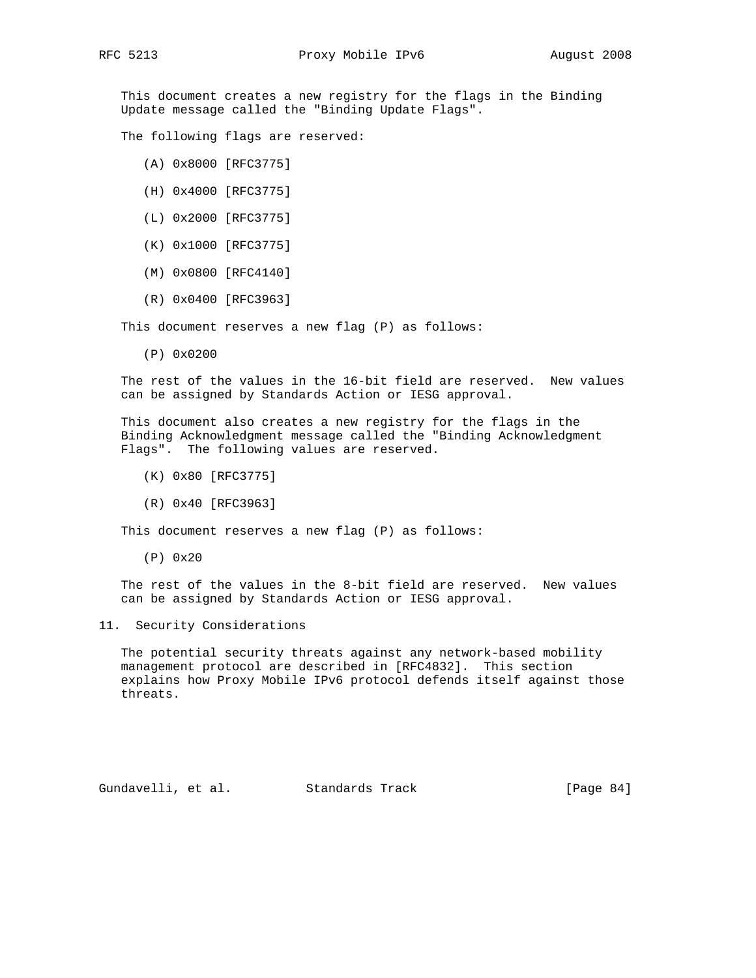This document creates a new registry for the flags in the Binding Update message called the "Binding Update Flags".

The following flags are reserved:

- (A) 0x8000 [RFC3775]
- (H) 0x4000 [RFC3775]
- (L) 0x2000 [RFC3775]
- (K) 0x1000 [RFC3775]
- (M) 0x0800 [RFC4140]
- (R) 0x0400 [RFC3963]

This document reserves a new flag (P) as follows:

(P) 0x0200

 The rest of the values in the 16-bit field are reserved. New values can be assigned by Standards Action or IESG approval.

 This document also creates a new registry for the flags in the Binding Acknowledgment message called the "Binding Acknowledgment Flags". The following values are reserved.

- (K) 0x80 [RFC3775]
- (R) 0x40 [RFC3963]

This document reserves a new flag (P) as follows:

(P) 0x20

 The rest of the values in the 8-bit field are reserved. New values can be assigned by Standards Action or IESG approval.

## 11. Security Considerations

 The potential security threats against any network-based mobility management protocol are described in [RFC4832]. This section explains how Proxy Mobile IPv6 protocol defends itself against those threats.

Gundavelli, et al. Standards Track [Page 84]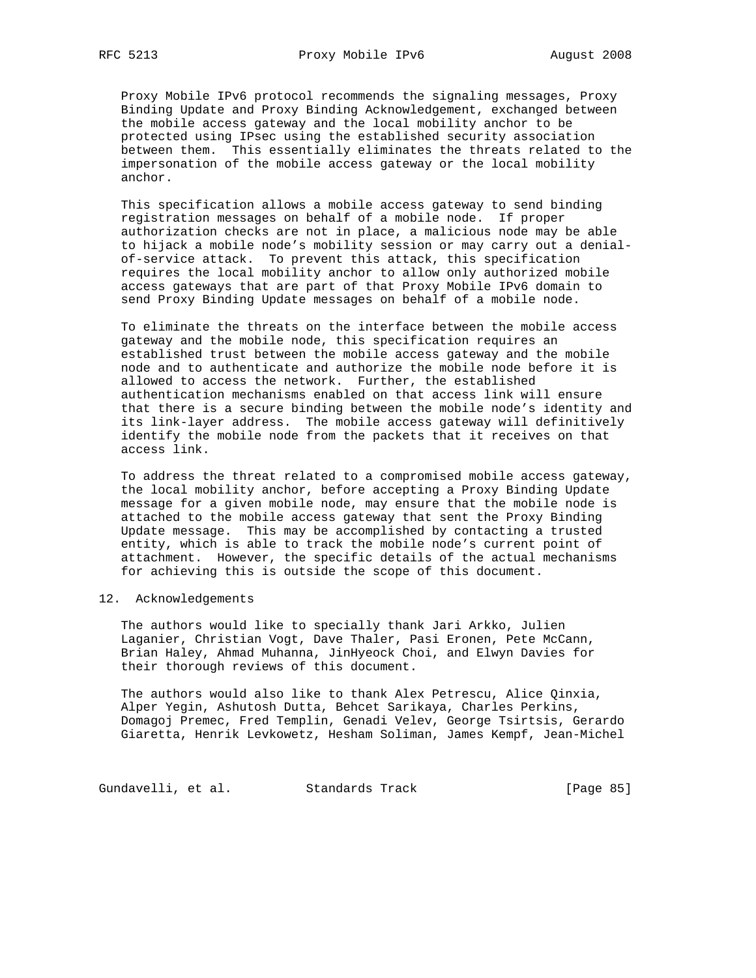Proxy Mobile IPv6 protocol recommends the signaling messages, Proxy Binding Update and Proxy Binding Acknowledgement, exchanged between the mobile access gateway and the local mobility anchor to be protected using IPsec using the established security association between them. This essentially eliminates the threats related to the impersonation of the mobile access gateway or the local mobility anchor.

 This specification allows a mobile access gateway to send binding registration messages on behalf of a mobile node. If proper authorization checks are not in place, a malicious node may be able to hijack a mobile node's mobility session or may carry out a denial of-service attack. To prevent this attack, this specification requires the local mobility anchor to allow only authorized mobile access gateways that are part of that Proxy Mobile IPv6 domain to send Proxy Binding Update messages on behalf of a mobile node.

 To eliminate the threats on the interface between the mobile access gateway and the mobile node, this specification requires an established trust between the mobile access gateway and the mobile node and to authenticate and authorize the mobile node before it is allowed to access the network. Further, the established authentication mechanisms enabled on that access link will ensure that there is a secure binding between the mobile node's identity and its link-layer address. The mobile access gateway will definitively identify the mobile node from the packets that it receives on that access link.

 To address the threat related to a compromised mobile access gateway, the local mobility anchor, before accepting a Proxy Binding Update message for a given mobile node, may ensure that the mobile node is attached to the mobile access gateway that sent the Proxy Binding Update message. This may be accomplished by contacting a trusted entity, which is able to track the mobile node's current point of attachment. However, the specific details of the actual mechanisms for achieving this is outside the scope of this document.

## 12. Acknowledgements

 The authors would like to specially thank Jari Arkko, Julien Laganier, Christian Vogt, Dave Thaler, Pasi Eronen, Pete McCann, Brian Haley, Ahmad Muhanna, JinHyeock Choi, and Elwyn Davies for their thorough reviews of this document.

 The authors would also like to thank Alex Petrescu, Alice Qinxia, Alper Yegin, Ashutosh Dutta, Behcet Sarikaya, Charles Perkins, Domagoj Premec, Fred Templin, Genadi Velev, George Tsirtsis, Gerardo Giaretta, Henrik Levkowetz, Hesham Soliman, James Kempf, Jean-Michel

Gundavelli, et al. Standards Track [Page 85]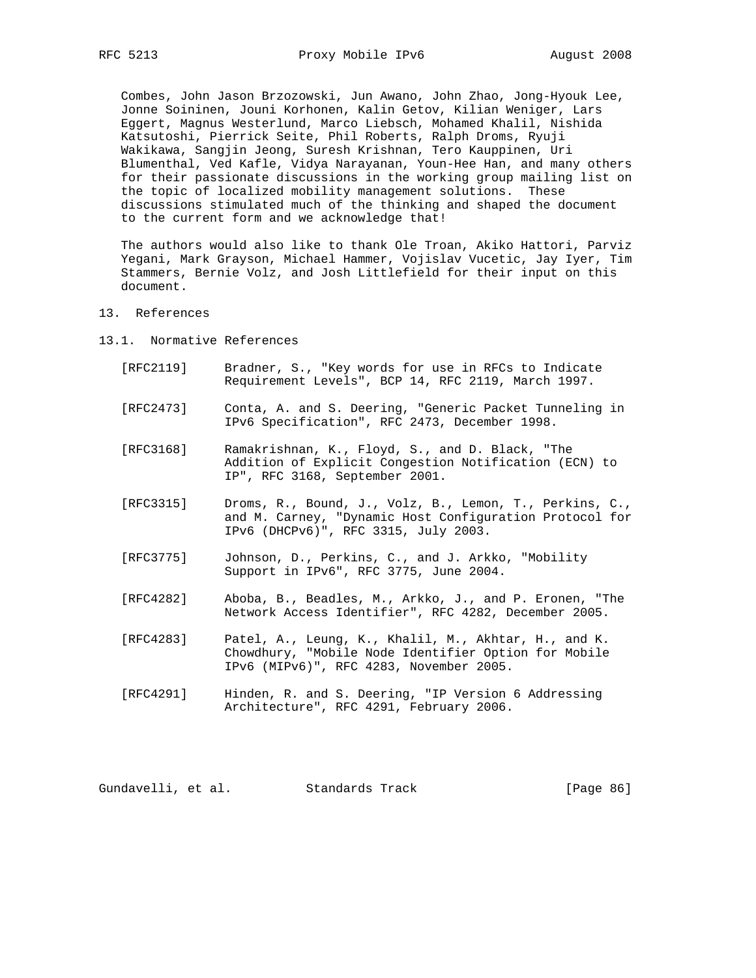Combes, John Jason Brzozowski, Jun Awano, John Zhao, Jong-Hyouk Lee, Jonne Soininen, Jouni Korhonen, Kalin Getov, Kilian Weniger, Lars Eggert, Magnus Westerlund, Marco Liebsch, Mohamed Khalil, Nishida Katsutoshi, Pierrick Seite, Phil Roberts, Ralph Droms, Ryuji Wakikawa, Sangjin Jeong, Suresh Krishnan, Tero Kauppinen, Uri Blumenthal, Ved Kafle, Vidya Narayanan, Youn-Hee Han, and many others for their passionate discussions in the working group mailing list on the topic of localized mobility management solutions. These discussions stimulated much of the thinking and shaped the document to the current form and we acknowledge that!

 The authors would also like to thank Ole Troan, Akiko Hattori, Parviz Yegani, Mark Grayson, Michael Hammer, Vojislav Vucetic, Jay Iyer, Tim Stammers, Bernie Volz, and Josh Littlefield for their input on this document.

- 13. References
- 13.1. Normative References
	- [RFC2119] Bradner, S., "Key words for use in RFCs to Indicate Requirement Levels", BCP 14, RFC 2119, March 1997.
	- [RFC2473] Conta, A. and S. Deering, "Generic Packet Tunneling in IPv6 Specification", RFC 2473, December 1998.
	- [RFC3168] Ramakrishnan, K., Floyd, S., and D. Black, "The Addition of Explicit Congestion Notification (ECN) to IP", RFC 3168, September 2001.
	- [RFC3315] Droms, R., Bound, J., Volz, B., Lemon, T., Perkins, C., and M. Carney, "Dynamic Host Configuration Protocol for IPv6 (DHCPv6)", RFC 3315, July 2003.
	- [RFC3775] Johnson, D., Perkins, C., and J. Arkko, "Mobility Support in IPv6", RFC 3775, June 2004.
	- [RFC4282] Aboba, B., Beadles, M., Arkko, J., and P. Eronen, "The Network Access Identifier", RFC 4282, December 2005.
	- [RFC4283] Patel, A., Leung, K., Khalil, M., Akhtar, H., and K. Chowdhury, "Mobile Node Identifier Option for Mobile IPv6 (MIPv6)", RFC 4283, November 2005.
	- [RFC4291] Hinden, R. and S. Deering, "IP Version 6 Addressing Architecture", RFC 4291, February 2006.

Gundavelli, et al. Standards Track [Page 86]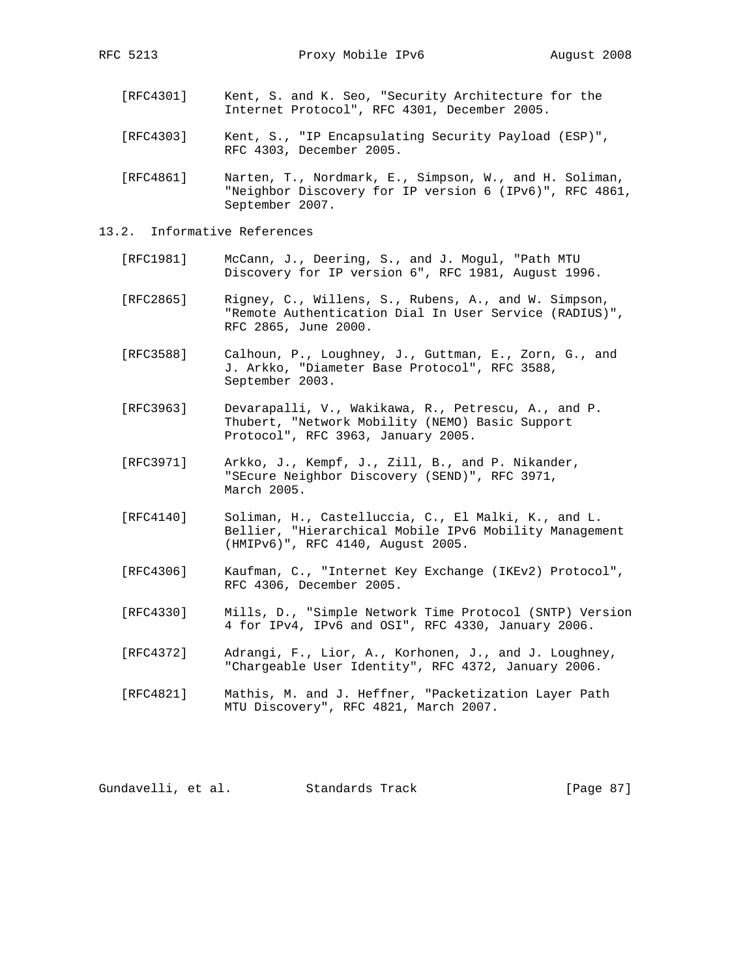- [RFC4301] Kent, S. and K. Seo, "Security Architecture for the Internet Protocol", RFC 4301, December 2005.
- [RFC4303] Kent, S., "IP Encapsulating Security Payload (ESP)", RFC 4303, December 2005.

 [RFC4861] Narten, T., Nordmark, E., Simpson, W., and H. Soliman, "Neighbor Discovery for IP version 6 (IPv6)", RFC 4861, September 2007.

- 13.2. Informative References
	- [RFC1981] McCann, J., Deering, S., and J. Mogul, "Path MTU Discovery for IP version 6", RFC 1981, August 1996.
	- [RFC2865] Rigney, C., Willens, S., Rubens, A., and W. Simpson, "Remote Authentication Dial In User Service (RADIUS)", RFC 2865, June 2000.
	- [RFC3588] Calhoun, P., Loughney, J., Guttman, E., Zorn, G., and J. Arkko, "Diameter Base Protocol", RFC 3588, September 2003.
	- [RFC3963] Devarapalli, V., Wakikawa, R., Petrescu, A., and P. Thubert, "Network Mobility (NEMO) Basic Support Protocol", RFC 3963, January 2005.
	- [RFC3971] Arkko, J., Kempf, J., Zill, B., and P. Nikander, "SEcure Neighbor Discovery (SEND)", RFC 3971, March 2005.
	- [RFC4140] Soliman, H., Castelluccia, C., El Malki, K., and L. Bellier, "Hierarchical Mobile IPv6 Mobility Management (HMIPv6)", RFC 4140, August 2005.
	- [RFC4306] Kaufman, C., "Internet Key Exchange (IKEv2) Protocol", RFC 4306, December 2005.
	- [RFC4330] Mills, D., "Simple Network Time Protocol (SNTP) Version 4 for IPv4, IPv6 and OSI", RFC 4330, January 2006.
	- [RFC4372] Adrangi, F., Lior, A., Korhonen, J., and J. Loughney, "Chargeable User Identity", RFC 4372, January 2006.
	- [RFC4821] Mathis, M. and J. Heffner, "Packetization Layer Path MTU Discovery", RFC 4821, March 2007.

Gundavelli, et al. Standards Track [Page 87]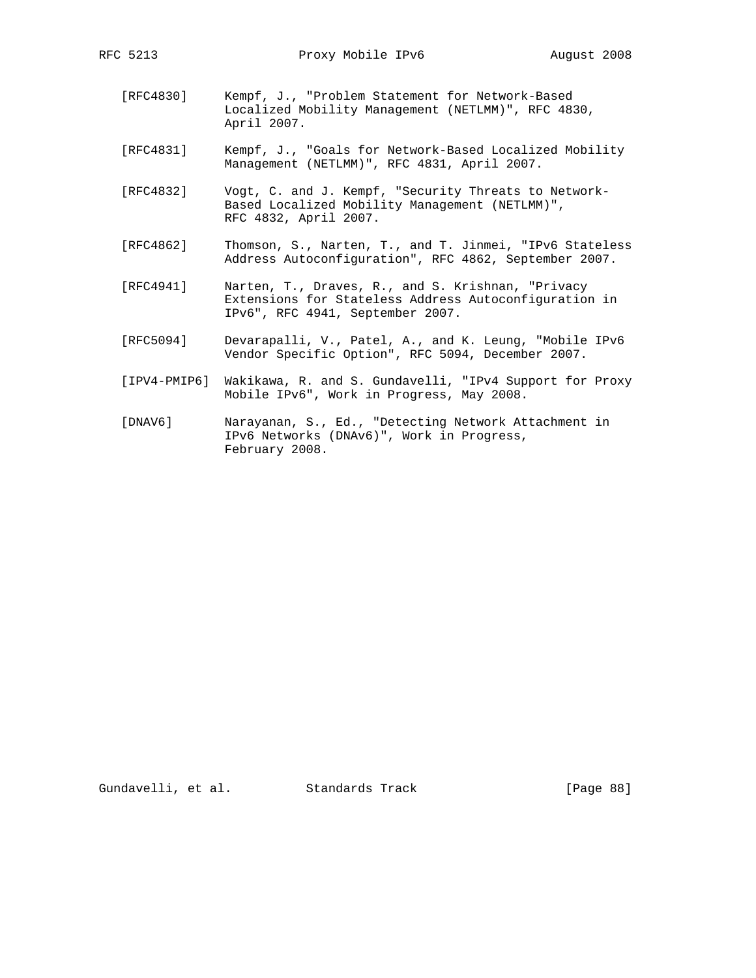- [RFC4830] Kempf, J., "Problem Statement for Network-Based Localized Mobility Management (NETLMM)", RFC 4830, April 2007.
- [RFC4831] Kempf, J., "Goals for Network-Based Localized Mobility Management (NETLMM)", RFC 4831, April 2007.
- [RFC4832] Vogt, C. and J. Kempf, "Security Threats to Network- Based Localized Mobility Management (NETLMM)", RFC 4832, April 2007.
- [RFC4862] Thomson, S., Narten, T., and T. Jinmei, "IPv6 Stateless Address Autoconfiguration", RFC 4862, September 2007.
- [RFC4941] Narten, T., Draves, R., and S. Krishnan, "Privacy Extensions for Stateless Address Autoconfiguration in IPv6", RFC 4941, September 2007.
- [RFC5094] Devarapalli, V., Patel, A., and K. Leung, "Mobile IPv6 Vendor Specific Option", RFC 5094, December 2007.
- [IPV4-PMIP6] Wakikawa, R. and S. Gundavelli, "IPv4 Support for Proxy Mobile IPv6", Work in Progress, May 2008.
- [DNAV6] Narayanan, S., Ed., "Detecting Network Attachment in IPv6 Networks (DNAv6)", Work in Progress, February 2008.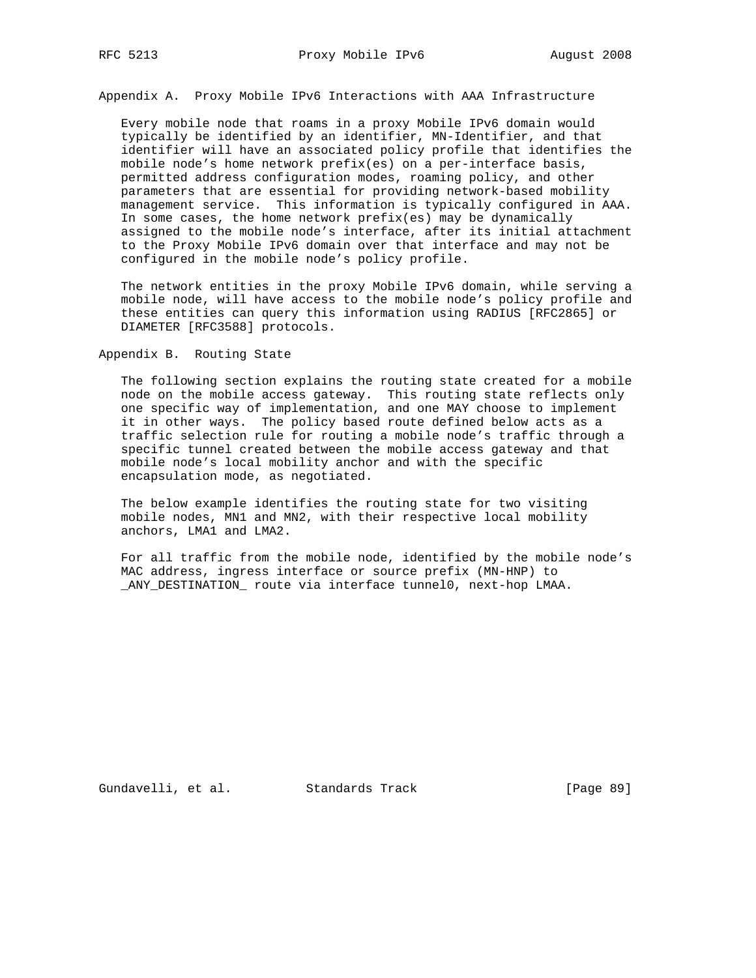Appendix A. Proxy Mobile IPv6 Interactions with AAA Infrastructure

 Every mobile node that roams in a proxy Mobile IPv6 domain would typically be identified by an identifier, MN-Identifier, and that identifier will have an associated policy profile that identifies the mobile node's home network prefix(es) on a per-interface basis, permitted address configuration modes, roaming policy, and other parameters that are essential for providing network-based mobility management service. This information is typically configured in AAA. In some cases, the home network prefix(es) may be dynamically assigned to the mobile node's interface, after its initial attachment to the Proxy Mobile IPv6 domain over that interface and may not be configured in the mobile node's policy profile.

 The network entities in the proxy Mobile IPv6 domain, while serving a mobile node, will have access to the mobile node's policy profile and these entities can query this information using RADIUS [RFC2865] or DIAMETER [RFC3588] protocols.

Appendix B. Routing State

 The following section explains the routing state created for a mobile node on the mobile access gateway. This routing state reflects only one specific way of implementation, and one MAY choose to implement it in other ways. The policy based route defined below acts as a traffic selection rule for routing a mobile node's traffic through a specific tunnel created between the mobile access gateway and that mobile node's local mobility anchor and with the specific encapsulation mode, as negotiated.

 The below example identifies the routing state for two visiting mobile nodes, MN1 and MN2, with their respective local mobility anchors, LMA1 and LMA2.

 For all traffic from the mobile node, identified by the mobile node's MAC address, ingress interface or source prefix (MN-HNP) to \_ANY\_DESTINATION\_ route via interface tunnel0, next-hop LMAA.

Gundavelli, et al. Standards Track [Page 89]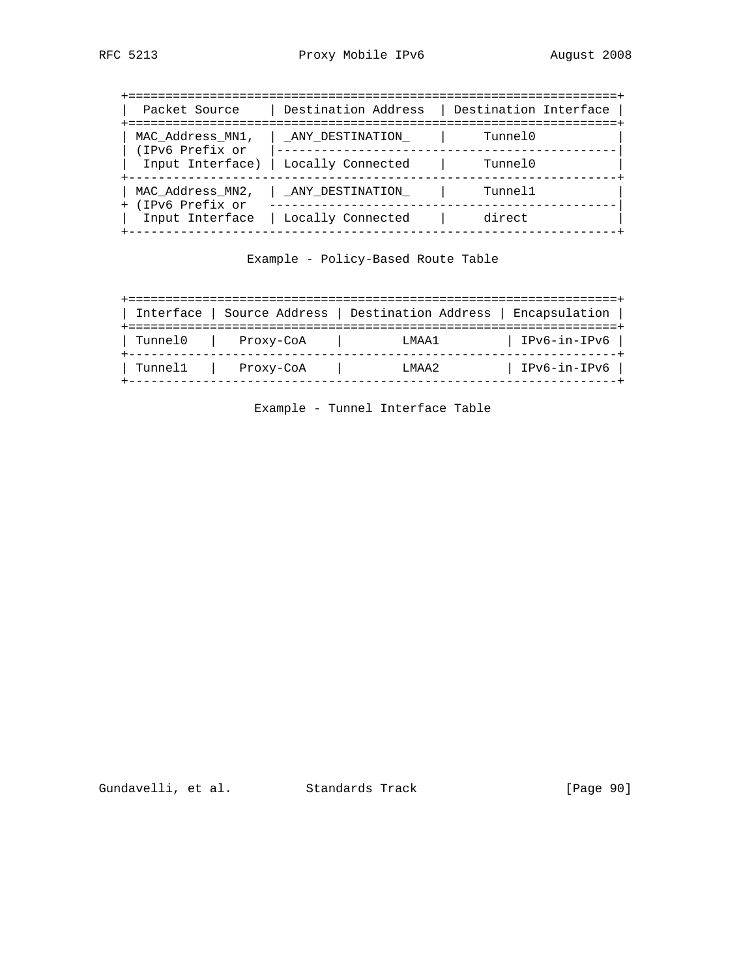| Packet Source                         | Destination Address | Destination Interface                         |
|---------------------------------------|---------------------|-----------------------------------------------|
| MAC Address MN1,<br>(IPv6 Prefix or   | ANY DESTINATION     | ==================================<br>Tunne10 |
| Input Interface)                      | Locally Connected   | Tunne10                                       |
| MAC Address MN2,<br>+ (IPv6 Prefix or | ANY DESTINATION     | Tunnel1                                       |
| Input Interface                       | Locally Connected   | direct                                        |

Example - Policy-Based Route Table

| Interface | Source Address | Destination Address | Encapsulation |
|-----------|----------------|---------------------|---------------|
| Tunne10   | Proxy-CoA      | T.MAA1              | IPv6-in-IPv6  |
| Tunnel1   | Proxy-CoA      | T.MAA2              | IPv6-in-IPv6  |

Example - Tunnel Interface Table

Gundavelli, et al. Standards Track [Page 90]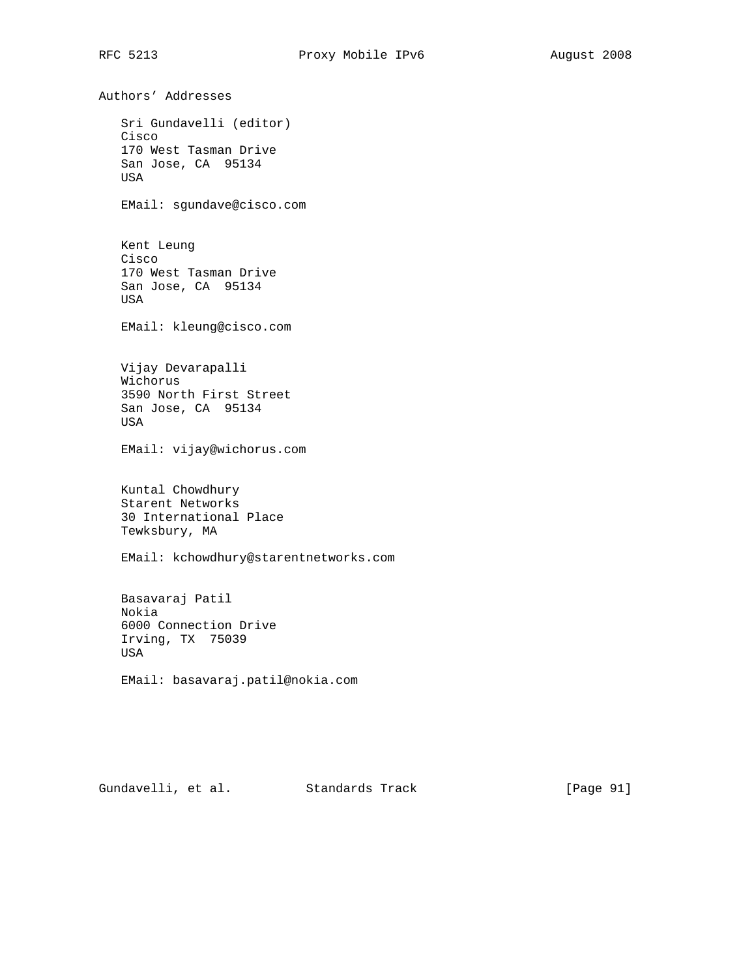Authors' Addresses Sri Gundavelli (editor) Cisco 170 West Tasman Drive San Jose, CA 95134 USA EMail: sgundave@cisco.com Kent Leung Cisco 170 West Tasman Drive San Jose, CA 95134 USA EMail: kleung@cisco.com Vijay Devarapalli Wichorus 3590 North First Street San Jose, CA 95134 USA EMail: vijay@wichorus.com Kuntal Chowdhury Starent Networks 30 International Place Tewksbury, MA EMail: kchowdhury@starentnetworks.com Basavaraj Patil Nokia 6000 Connection Drive Irving, TX 75039 USA EMail: basavaraj.patil@nokia.com

Gundavelli, et al. Standards Track [Page 91]